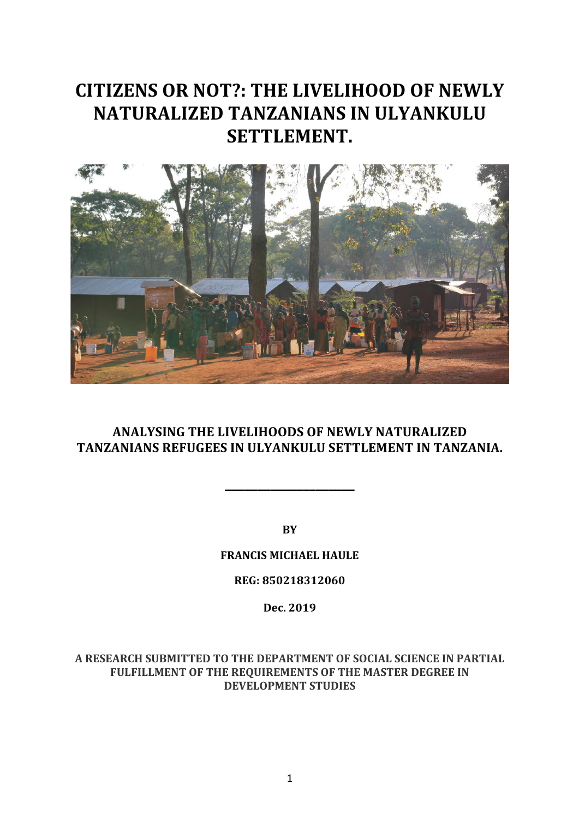# **CITIZENS OR NOT?: THE LIVELIHOOD OF NEWLY NATURALIZED TANZANIANS IN ULYANKULU SETTLEMENT.**



# **ANALYSING THE LIVELIHOODS OF NEWLY NATURALIZED TANZANIANS REFUGEES IN ULYANKULU SETTLEMENT IN TANZANIA.**

**\_\_\_\_\_\_\_\_\_\_\_\_\_\_\_\_\_\_\_\_**

**BY**

# **FRANCIS MICHAEL HAULE**

# **REG: 850218312060**

# **Dec. 2019**

A RESEARCH SUBMITTED TO THE DEPARTMENT OF SOCIAL SCIENCE IN PARTIAL FULFILLMENT OF THE REQUIREMENTS OF THE MASTER DEGREE IN **DEVELOPMENT STUDIES**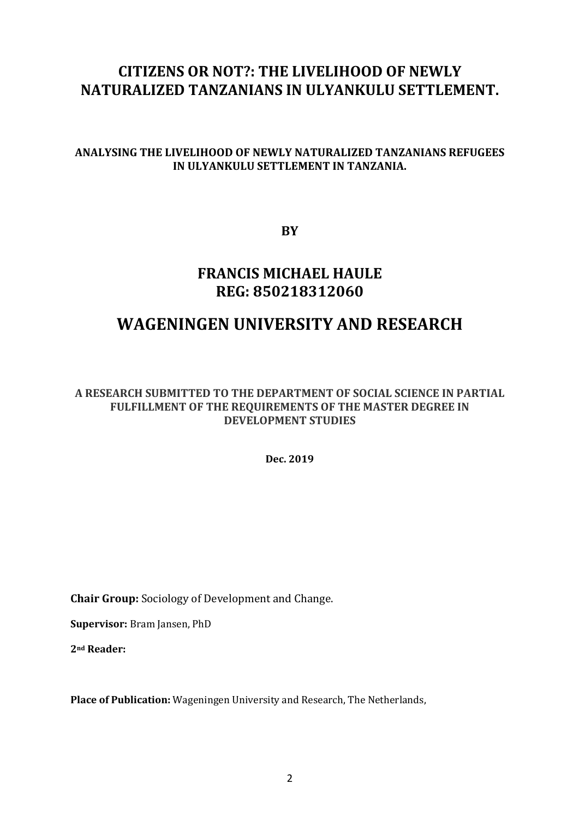# **CITIZENS OR NOT?: THE LIVELIHOOD OF NEWLY NATURALIZED TANZANIANS IN ULYANKULU SETTLEMENT.**

# **ANALYSING THE LIVELIHOOD OF NEWLY NATURALIZED TANZANIANS REFUGEES IN ULYANKULU SETTLEMENT IN TANZANIA.**

**BY**

# **FRANCIS MICHAEL HAULE REG: 850218312060**

# **WAGENINGEN UNIVERSITY AND RESEARCH**

A RESEARCH SUBMITTED TO THE DEPARTMENT OF SOCIAL SCIENCE IN PARTIAL FULFILLMENT OF THE REQUIREMENTS OF THE MASTER DEGREE IN **DEVELOPMENT STUDIES**

**Dec. 2019**

**Chair Group:** Sociology of Development and Change.

**Supervisor:** Bram Jansen, PhD

2<sup>nd</sup> **Reader:** 

**Place of Publication:** Wageningen University and Research, The Netherlands,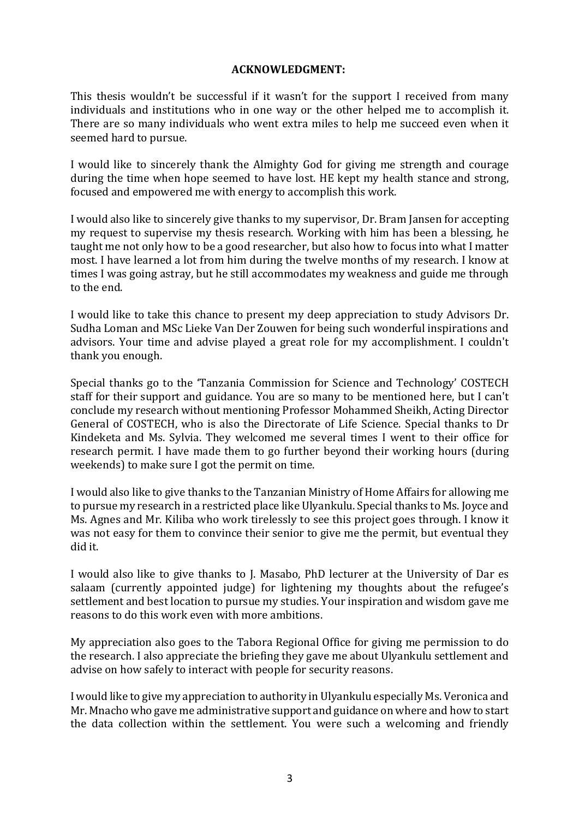#### **ACKNOWLEDGMENT:**

This thesis wouldn't be successful if it wasn't for the support I received from many individuals and institutions who in one way or the other helped me to accomplish it. There are so many individuals who went extra miles to help me succeed even when it seemed hard to pursue.

I would like to sincerely thank the Almighty God for giving me strength and courage during the time when hope seemed to have lost. HE kept my health stance and strong, focused and empowered me with energy to accomplish this work.

I would also like to sincerely give thanks to my supervisor, Dr. Bram Jansen for accepting my request to supervise my thesis research. Working with him has been a blessing, he taught me not only how to be a good researcher, but also how to focus into what I matter most. I have learned a lot from him during the twelve months of my research. I know at times I was going astray, but he still accommodates my weakness and guide me through to the end.

I would like to take this chance to present my deep appreciation to study Advisors Dr. Sudha Loman and MSc Lieke Van Der Zouwen for being such wonderful inspirations and advisors. Your time and advise played a great role for my accomplishment. I couldn't thank you enough.

Special thanks go to the 'Tanzania Commission for Science and Technology' COSTECH staff for their support and guidance. You are so many to be mentioned here, but I can't conclude my research without mentioning Professor Mohammed Sheikh, Acting Director General of COSTECH, who is also the Directorate of Life Science. Special thanks to Dr Kindeketa and Ms. Sylvia. They welcomed me several times I went to their office for research permit. I have made them to go further beyond their working hours (during weekends) to make sure I got the permit on time.

I would also like to give thanks to the Tanzanian Ministry of Home Affairs for allowing me to pursue my research in a restricted place like Ulyankulu. Special thanks to Ms. Joyce and Ms. Agnes and Mr. Kiliba who work tirelessly to see this project goes through. I know it was not easy for them to convince their senior to give me the permit, but eventual they did it. 

I would also like to give thanks to J. Masabo, PhD lecturer at the University of Dar es salaam (currently appointed judge) for lightening my thoughts about the refugee's settlement and best location to pursue my studies. Your inspiration and wisdom gave me reasons to do this work even with more ambitions.

My appreciation also goes to the Tabora Regional Office for giving me permission to do the research. I also appreciate the briefing they gave me about Ulyankulu settlement and advise on how safely to interact with people for security reasons.

I would like to give my appreciation to authority in Ulyankulu especially Ms. Veronica and Mr. Mnacho who gave me administrative support and guidance on where and how to start the data collection within the settlement. You were such a welcoming and friendly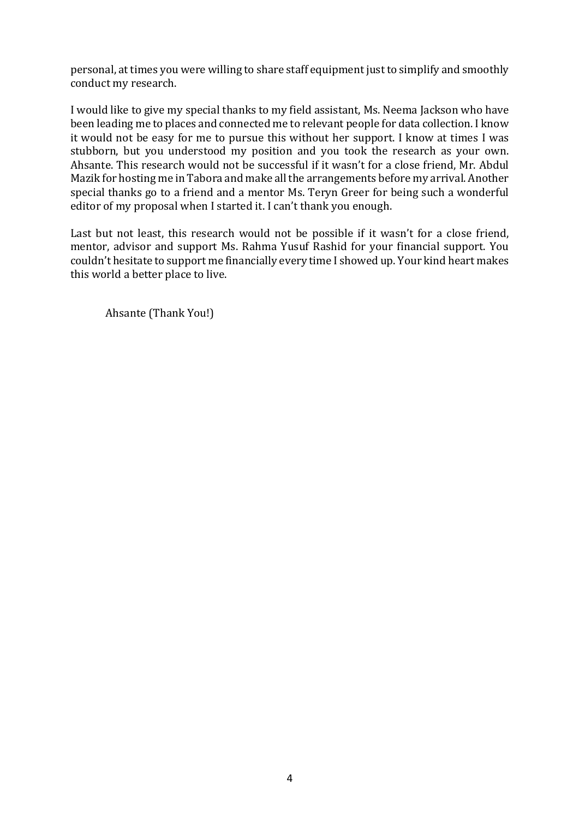personal, at times you were willing to share staff equipment just to simplify and smoothly conduct my research.

I would like to give my special thanks to my field assistant, Ms. Neema Jackson who have been leading me to places and connected me to relevant people for data collection. I know it would not be easy for me to pursue this without her support. I know at times I was stubborn, but you understood my position and you took the research as your own. Ahsante. This research would not be successful if it wasn't for a close friend, Mr. Abdul Mazik for hosting me in Tabora and make all the arrangements before my arrival. Another special thanks go to a friend and a mentor Ms. Teryn Greer for being such a wonderful editor of my proposal when I started it. I can't thank you enough.

Last but not least, this research would not be possible if it wasn't for a close friend, mentor, advisor and support Ms. Rahma Yusuf Rashid for your financial support. You couldn't hesitate to support me financially every time I showed up. Your kind heart makes this world a better place to live.

Ahsante (Thank You!)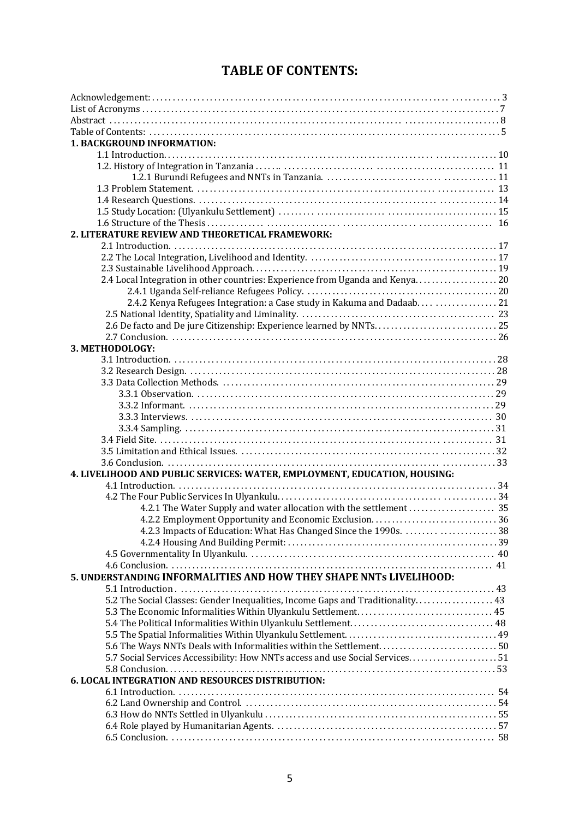# **TABLE OF CONTENTS:**

| <b>1. BACKGROUND INFORMATION:</b>                                              |  |  |  |
|--------------------------------------------------------------------------------|--|--|--|
|                                                                                |  |  |  |
|                                                                                |  |  |  |
|                                                                                |  |  |  |
|                                                                                |  |  |  |
|                                                                                |  |  |  |
|                                                                                |  |  |  |
|                                                                                |  |  |  |
| 2. LITERATURE REVIEW AND THEORETICAL FRAMEWORK:                                |  |  |  |
|                                                                                |  |  |  |
|                                                                                |  |  |  |
|                                                                                |  |  |  |
| 2.4 Local Integration in other countries: Experience from Uganda and Kenya20   |  |  |  |
|                                                                                |  |  |  |
| 2.4.2 Kenya Refugees Integration: a Case study in Kakuma and Dadaab  21        |  |  |  |
|                                                                                |  |  |  |
|                                                                                |  |  |  |
|                                                                                |  |  |  |
| 3. METHODOLOGY:                                                                |  |  |  |
|                                                                                |  |  |  |
|                                                                                |  |  |  |
|                                                                                |  |  |  |
|                                                                                |  |  |  |
|                                                                                |  |  |  |
|                                                                                |  |  |  |
|                                                                                |  |  |  |
|                                                                                |  |  |  |
|                                                                                |  |  |  |
|                                                                                |  |  |  |
|                                                                                |  |  |  |
| 4. LIVELIHOOD AND PUBLIC SERVICES: WATER, EMPLOYMENT, EDUCATION, HOUSING:      |  |  |  |
|                                                                                |  |  |  |
|                                                                                |  |  |  |
|                                                                                |  |  |  |
|                                                                                |  |  |  |
| 4.2.3 Impacts of Education: What Has Changed Since the 1990s. 38               |  |  |  |
|                                                                                |  |  |  |
|                                                                                |  |  |  |
|                                                                                |  |  |  |
| 5. UNDERSTANDING INFORMALITIES AND HOW THEY SHAPE NNTs LIVELIHOOD:             |  |  |  |
|                                                                                |  |  |  |
| 5.2 The Social Classes: Gender Inequalities, Income Gaps and Traditionality 43 |  |  |  |
|                                                                                |  |  |  |
|                                                                                |  |  |  |
|                                                                                |  |  |  |
| 5.6 The Ways NNTs Deals with Informalities within the Settlement50             |  |  |  |
| 5.7 Social Services Accessibility: How NNTs access and use Social Services51   |  |  |  |
|                                                                                |  |  |  |
| <b>6. LOCAL INTEGRATION AND RESOURCES DISTRIBUTION:</b>                        |  |  |  |
|                                                                                |  |  |  |
|                                                                                |  |  |  |
|                                                                                |  |  |  |
|                                                                                |  |  |  |
|                                                                                |  |  |  |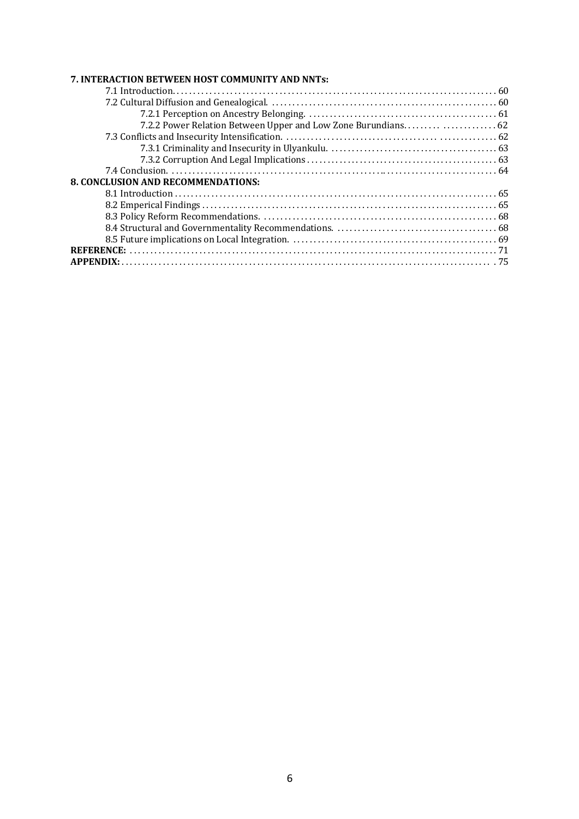#### 7. INTERACTION BETWEEN HOST COMMUNITY AND NNTs:

| <b>8. CONCLUSION AND RECOMMENDATIONS:</b> |  |
|-------------------------------------------|--|
|                                           |  |
|                                           |  |
|                                           |  |
|                                           |  |
|                                           |  |
|                                           |  |
|                                           |  |
|                                           |  |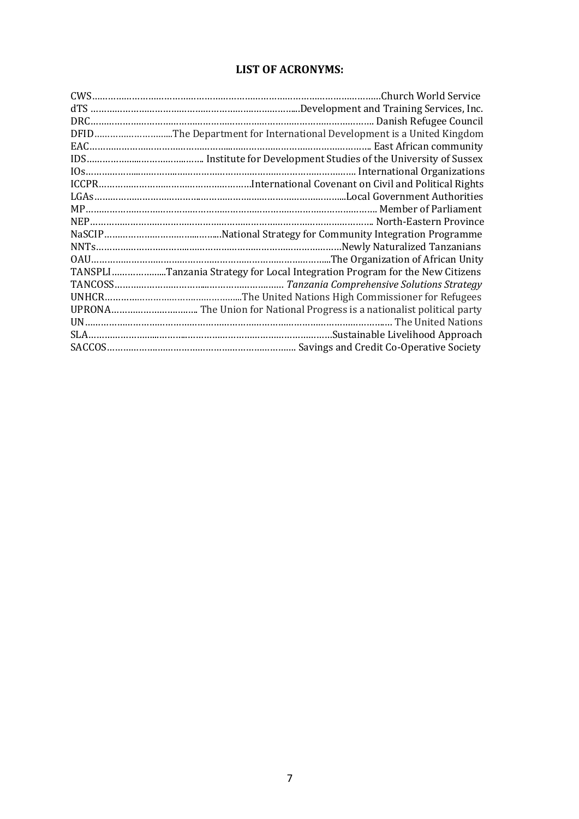#### **LIST OF ACRONYMS:**

| DFIDThe Department for International Development is a United Kingdom        |
|-----------------------------------------------------------------------------|
|                                                                             |
|                                                                             |
|                                                                             |
|                                                                             |
|                                                                             |
|                                                                             |
|                                                                             |
|                                                                             |
|                                                                             |
|                                                                             |
| TANSPLITanzania Strategy for Local Integration Program for the New Citizens |
|                                                                             |
|                                                                             |
|                                                                             |
|                                                                             |
|                                                                             |
|                                                                             |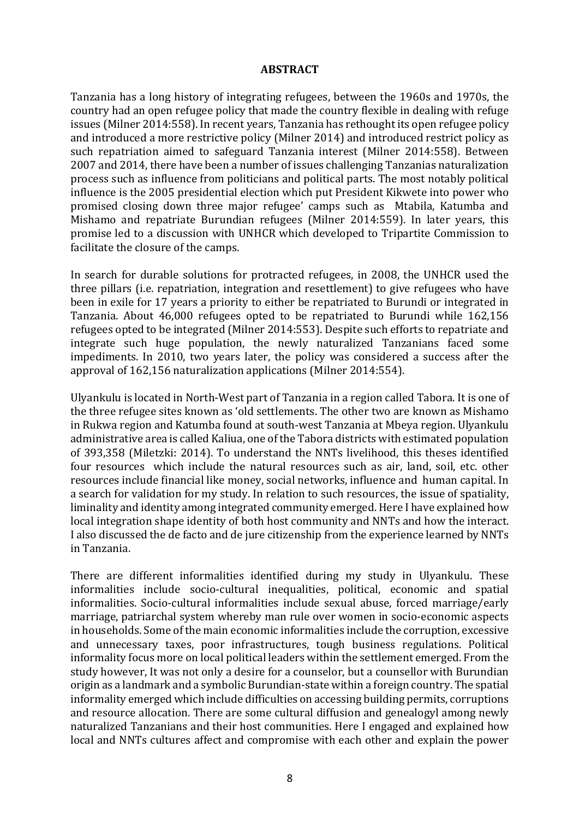#### **ABSTRACT**

Tanzania has a long history of integrating refugees, between the 1960s and 1970s, the country had an open refugee policy that made the country flexible in dealing with refuge issues (Milner 2014:558). In recent vears, Tanzania has rethought its open refugee policy and introduced a more restrictive policy (Milner 2014) and introduced restrict policy as such repatriation aimed to safeguard Tanzania interest (Milner 2014:558). Between 2007 and 2014, there have been a number of issues challenging Tanzanias naturalization process such as influence from politicians and political parts. The most notably political influence is the 2005 presidential election which put President Kikwete into power who promised closing down three major refugee' camps such as Mtabila, Katumba and Mishamo and repatriate Burundian refugees (Milner 2014:559). In later years, this promise led to a discussion with UNHCR which developed to Tripartite Commission to facilitate the closure of the camps.

In search for durable solutions for protracted refugees, in 2008, the UNHCR used the three pillars (i.e. repatriation, integration and resettlement) to give refugees who have been in exile for 17 years a priority to either be repatriated to Burundi or integrated in Tanzania. About 46,000 refugees opted to be repatriated to Burundi while 162,156 refugees opted to be integrated (Milner 2014:553). Despite such efforts to repatriate and integrate such huge population, the newly naturalized Tanzanians faced some impediments. In 2010, two vears later, the policy was considered a success after the approval of 162,156 naturalization applications (Milner 2014:554).

Ulyankulu is located in North-West part of Tanzania in a region called Tabora. It is one of the three refugee sites known as 'old settlements. The other two are known as Mishamo in Rukwa region and Katumba found at south-west Tanzania at Mbeya region. Ulyankulu administrative area is called Kaliua, one of the Tabora districts with estimated population of 393,358 (Miletzki: 2014). To understand the NNTs livelihood, this theses identified four resources which include the natural resources such as air, land, soil, etc. other resources include financial like money, social networks, influence and human capital. In a search for validation for my study. In relation to such resources, the issue of spatiality, liminality and identity among integrated community emerged. Here I have explained how local integration shape identity of both host community and NNTs and how the interact. I also discussed the de facto and de jure citizenship from the experience learned by NNTs in Tanzania. 

There are different informalities identified during my study in Ulyankulu. These informalities include socio-cultural inequalities, political, economic and spatial informalities. Socio-cultural informalities include sexual abuse, forced marriage/early marriage, patriarchal system whereby man rule over women in socio-economic aspects in households. Some of the main economic informalities include the corruption, excessive and unnecessary taxes, poor infrastructures, tough business regulations. Political informality focus more on local political leaders within the settlement emerged. From the study however, It was not only a desire for a counselor, but a counsellor with Burundian origin as a landmark and a symbolic Burundian-state within a foreign country. The spatial informality emerged which include difficulties on accessing building permits, corruptions and resource allocation. There are some cultural diffusion and genealogyl among newly naturalized Tanzanians and their host communities. Here I engaged and explained how local and NNTs cultures affect and compromise with each other and explain the power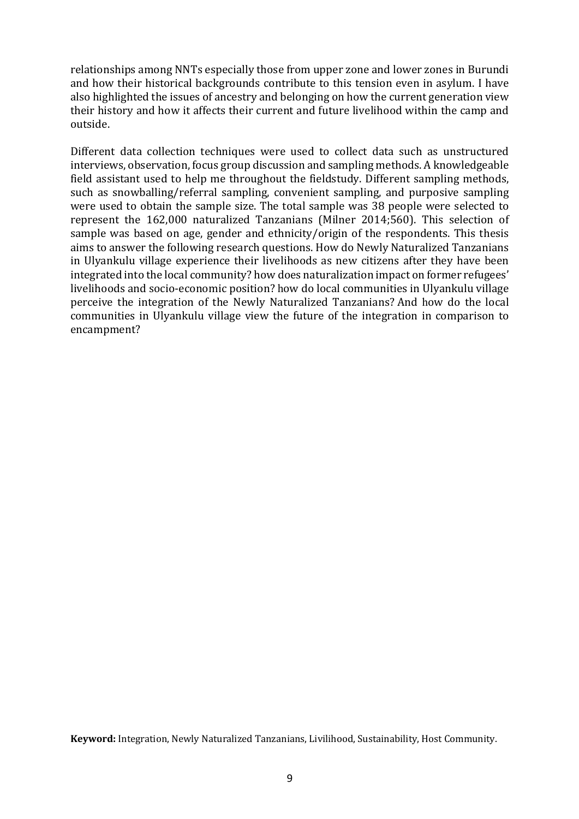relationships among NNTs especially those from upper zone and lower zones in Burundi and how their historical backgrounds contribute to this tension even in asylum. I have also highlighted the issues of ancestry and belonging on how the current generation view their history and how it affects their current and future livelihood within the camp and outside.

Different data collection techniques were used to collect data such as unstructured interviews, observation, focus group discussion and sampling methods. A knowledgeable field assistant used to help me throughout the fieldstudy. Different sampling methods, such as snowballing/referral sampling, convenient sampling, and purposive sampling were used to obtain the sample size. The total sample was 38 people were selected to represent the 162,000 naturalized Tanzanians (Milner 2014;560). This selection of sample was based on age, gender and ethnicity/origin of the respondents. This thesis aims to answer the following research questions. How do Newly Naturalized Tanzanians in Ulyankulu village experience their livelihoods as new citizens after they have been integrated into the local community? how does naturalization impact on former refugees' livelihoods and socio-economic position? how do local communities in Ulyankulu village perceive the integration of the Newly Naturalized Tanzanians? And how do the local communities in Ulyankulu village view the future of the integration in comparison to encampment?

Keyword: Integration, Newly Naturalized Tanzanians, Livilihood, Sustainability, Host Community.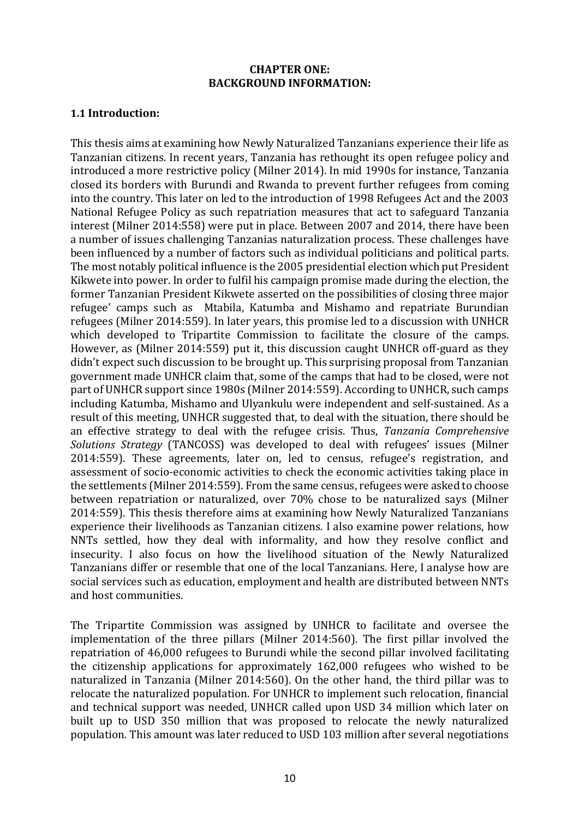#### **CHAPTER ONE: BACKGROUND INFORMATION:**

# **1.1 Introduction:**

This thesis aims at examining how Newly Naturalized Tanzanians experience their life as Tanzanian citizens. In recent years, Tanzania has rethought its open refugee policy and introduced a more restrictive policy (Milner 2014). In mid 1990s for instance, Tanzania closed its borders with Burundi and Rwanda to prevent further refugees from coming into the country. This later on led to the introduction of 1998 Refugees Act and the 2003 National Refugee Policy as such repatriation measures that act to safeguard Tanzania interest (Milner 2014:558) were put in place. Between 2007 and 2014, there have been a number of issues challenging Tanzanias naturalization process. These challenges have been influenced by a number of factors such as individual politicians and political parts. The most notably political influence is the 2005 presidential election which put President Kikwete into power. In order to fulfil his campaign promise made during the election, the former Tanzanian President Kikwete asserted on the possibilities of closing three major refugee' camps such as Mtabila, Katumba and Mishamo and repatriate Burundian refugees (Milner 2014:559). In later years, this promise led to a discussion with UNHCR which developed to Tripartite Commission to facilitate the closure of the camps. However, as (Milner 2014:559) put it, this discussion caught UNHCR off-guard as they didn't expect such discussion to be brought up. This surprising proposal from Tanzanian government made UNHCR claim that, some of the camps that had to be closed, were not part of UNHCR support since 1980s (Milner 2014:559). According to UNHCR, such camps including Katumba, Mishamo and Ulyankulu were independent and self-sustained. As a result of this meeting, UNHCR suggested that, to deal with the situation, there should be an effective strategy to deal with the refugee crisis. Thus, *Tanzania Comprehensive Solutions Strategy* (TANCOSS) was developed to deal with refugees' issues (Milner 2014:559). These agreements, later on, led to census, refugee's registration, and assessment of socio-economic activities to check the economic activities taking place in the settlements (Milner 2014:559). From the same census, refugees were asked to choose between repatriation or naturalized, over 70% chose to be naturalized says (Milner 2014:559). This thesis therefore aims at examining how Newly Naturalized Tanzanians experience their livelihoods as Tanzanian citizens. I also examine power relations, how NNTs settled, how they deal with informality, and how they resolve conflict and insecurity. I also focus on how the livelihood situation of the Newly Naturalized Tanzanians differ or resemble that one of the local Tanzanians. Here, I analyse how are social services such as education, employment and health are distributed between NNTs and host communities.

The Tripartite Commission was assigned by UNHCR to facilitate and oversee the implementation of the three pillars (Milner 2014:560). The first pillar involved the repatriation of 46,000 refugees to Burundi while the second pillar involved facilitating the citizenship applications for approximately  $162,000$  refugees who wished to be naturalized in Tanzania (Milner 2014:560). On the other hand, the third pillar was to relocate the naturalized population. For UNHCR to implement such relocation, financial and technical support was needed, UNHCR called upon USD 34 million which later on built up to USD 350 million that was proposed to relocate the newly naturalized population. This amount was later reduced to USD 103 million after several negotiations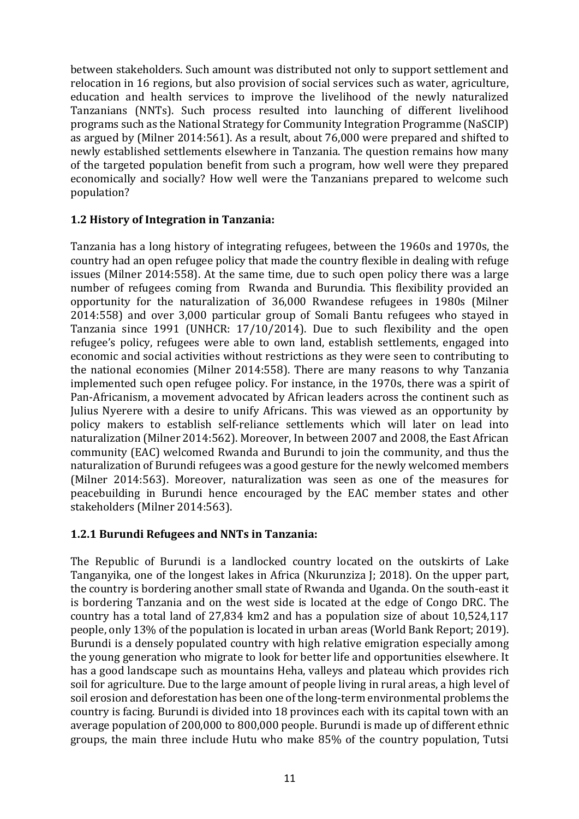between stakeholders. Such amount was distributed not only to support settlement and relocation in 16 regions, but also provision of social services such as water, agriculture, education and health services to improve the livelihood of the newly naturalized Tanzanians (NNTs). Such process resulted into launching of different livelihood programs such as the National Strategy for Community Integration Programme (NaSCIP) as argued by (Milner 2014:561). As a result, about 76,000 were prepared and shifted to newly established settlements elsewhere in Tanzania. The question remains how many of the targeted population benefit from such a program, how well were they prepared economically and socially? How well were the Tanzanians prepared to welcome such population? 

# **1.2 History of Integration in Tanzania:**

Tanzania has a long history of integrating refugees, between the 1960s and 1970s, the country had an open refugee policy that made the country flexible in dealing with refuge issues (Milner 2014:558). At the same time, due to such open policy there was a large number of refugees coming from Rwanda and Burundia. This flexibility provided an opportunity for the naturalization of 36,000 Rwandese refugees in 1980s (Milner 2014:558) and over 3,000 particular group of Somali Bantu refugees who stayed in Tanzania since 1991 (UNHCR: 17/10/2014). Due to such flexibility and the open refugee's policy, refugees were able to own land, establish settlements, engaged into economic and social activities without restrictions as they were seen to contributing to the national economies (Milner 2014:558). There are many reasons to why Tanzania implemented such open refugee policy. For instance, in the 1970s, there was a spirit of Pan-Africanism, a movement advocated by African leaders across the continent such as Julius Nyerere with a desire to unify Africans. This was viewed as an opportunity by policy makers to establish self-reliance settlements which will later on lead into naturalization (Milner 2014:562). Moreover, In between 2007 and 2008, the East African community (EAC) welcomed Rwanda and Burundi to join the community, and thus the naturalization of Burundi refugees was a good gesture for the newly welcomed members (Milner 2014:563). Moreover, naturalization was seen as one of the measures for peacebuilding in Burundi hence encouraged by the EAC member states and other stakeholders (Milner 2014:563).

# **1.2.1 Burundi Refugees and NNTs in Tanzania:**

The Republic of Burundi is a landlocked country located on the outskirts of Lake Tanganyika, one of the longest lakes in Africa (Nkurunziza J; 2018). On the upper part, the country is bordering another small state of Rwanda and Uganda. On the south-east it is bordering Tanzania and on the west side is located at the edge of Congo DRC. The country has a total land of 27,834 km2 and has a population size of about 10,524,117 people, only 13% of the population is located in urban areas (World Bank Report; 2019). Burundi is a densely populated country with high relative emigration especially among the voung generation who migrate to look for better life and opportunities elsewhere. It has a good landscape such as mountains Heha, valleys and plateau which provides rich soil for agriculture. Due to the large amount of people living in rural areas, a high level of soil erosion and deforestation has been one of the long-term environmental problems the country is facing. Burundi is divided into 18 provinces each with its capital town with an average population of 200,000 to 800,000 people. Burundi is made up of different ethnic groups, the main three include Hutu who make 85% of the country population, Tutsi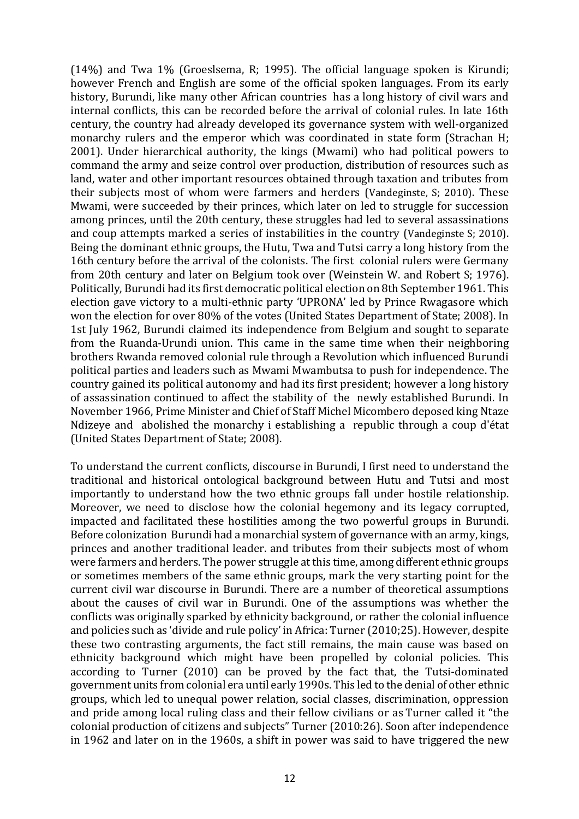$(14%)$  and Twa 1% (Groeslsema, R; 1995). The official language spoken is Kirundi; however French and English are some of the official spoken languages. From its early history, Burundi, like many other African countries has a long history of civil wars and internal conflicts, this can be recorded before the arrival of colonial rules. In late 16th century, the country had already developed its governance system with well-organized monarchy rulers and the emperor which was coordinated in state form (Strachan H; 2001). Under hierarchical authority, the kings (Mwami) who had political powers to command the army and seize control over production, distribution of resources such as land, water and other important resources obtained through taxation and tributes from their subjects most of whom were farmers and herders (Vandeginste, S; 2010). These Mwami, were succeeded by their princes, which later on led to struggle for succession among princes, until the 20th century, these struggles had led to several assassinations and coup attempts marked a series of instabilities in the country (Vandeginste S; 2010). Being the dominant ethnic groups, the Hutu, Twa and Tutsi carry a long history from the 16th century before the arrival of the colonists. The first colonial rulers were Germany from 20th century and later on Belgium took over (Weinstein W. and Robert S; 1976). Politically, Burundi had its first democratic political election on 8th September 1961. This election gave victory to a multi-ethnic party 'UPRONA' led by Prince Rwagasore which won the election for over 80% of the votes (United States Department of State: 2008). In 1st July 1962, Burundi claimed its independence from Belgium and sought to separate from the Ruanda-Urundi union. This came in the same time when their neighboring brothers Rwanda removed colonial rule through a Revolution which influenced Burundi political parties and leaders such as Mwami Mwambutsa to push for independence. The country gained its political autonomy and had its first president; however a long history of assassination continued to affect the stability of the newly established Burundi. In November 1966, Prime Minister and Chief of Staff Michel Micombero deposed king Ntaze Ndizeye and abolished the monarchy i establishing a republic through a coup d'état (United States Department of State; 2008).

To understand the current conflicts, discourse in Burundi, I first need to understand the traditional and historical ontological background between Hutu and Tutsi and most importantly to understand how the two ethnic groups fall under hostile relationship. Moreover, we need to disclose how the colonial hegemony and its legacy corrupted, impacted and facilitated these hostilities among the two powerful groups in Burundi. Before colonization Burundi had a monarchial system of governance with an army, kings, princes and another traditional leader. and tributes from their subjects most of whom were farmers and herders. The power struggle at this time, among different ethnic groups or sometimes members of the same ethnic groups, mark the very starting point for the current civil war discourse in Burundi. There are a number of theoretical assumptions about the causes of civil war in Burundi. One of the assumptions was whether the conflicts was originally sparked by ethnicity background, or rather the colonial influence and policies such as 'divide and rule policy' in Africa: Turner (2010;25). However, despite these two contrasting arguments, the fact still remains, the main cause was based on ethnicity background which might have been propelled by colonial policies. This according to Turner (2010) can be proved by the fact that, the Tutsi-dominated government units from colonial era until early 1990s. This led to the denial of other ethnic groups, which led to unequal power relation, social classes, discrimination, oppression and pride among local ruling class and their fellow civilians or as Turner called it "the colonial production of citizens and subjects" Turner (2010:26). Soon after independence in 1962 and later on in the 1960s, a shift in power was said to have triggered the new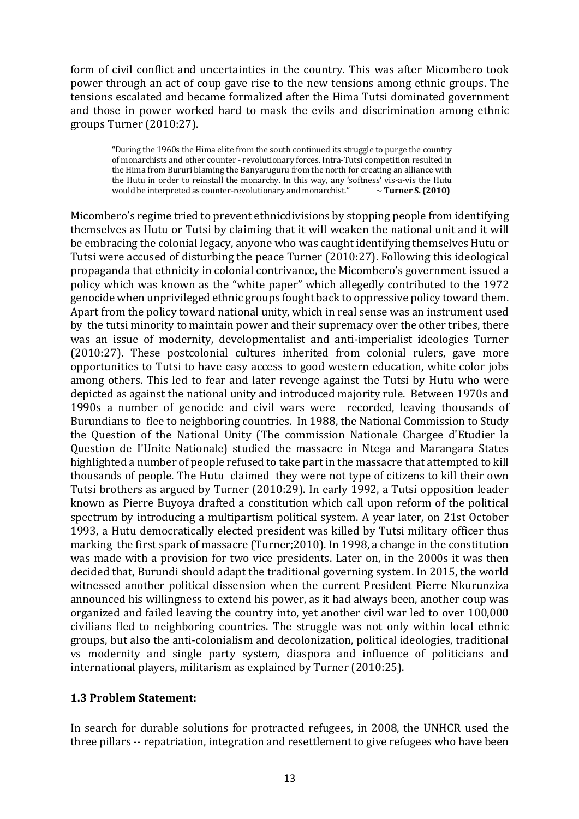form of civil conflict and uncertainties in the country. This was after Micombero took power through an act of coup gave rise to the new tensions among ethnic groups. The tensions escalated and became formalized after the Hima Tutsi dominated government and those in power worked hard to mask the evils and discrimination among ethnic groups Turner (2010:27).

"During the 1960s the Hima elite from the south continued its struggle to purge the country of monarchists and other counter - revolutionary forces. Intra-Tutsi competition resulted in the Hima from Bururi blaming the Banyaruguru from the north for creating an alliance with the Hutu in order to reinstall the monarchy. In this way, any 'softness' vis-a-vis the Hutu would be interpreted as counter-revolutionary and monarchist." ~ Turner S. (2010)

Micombero's regime tried to prevent ethnicdivisions by stopping people from identifying themselves as Hutu or Tutsi by claiming that it will weaken the national unit and it will be embracing the colonial legacy, anyone who was caught identifying themselves Hutu or Tutsi were accused of disturbing the peace Turner (2010:27). Following this ideological propaganda that ethnicity in colonial contrivance, the Micombero's government issued a policy which was known as the "white paper" which allegedly contributed to the 1972 genocide when unprivileged ethnic groups fought back to oppressive policy toward them. Apart from the policy toward national unity, which in real sense was an instrument used by the tutsi minority to maintain power and their supremacy over the other tribes, there was an issue of modernity, developmentalist and anti-imperialist ideologies Turner (2010:27). These postcolonial cultures inherited from colonial rulers, gave more opportunities to Tutsi to have easy access to good western education, white color jobs among others. This led to fear and later revenge against the Tutsi by Hutu who were depicted as against the national unity and introduced majority rule. Between 1970s and 1990s a number of genocide and civil wars were recorded, leaving thousands of Burundians to flee to neighboring countries. In 1988, the National Commission to Study the Question of the National Unity (The commission Nationale Chargee d'Etudier la Question de I'Unite Nationale) studied the massacre in Ntega and Marangara States highlighted a number of people refused to take part in the massacre that attempted to kill thousands of people. The Hutu claimed they were not type of citizens to kill their own Tutsi brothers as argued by Turner (2010:29). In early 1992, a Tutsi opposition leader known as Pierre Buyoya drafted a constitution which call upon reform of the political spectrum by introducing a multipartism political system. A year later, on 21st October 1993, a Hutu democratically elected president was killed by Tutsi military officer thus marking the first spark of massacre (Turner;2010). In 1998, a change in the constitution was made with a provision for two vice presidents. Later on, in the 2000s it was then decided that, Burundi should adapt the traditional governing system. In 2015, the world witnessed another political dissension when the current President Pierre Nkurunziza announced his willingness to extend his power, as it had always been, another coup was organized and failed leaving the country into, yet another civil war led to over 100,000 civilians fled to neighboring countries. The struggle was not only within local ethnic groups, but also the anti-colonialism and decolonization, political ideologies, traditional vs modernity and single party system, diaspora and influence of politicians and international players, militarism as explained by Turner  $(2010:25)$ .

# **1.3 Problem Statement:**

In search for durable solutions for protracted refugees, in 2008, the UNHCR used the three pillars -- repatriation, integration and resettlement to give refugees who have been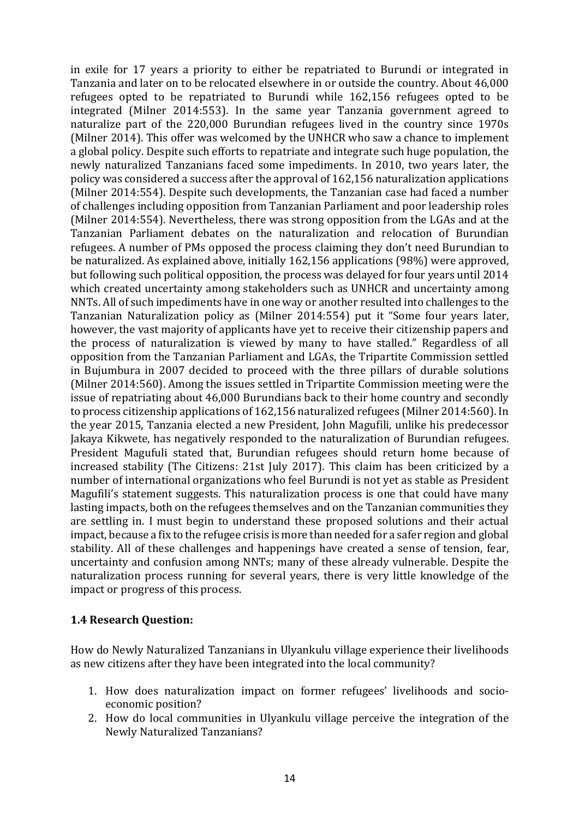in exile for 17 years a priority to either be repatriated to Burundi or integrated in Tanzania and later on to be relocated elsewhere in or outside the country. About 46,000 refugees opted to be repatriated to Burundi while 162,156 refugees opted to be integrated (Milner 2014:553). In the same year Tanzania government agreed to naturalize part of the 220,000 Burundian refugees lived in the country since 1970s (Milner 2014). This offer was welcomed by the UNHCR who saw a chance to implement a global policy. Despite such efforts to repatriate and integrate such huge population, the newly naturalized Tanzanians faced some impediments. In 2010, two years later, the policy was considered a success after the approval of 162,156 naturalization applications (Milner 2014:554). Despite such developments, the Tanzanian case had faced a number of challenges including opposition from Tanzanian Parliament and poor leadership roles (Milner 2014:554). Nevertheless, there was strong opposition from the LGAs and at the Tanzanian Parliament debates on the naturalization and relocation of Burundian refugees. A number of PMs opposed the process claiming they don't need Burundian to be naturalized. As explained above, initially  $162,156$  applications  $(98%)$  were approved, but following such political opposition, the process was delayed for four years until 2014 which created uncertainty among stakeholders such as UNHCR and uncertainty among NNTs. All of such impediments have in one way or another resulted into challenges to the Tanzanian Naturalization policy as (Milner 2014:554) put it "Some four years later, however, the vast majority of applicants have yet to receive their citizenship papers and the process of naturalization is viewed by many to have stalled." Regardless of all opposition from the Tanzanian Parliament and LGAs, the Tripartite Commission settled in Bujumbura in 2007 decided to proceed with the three pillars of durable solutions (Milner 2014:560). Among the issues settled in Tripartite Commission meeting were the issue of repatriating about 46,000 Burundians back to their home country and secondly to process citizenship applications of 162,156 naturalized refugees (Milner 2014:560). In the year 2015, Tanzania elected a new President, John Magufili, unlike his predecessor Jakaya Kikwete, has negatively responded to the naturalization of Burundian refugees. President Magufuli stated that, Burundian refugees should return home because of increased stability (The Citizens: 21st July 2017). This claim has been criticized by a number of international organizations who feel Burundi is not yet as stable as President Magufili's statement suggests. This naturalization process is one that could have many lasting impacts, both on the refugees themselves and on the Tanzanian communities they are settling in. I must begin to understand these proposed solutions and their actual impact, because a fix to the refugee crisis is more than needed for a safer region and global stability. All of these challenges and happenings have created a sense of tension, fear, uncertainty and confusion among NNTs; many of these already vulnerable. Despite the naturalization process running for several years, there is very little knowledge of the impact or progress of this process.

# **1.4 Research Question:**

How do Newly Naturalized Tanzanians in Ulyankulu village experience their livelihoods as new citizens after they have been integrated into the local community?

- 1. How does naturalization impact on former refugees' livelihoods and socioeconomic position?
- 2. How do local communities in Ulyankulu village perceive the integration of the Newly Naturalized Tanzanians?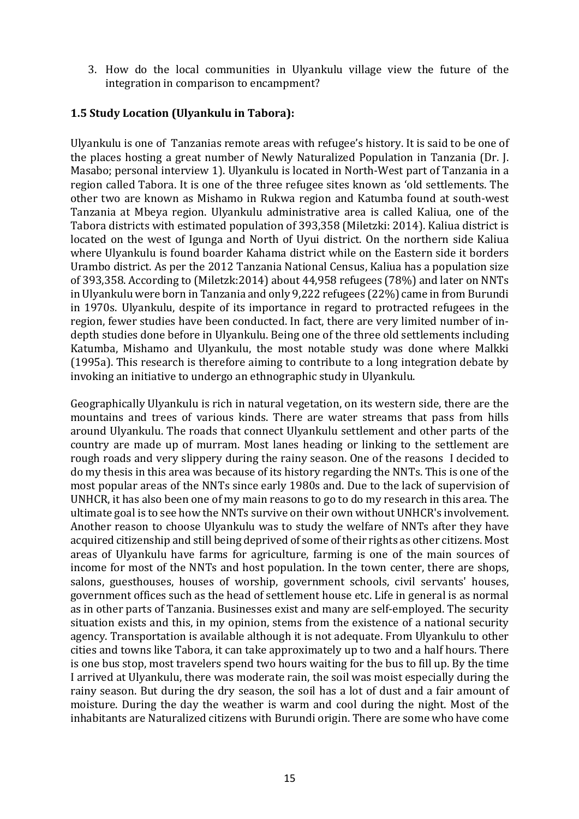3. How do the local communities in Ulyankulu village view the future of the integration in comparison to encampment?

# **1.5 Study Location (Ulyankulu in Tabora):**

Ulyankulu is one of Tanzanias remote areas with refugee's history. It is said to be one of the places hosting a great number of Newly Naturalized Population in Tanzania (Dr. J. Masabo; personal interview 1). Ulyankulu is located in North-West part of Tanzania in a region called Tabora. It is one of the three refugee sites known as 'old settlements. The other two are known as Mishamo in Rukwa region and Katumba found at south-west Tanzania at Mbeya region. Ulyankulu administrative area is called Kaliua, one of the Tabora districts with estimated population of 393,358 (Miletzki: 2014). Kaliua district is located on the west of Igunga and North of Uyui district. On the northern side Kaliua where Ulyankulu is found boarder Kahama district while on the Eastern side it borders Urambo district. As per the 2012 Tanzania National Census, Kaliua has a population size of 393,358. According to (Miletzk: 2014) about  $44,958$  refugees (78%) and later on NNTs in Ulyankulu were born in Tanzania and only 9.222 refugees (22%) came in from Burundi in 1970s. Ulyankulu, despite of its importance in regard to protracted refugees in the region, fewer studies have been conducted. In fact, there are very limited number of indepth studies done before in Ulyankulu. Being one of the three old settlements including Katumba, Mishamo and Ulyankulu, the most notable study was done where Malkki (1995a). This research is therefore aiming to contribute to a long integration debate by invoking an initiative to undergo an ethnographic study in Ulyankulu.

Geographically Ulyankulu is rich in natural vegetation, on its western side, there are the mountains and trees of various kinds. There are water streams that pass from hills around Ulyankulu. The roads that connect Ulyankulu settlement and other parts of the country are made up of murram. Most lanes heading or linking to the settlement are rough roads and very slippery during the rainy season. One of the reasons I decided to do my thesis in this area was because of its history regarding the NNTs. This is one of the most popular areas of the NNTs since early 1980s and. Due to the lack of supervision of UNHCR, it has also been one of my main reasons to go to do my research in this area. The ultimate goal is to see how the NNTs survive on their own without UNHCR's involvement. Another reason to choose Ulyankulu was to study the welfare of NNTs after they have acquired citizenship and still being deprived of some of their rights as other citizens. Most areas of Ulyankulu have farms for agriculture, farming is one of the main sources of income for most of the NNTs and host population. In the town center, there are shops, salons, guesthouses, houses of worship, government schools, civil servants' houses, government offices such as the head of settlement house etc. Life in general is as normal as in other parts of Tanzania. Businesses exist and many are self-employed. The security situation exists and this, in my opinion, stems from the existence of a national security agency. Transportation is available although it is not adequate. From Ulyankulu to other cities and towns like Tabora, it can take approximately up to two and a half hours. There is one bus stop, most travelers spend two hours waiting for the bus to fill up. By the time I arrived at Ulyankulu, there was moderate rain, the soil was moist especially during the rainy season. But during the dry season, the soil has a lot of dust and a fair amount of moisture. During the day the weather is warm and cool during the night. Most of the inhabitants are Naturalized citizens with Burundi origin. There are some who have come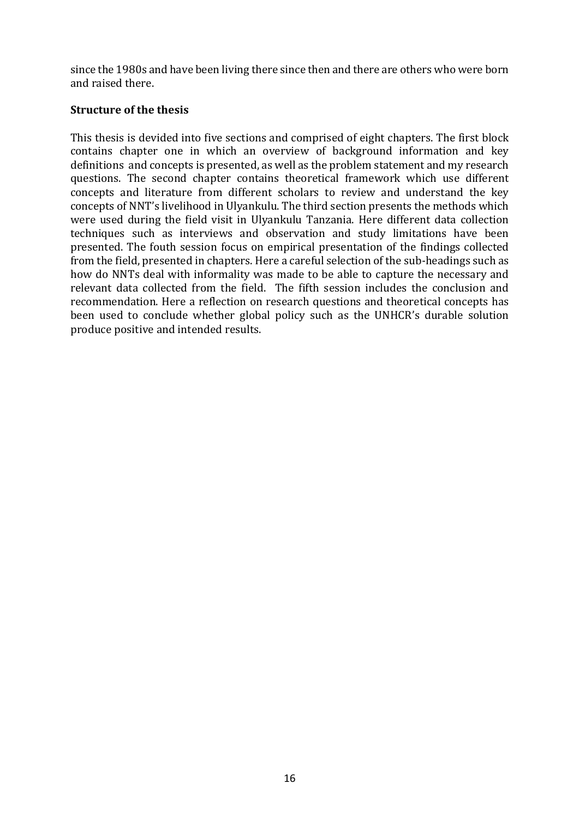since the 1980s and have been living there since then and there are others who were born and raised there.

# **Structure of the thesis**

This thesis is devided into five sections and comprised of eight chapters. The first block contains chapter one in which an overview of background information and key definitions and concepts is presented, as well as the problem statement and my research questions. The second chapter contains theoretical framework which use different concepts and literature from different scholars to review and understand the key concepts of NNT's livelihood in Ulyankulu. The third section presents the methods which were used during the field visit in Ulyankulu Tanzania. Here different data collection techniques such as interviews and observation and study limitations have been presented. The fouth session focus on empirical presentation of the findings collected from the field, presented in chapters. Here a careful selection of the sub-headings such as how do NNTs deal with informality was made to be able to capture the necessary and relevant data collected from the field. The fifth session includes the conclusion and recommendation. Here a reflection on research questions and theoretical concepts has been used to conclude whether global policy such as the UNHCR's durable solution produce positive and intended results.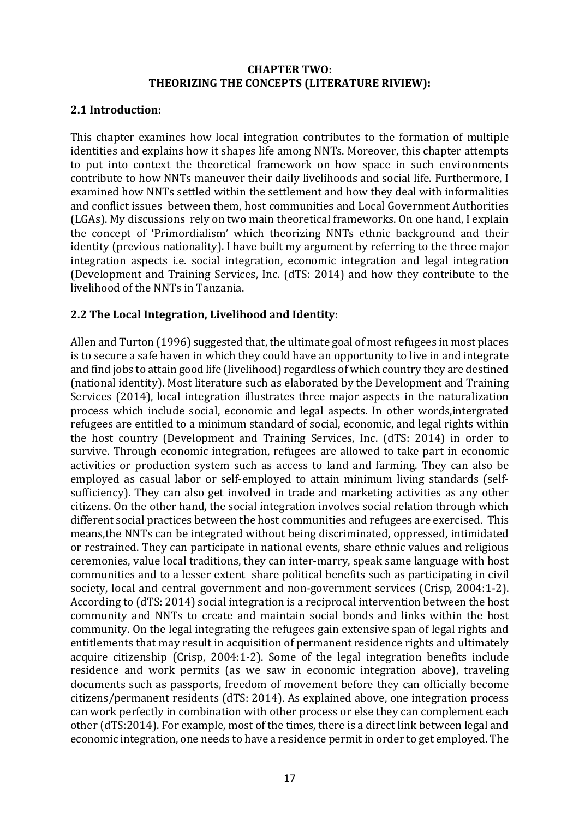#### **CHAPTER TWO: THEORIZING THE CONCEPTS (LITERATURE RIVIEW):**

# **2.1 Introduction:**

This chapter examines how local integration contributes to the formation of multiple identities and explains how it shapes life among NNTs. Moreover, this chapter attempts to put into context the theoretical framework on how space in such environments contribute to how NNTs maneuver their daily livelihoods and social life. Furthermore, I examined how NNTs settled within the settlement and how they deal with informalities and conflict issues between them, host communities and Local Government Authorities (LGAs). My discussions rely on two main theoretical frameworks. On one hand, I explain the concept of 'Primordialism' which theorizing NNTs ethnic background and their identity (previous nationality). I have built my argument by referring to the three major integration aspects i.e. social integration, economic integration and legal integration (Development and Training Services, Inc. (dTS: 2014) and how they contribute to the livelihood of the NNTs in Tanzania.

# 2.2 The Local Integration, Livelihood and Identity:

Allen and Turton (1996) suggested that, the ultimate goal of most refugees in most places is to secure a safe haven in which they could have an opportunity to live in and integrate and find jobs to attain good life (livelihood) regardless of which country they are destined (national identity). Most literature such as elaborated by the Development and Training Services (2014), local integration illustrates three major aspects in the naturalization process which include social, economic and legal aspects. In other words, intergrated refugees are entitled to a minimum standard of social, economic, and legal rights within the host country (Development and Training Services, Inc. (dTS: 2014) in order to survive. Through economic integration, refugees are allowed to take part in economic activities or production system such as access to land and farming. They can also be employed as casual labor or self-employed to attain minimum living standards (selfsufficiency). They can also get involved in trade and marketing activities as any other citizens. On the other hand, the social integration involves social relation through which different social practices between the host communities and refugees are exercised. This means, the NNTs can be integrated without being discriminated, oppressed, intimidated or restrained. They can participate in national events, share ethnic values and religious ceremonies, value local traditions, they can inter-marry, speak same language with host communities and to a lesser extent share political benefits such as participating in civil society, local and central government and non-government services (Crisp, 2004:1-2). According to (dTS: 2014) social integration is a reciprocal intervention between the host community and NNTs to create and maintain social bonds and links within the host community. On the legal integrating the refugees gain extensive span of legal rights and entitlements that may result in acquisition of permanent residence rights and ultimately acquire citizenship  $(Crisp, 2004:1-2)$ . Some of the legal integration benefits include residence and work permits (as we saw in economic integration above), traveling documents such as passports, freedom of movement before they can officially become citizens/permanent residents (dTS: 2014). As explained above, one integration process can work perfectly in combination with other process or else they can complement each other (dTS:2014). For example, most of the times, there is a direct link between legal and economic integration, one needs to have a residence permit in order to get employed. The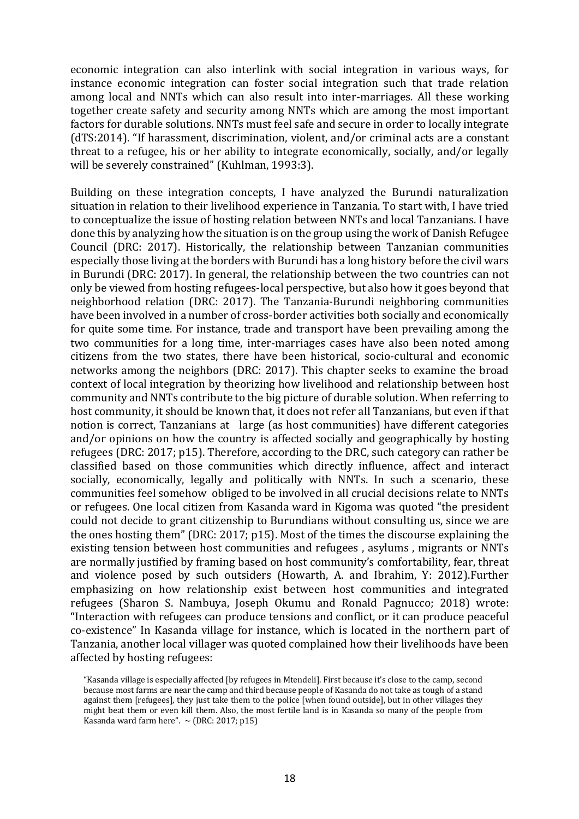economic integration can also interlink with social integration in various ways, for instance economic integration can foster social integration such that trade relation among local and NNTs which can also result into inter-marriages. All these working together create safety and security among NNTs which are among the most important factors for durable solutions. NNTs must feel safe and secure in order to locally integrate (dTS:2014). "If harassment, discrimination, violent, and/or criminal acts are a constant threat to a refugee, his or her ability to integrate economically, socially, and/or legally will be severely constrained" (Kuhlman, 1993:3).

Building on these integration concepts, I have analyzed the Burundi naturalization situation in relation to their livelihood experience in Tanzania. To start with, I have tried to conceptualize the issue of hosting relation between NNTs and local Tanzanians. I have done this by analyzing how the situation is on the group using the work of Danish Refugee Council (DRC: 2017). Historically, the relationship between Tanzanian communities especially those living at the borders with Burundi has a long history before the civil wars in Burundi (DRC: 2017). In general, the relationship between the two countries can not only be viewed from hosting refugees-local perspective, but also how it goes beyond that neighborhood relation (DRC: 2017). The Tanzania-Burundi neighboring communities have been involved in a number of cross-border activities both socially and economically for quite some time. For instance, trade and transport have been prevailing among the two communities for a long time, inter-marriages cases have also been noted among citizens from the two states, there have been historical, socio-cultural and economic networks among the neighbors (DRC: 2017). This chapter seeks to examine the broad context of local integration by theorizing how livelihood and relationship between host community and NNTs contribute to the big picture of durable solution. When referring to host community, it should be known that, it does not refer all Tanzanians, but even if that notion is correct, Tanzanians at large (as host communities) have different categories and/or opinions on how the country is affected socially and geographically by hosting refugees (DRC: 2017; p15). Therefore, according to the DRC, such category can rather be classified based on those communities which directly influence, affect and interact socially, economically, legally and politically with NNTs. In such a scenario, these communities feel somehow obliged to be involved in all crucial decisions relate to NNTs or refugees. One local citizen from Kasanda ward in Kigoma was quoted "the president could not decide to grant citizenship to Burundians without consulting us, since we are the ones hosting them" (DRC: 2017;  $p15$ ). Most of the times the discourse explaining the existing tension between host communities and refugees, asylums, migrants or NNTs are normally justified by framing based on host community's comfortability, fear, threat and violence posed by such outsiders (Howarth, A. and Ibrahim, Y: 2012).Further emphasizing on how relationship exist between host communities and integrated refugees (Sharon S. Nambuya, Joseph Okumu and Ronald Pagnucco; 2018) wrote: "Interaction with refugees can produce tensions and conflict, or it can produce peaceful co-existence" In Kasanda village for instance, which is located in the northern part of Tanzania, another local villager was quoted complained how their livelihoods have been affected by hosting refugees:

<sup>&</sup>quot;Kasanda village is especially affected [by refugees in Mtendeli]. First because it's close to the camp, second because most farms are near the camp and third because people of Kasanda do not take as tough of a stand against them [refugees], they just take them to the police [when found outside], but in other villages they might beat them or even kill them. Also, the most fertile land is in Kasanda so many of the people from Kasanda ward farm here".  $\sim$  (DRC: 2017; p15)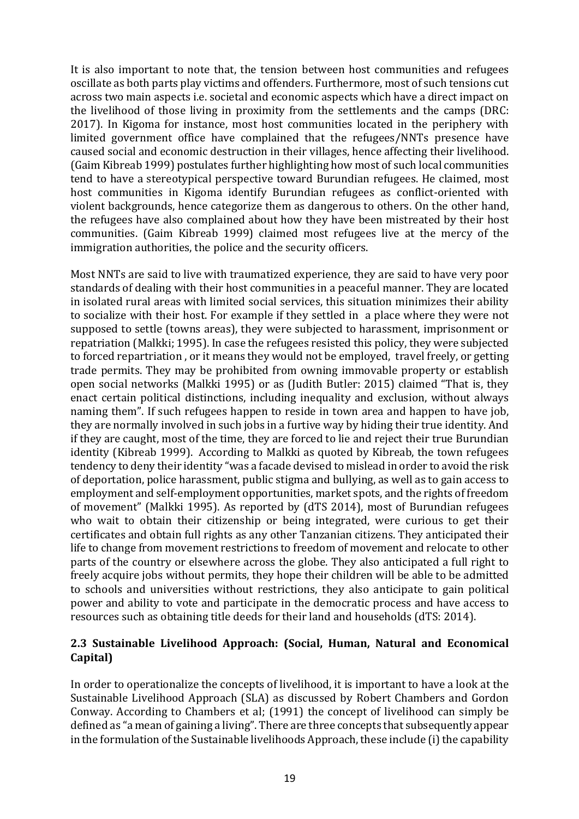It is also important to note that, the tension between host communities and refugees oscillate as both parts play victims and offenders. Furthermore, most of such tensions cut across two main aspects i.e. societal and economic aspects which have a direct impact on the livelihood of those living in proximity from the settlements and the camps (DRC: 2017). In Kigoma for instance, most host communities located in the periphery with limited government office have complained that the refugees/NNTs presence have caused social and economic destruction in their villages, hence affecting their livelihood. (Gaim Kibreab 1999) postulates further highlighting how most of such local communities tend to have a stereotypical perspective toward Burundian refugees. He claimed, most host communities in Kigoma identify Burundian refugees as conflict-oriented with violent backgrounds, hence categorize them as dangerous to others. On the other hand, the refugees have also complained about how they have been mistreated by their host communities. (Gaim Kibreab 1999) claimed most refugees live at the mercy of the immigration authorities, the police and the security officers.

Most NNTs are said to live with traumatized experience, they are said to have very poor standards of dealing with their host communities in a peaceful manner. They are located in isolated rural areas with limited social services, this situation minimizes their ability to socialize with their host. For example if they settled in a place where they were not supposed to settle (towns areas), they were subjected to harassment, imprisonment or repatriation (Malkki; 1995). In case the refugees resisted this policy, they were subjected to forced repartriation, or it means they would not be employed, travel freely, or getting trade permits. They may be prohibited from owning immovable property or establish open social networks (Malkki 1995) or as (Judith Butler: 2015) claimed "That is, they enact certain political distinctions, including inequality and exclusion, without always naming them". If such refugees happen to reside in town area and happen to have job, they are normally involved in such jobs in a furtive way by hiding their true identity. And if they are caught, most of the time, they are forced to lie and reject their true Burundian identity (Kibreab 1999). According to Malkki as quoted by Kibreab, the town refugees tendency to deny their identity "was a facade devised to mislead in order to avoid the risk of deportation, police harassment, public stigma and bullying, as well as to gain access to employment and self-employment opportunities, market spots, and the rights of freedom of movement" (Malkki 1995). As reported by (dTS 2014), most of Burundian refugees who wait to obtain their citizenship or being integrated, were curious to get their certificates and obtain full rights as any other Tanzanian citizens. They anticipated their life to change from movement restrictions to freedom of movement and relocate to other parts of the country or elsewhere across the globe. They also anticipated a full right to freely acquire jobs without permits, they hope their children will be able to be admitted to schools and universities without restrictions, they also anticipate to gain political power and ability to vote and participate in the democratic process and have access to resources such as obtaining title deeds for their land and households (dTS: 2014).

# 2.3 Sustainable Livelihood Approach: (Social, Human, Natural and Economical **Capital)**

In order to operationalize the concepts of livelihood, it is important to have a look at the Sustainable Livelihood Approach (SLA) as discussed by Robert Chambers and Gordon Conway. According to Chambers et al; (1991) the concept of livelihood can simply be defined as "a mean of gaining a living". There are three concepts that subsequently appear in the formulation of the Sustainable livelihoods Approach, these include (i) the capability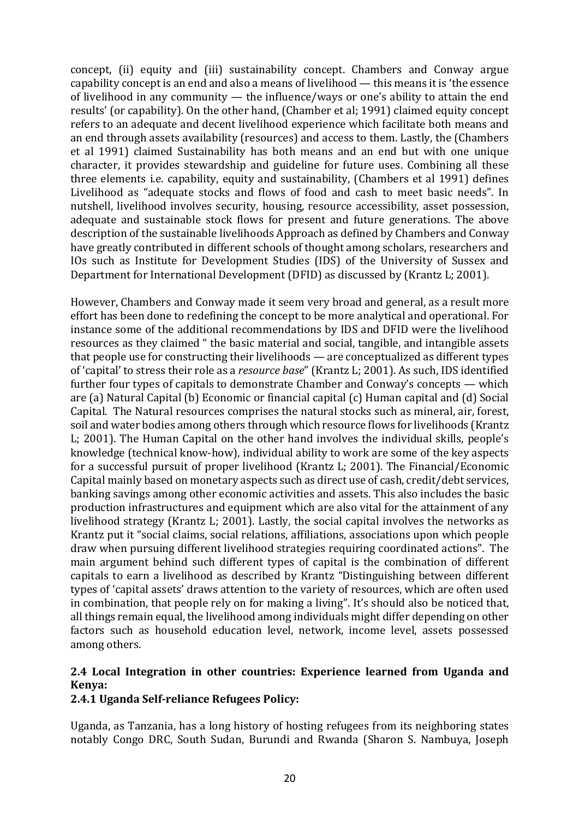concept, (ii) equity and (iii) sustainability concept. Chambers and Conway argue capability concept is an end and also a means of livelihood  $-$  this means it is 'the essence of livelihood in any community  $-$  the influence/ways or one's ability to attain the end results' (or capability). On the other hand, (Chamber et al; 1991) claimed equity concept refers to an adequate and decent livelihood experience which facilitate both means and an end through assets availability (resources) and access to them. Lastly, the (Chambers et al 1991) claimed Sustainability has both means and an end but with one unique character, it provides stewardship and guideline for future uses. Combining all these three elements i.e. capability, equity and sustainability, (Chambers et al 1991) defines Livelihood as "adequate stocks and flows of food and cash to meet basic needs". In nutshell, livelihood involves security, housing, resource accessibility, asset possession, adequate and sustainable stock flows for present and future generations. The above description of the sustainable livelihoods Approach as defined by Chambers and Conway have greatly contributed in different schools of thought among scholars, researchers and IOs such as Institute for Development Studies (IDS) of the University of Sussex and Department for International Development (DFID) as discussed by (Krantz L; 2001).

However, Chambers and Conway made it seem very broad and general, as a result more effort has been done to redefining the concept to be more analytical and operational. For instance some of the additional recommendations by IDS and DFID were the livelihood resources as they claimed " the basic material and social, tangible, and intangible assets that people use for constructing their livelihoods  $\rightharpoonup$  are conceptualized as different types of 'capital' to stress their role as a *resource base*" (Krantz L; 2001). As such, IDS identified further four types of capitals to demonstrate Chamber and Conway's concepts  $-$  which are (a) Natural Capital (b) Economic or financial capital  $(c)$  Human capital and  $(d)$  Social Capital. The Natural resources comprises the natural stocks such as mineral, air, forest, soil and water bodies among others through which resource flows for livelihoods (Krantz L; 2001). The Human Capital on the other hand involves the individual skills, people's knowledge (technical know-how), individual ability to work are some of the key aspects for a successful pursuit of proper livelihood (Krantz L: 2001). The Financial/Economic Capital mainly based on monetary aspects such as direct use of cash, credit/debt services, banking savings among other economic activities and assets. This also includes the basic production infrastructures and equipment which are also vital for the attainment of any livelihood strategy (Krantz L; 2001). Lastly, the social capital involves the networks as Krantz put it "social claims, social relations, affiliations, associations upon which people draw when pursuing different livelihood strategies requiring coordinated actions". The main argument behind such different types of capital is the combination of different capitals to earn a livelihood as described by Krantz "Distinguishing between different types of 'capital assets' draws attention to the variety of resources, which are often used in combination, that people rely on for making a living". It's should also be noticed that, all things remain equal, the livelihood among individuals might differ depending on other factors such as household education level, network, income level, assets possessed among others.

# 2.4 Local Integration in other countries: Experience learned from Uganda and **Kenya:**

# **2.4.1 Uganda Self-reliance Refugees Policy:**

Uganda, as Tanzania, has a long history of hosting refugees from its neighboring states notably Congo DRC, South Sudan, Burundi and Rwanda (Sharon S. Nambuya, Joseph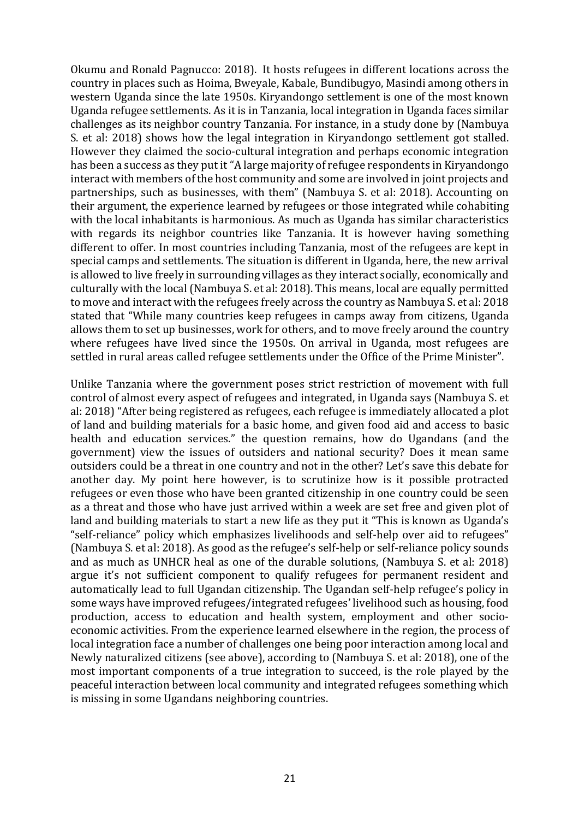Okumu and Ronald Pagnucco: 2018). It hosts refugees in different locations across the country in places such as Hoima, Bweyale, Kabale, Bundibugyo, Masindi among others in western Uganda since the late 1950s. Kiryandongo settlement is one of the most known Uganda refugee settlements. As it is in Tanzania, local integration in Uganda faces similar challenges as its neighbor country Tanzania. For instance, in a study done by (Nambuya S. et al: 2018) shows how the legal integration in Kiryandongo settlement got stalled. However they claimed the socio-cultural integration and perhaps economic integration has been a success as they put it "A large majority of refugee respondents in Kiryandongo interact with members of the host community and some are involved in joint projects and partnerships, such as businesses, with them" (Nambuya S. et al: 2018). Accounting on their argument, the experience learned by refugees or those integrated while cohabiting with the local inhabitants is harmonious. As much as Uganda has similar characteristics with regards its neighbor countries like Tanzania. It is however having something different to offer. In most countries including Tanzania, most of the refugees are kept in special camps and settlements. The situation is different in Uganda, here, the new arrival is allowed to live freely in surrounding villages as they interact socially, economically and culturally with the local (Nambuya S. et al: 2018). This means, local are equally permitted to move and interact with the refugees freely across the country as Nambuya S. et al: 2018 stated that "While many countries keep refugees in camps away from citizens, Uganda allows them to set up businesses, work for others, and to move freely around the country where refugees have lived since the 1950s. On arrival in Uganda, most refugees are settled in rural areas called refugee settlements under the Office of the Prime Minister".

Unlike Tanzania where the government poses strict restriction of movement with full control of almost every aspect of refugees and integrated, in Uganda says (Nambuya S. et al: 2018) "After being registered as refugees, each refugee is immediately allocated a plot of land and building materials for a basic home, and given food aid and access to basic health and education services." the question remains, how do Ugandans (and the government) view the issues of outsiders and national security? Does it mean same outsiders could be a threat in one country and not in the other? Let's save this debate for another day. My point here however, is to scrutinize how is it possible protracted refugees or even those who have been granted citizenship in one country could be seen as a threat and those who have just arrived within a week are set free and given plot of land and building materials to start a new life as they put it "This is known as Uganda's "self-reliance" policy which emphasizes livelihoods and self-help over aid to refugees" (Nambuya S. et al: 2018). As good as the refugee's self-help or self-reliance policy sounds and as much as UNHCR heal as one of the durable solutions, (Nambuya S. et al: 2018) argue it's not sufficient component to qualify refugees for permanent resident and automatically lead to full Ugandan citizenship. The Ugandan self-help refugee's policy in some ways have improved refugees/integrated refugees' livelihood such as housing, food production, access to education and health system, employment and other socioeconomic activities. From the experience learned elsewhere in the region, the process of local integration face a number of challenges one being poor interaction among local and Newly naturalized citizens (see above), according to (Nambuya S. et al: 2018), one of the most important components of a true integration to succeed, is the role played by the peaceful interaction between local community and integrated refugees something which is missing in some Ugandans neighboring countries.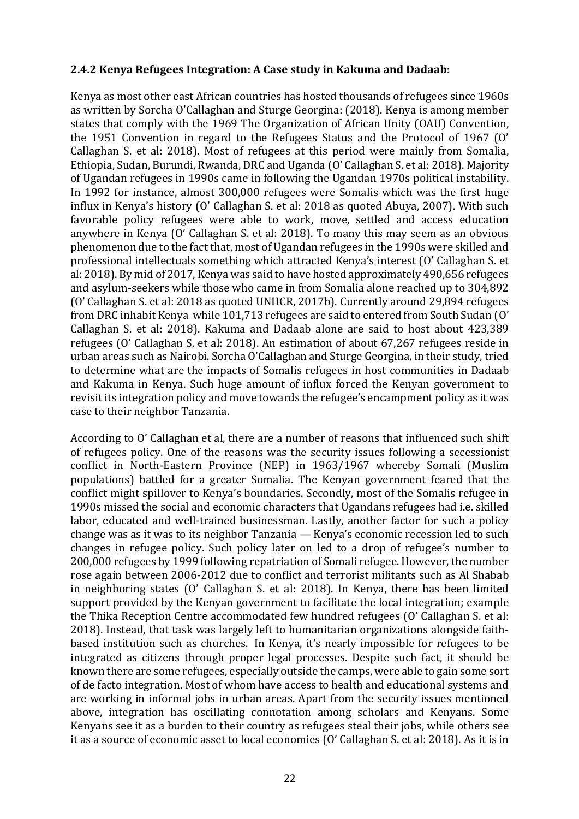#### **2.4.2 Kenya Refugees Integration: A Case study in Kakuma and Dadaab:**

Kenya as most other east African countries has hosted thousands of refugees since 1960s as written by Sorcha O'Callaghan and Sturge Georgina: (2018). Kenya is among member states that comply with the 1969 The Organization of African Unity (OAU) Convention, the 1951 Convention in regard to the Refugees Status and the Protocol of 1967 (O' Callaghan S. et al: 2018). Most of refugees at this period were mainly from Somalia, Ethiopia, Sudan, Burundi, Rwanda, DRC and Uganda (O' Callaghan S. et al: 2018). Majority of Ugandan refugees in 1990s came in following the Ugandan 1970s political instability. In 1992 for instance, almost 300,000 refugees were Somalis which was the first huge influx in Kenya's history (O' Callaghan S. et al: 2018 as quoted Abuya, 2007). With such favorable policy refugees were able to work, move, settled and access education anywhere in Kenya  $(0)$  Callaghan S, et al: 2018). To many this may seem as an obvious phenomenon due to the fact that, most of Ugandan refugees in the 1990s were skilled and professional intellectuals something which attracted Kenya's interest (O' Callaghan S. et al: 2018). By mid of 2017, Kenya was said to have hosted approximately 490,656 refugees and asylum-seekers while those who came in from Somalia alone reached up to 304,892 (O' Callaghan S. et al: 2018 as quoted UNHCR, 2017b). Currently around 29,894 refugees from DRC inhabit Kenya while 101,713 refugees are said to entered from South Sudan (O' Callaghan S. et al: 2018). Kakuma and Dadaab alone are said to host about 423,389 refugees (O' Callaghan S. et al: 2018). An estimation of about 67,267 refugees reside in urban areas such as Nairobi. Sorcha O'Callaghan and Sturge Georgina, in their study, tried to determine what are the impacts of Somalis refugees in host communities in Dadaab and Kakuma in Kenya. Such huge amount of influx forced the Kenyan government to revisit its integration policy and move towards the refugee's encampment policy as it was case to their neighbor Tanzania.

According to O' Callaghan et al, there are a number of reasons that influenced such shift of refugees policy. One of the reasons was the security issues following a secessionist conflict in North-Eastern Province (NEP) in 1963/1967 whereby Somali (Muslim populations) battled for a greater Somalia. The Kenyan government feared that the conflict might spillover to Kenya's boundaries. Secondly, most of the Somalis refugee in 1990s missed the social and economic characters that Ugandans refugees had i.e. skilled labor, educated and well-trained businessman. Lastly, another factor for such a policy change was as it was to its neighbor Tanzania — Kenya's economic recession led to such changes in refugee policy. Such policy later on led to a drop of refugee's number to 200,000 refugees by 1999 following repatriation of Somali refugee. However, the number rose again between 2006-2012 due to conflict and terrorist militants such as Al Shabab in neighboring states  $\overline{O}'$  Callaghan S. et al: 2018). In Kenya, there has been limited support provided by the Kenyan government to facilitate the local integration; example the Thika Reception Centre accommodated few hundred refugees (O' Callaghan S. et al: 2018). Instead, that task was largely left to humanitarian organizations alongside faithbased institution such as churches. In Kenya, it's nearly impossible for refugees to be integrated as citizens through proper legal processes. Despite such fact, it should be known there are some refugees, especially outside the camps, were able to gain some sort of de facto integration. Most of whom have access to health and educational systems and are working in informal jobs in urban areas. Apart from the security issues mentioned above, integration has oscillating connotation among scholars and Kenyans. Some Kenyans see it as a burden to their country as refugees steal their jobs, while others see it as a source of economic asset to local economies (O' Callaghan S, et al: 2018). As it is in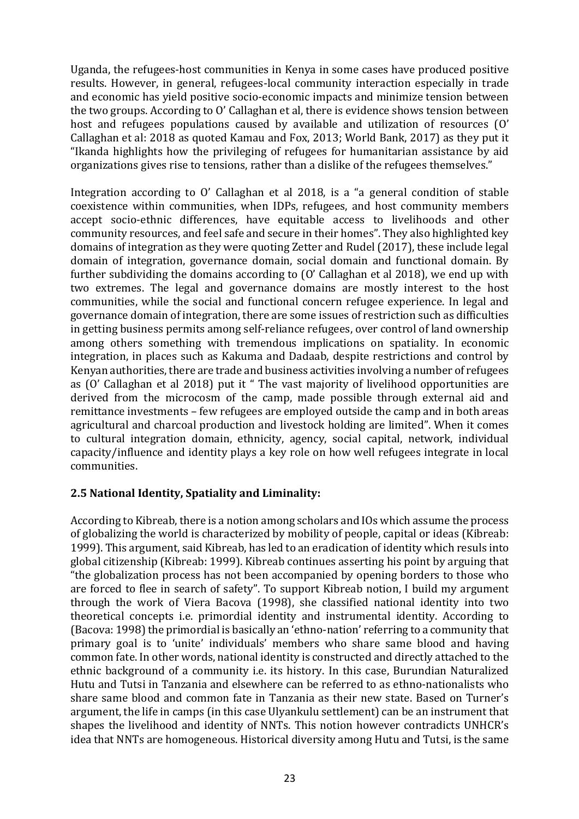Uganda, the refugees-host communities in Kenya in some cases have produced positive results. However, in general, refugees-local community interaction especially in trade and economic has yield positive socio-economic impacts and minimize tension between the two groups. According to O' Callaghan et al, there is evidence shows tension between host and refugees populations caused by available and utilization of resources  $(0')$ Callaghan et al: 2018 as quoted Kamau and Fox, 2013; World Bank, 2017) as they put it "Ikanda highlights how the privileging of refugees for humanitarian assistance by aid organizations gives rise to tensions, rather than a dislike of the refugees themselves."

Integration according to  $0'$  Callaghan et al 2018, is a "a general condition of stable coexistence within communities, when IDPs, refugees, and host community members accept socio-ethnic differences, have equitable access to livelihoods and other community resources, and feel safe and secure in their homes". They also highlighted key domains of integration as they were quoting Zetter and Rudel (2017), these include legal domain of integration, governance domain, social domain and functional domain. By further subdividing the domains according to  $(0)$  Callaghan et al 2018), we end up with two extremes. The legal and governance domains are mostly interest to the host communities, while the social and functional concern refugee experience. In legal and governance domain of integration, there are some issues of restriction such as difficulties in getting business permits among self-reliance refugees, over control of land ownership among others something with tremendous implications on spatiality. In economic integration, in places such as Kakuma and Dadaab, despite restrictions and control by Kenyan authorities, there are trade and business activities involving a number of refugees as (O' Callaghan et al 2018) put it " The vast majority of livelihood opportunities are derived from the microcosm of the camp, made possible through external aid and remittance investments – few refugees are employed outside the camp and in both areas agricultural and charcoal production and livestock holding are limited". When it comes to cultural integration domain, ethnicity, agency, social capital, network, individual capacity/influence and identity plays a key role on how well refugees integrate in local communities. 

# **2.5 National Identity, Spatiality and Liminality:**

According to Kibreab, there is a notion among scholars and IOs which assume the process of globalizing the world is characterized by mobility of people, capital or ideas (Kibreab: 1999). This argument, said Kibreab, has led to an eradication of identity which resuls into global citizenship (Kibreab: 1999). Kibreab continues asserting his point by arguing that "the globalization process has not been accompanied by opening borders to those who are forced to flee in search of safety". To support Kibreab notion, I build my argument through the work of Viera Bacova (1998), she classified national identity into two theoretical concepts i.e. primordial identity and instrumental identity. According to (Bacova: 1998) the primordial is basically an 'ethno-nation' referring to a community that primary goal is to 'unite' individuals' members who share same blood and having common fate. In other words, national identity is constructed and directly attached to the ethnic background of a community i.e. its history. In this case, Burundian Naturalized Hutu and Tutsi in Tanzania and elsewhere can be referred to as ethno-nationalists who share same blood and common fate in Tanzania as their new state. Based on Turner's argument, the life in camps (in this case Ulyankulu settlement) can be an instrument that shapes the livelihood and identity of NNTs. This notion however contradicts UNHCR's idea that NNTs are homogeneous. Historical diversity among Hutu and Tutsi, is the same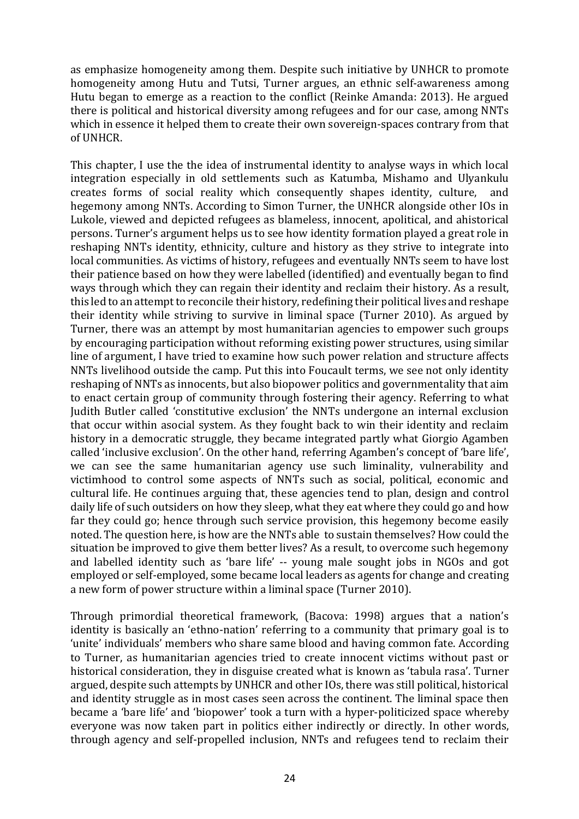as emphasize homogeneity among them. Despite such initiative by UNHCR to promote homogeneity among Hutu and Tutsi, Turner argues, an ethnic self-awareness among Hutu began to emerge as a reaction to the conflict (Reinke Amanda: 2013). He argued there is political and historical diversity among refugees and for our case, among NNTs which in essence it helped them to create their own sovereign-spaces contrary from that of UNHCR.

This chapter, I use the the idea of instrumental identity to analyse ways in which local integration especially in old settlements such as Katumba, Mishamo and Ulyankulu creates forms of social reality which consequently shapes identity, culture, and hegemony among NNTs. According to Simon Turner, the UNHCR alongside other IOs in Lukole, viewed and depicted refugees as blameless, innocent, apolitical, and ahistorical persons. Turner's argument helps us to see how identity formation played a great role in reshaping NNTs identity, ethnicity, culture and history as they strive to integrate into local communities. As victims of history, refugees and eventually NNTs seem to have lost their patience based on how they were labelled (identified) and eventually began to find ways through which they can regain their identity and reclaim their history. As a result, this led to an attempt to reconcile their history, redefining their political lives and reshape their identity while striving to survive in liminal space (Turner 2010). As argued by Turner, there was an attempt by most humanitarian agencies to empower such groups by encouraging participation without reforming existing power structures, using similar line of argument, I have tried to examine how such power relation and structure affects NNTs livelihood outside the camp. Put this into Foucault terms, we see not only identity reshaping of NNTs as innocents, but also biopower politics and governmentality that aim to enact certain group of community through fostering their agency. Referring to what Judith Butler called 'constitutive exclusion' the NNTs undergone an internal exclusion that occur within asocial system. As they fought back to win their identity and reclaim history in a democratic struggle, they became integrated partly what Giorgio Agamben called 'inclusive exclusion'. On the other hand, referring Agamben's concept of 'bare life', we can see the same humanitarian agency use such liminality, vulnerability and victimhood to control some aspects of NNTs such as social, political, economic and cultural life. He continues arguing that, these agencies tend to plan, design and control daily life of such outsiders on how they sleep, what they eat where they could go and how far they could go; hence through such service provision, this hegemony become easily noted. The question here, is how are the NNTs able to sustain themselves? How could the situation be improved to give them better lives? As a result, to overcome such hegemony and labelled identity such as 'bare life' -- young male sought jobs in NGOs and got employed or self-employed, some became local leaders as agents for change and creating a new form of power structure within a liminal space (Turner 2010).

Through primordial theoretical framework, (Bacova: 1998) argues that a nation's identity is basically an 'ethno-nation' referring to a community that primary goal is to 'unite' individuals' members who share same blood and having common fate. According to Turner, as humanitarian agencies tried to create innocent victims without past or historical consideration, they in disguise created what is known as 'tabula rasa'. Turner argued, despite such attempts by UNHCR and other IOs, there was still political, historical and identity struggle as in most cases seen across the continent. The liminal space then became a 'bare life' and 'biopower' took a turn with a hyper-politicized space whereby everyone was now taken part in politics either indirectly or directly. In other words, through agency and self-propelled inclusion. NNTs and refugees tend to reclaim their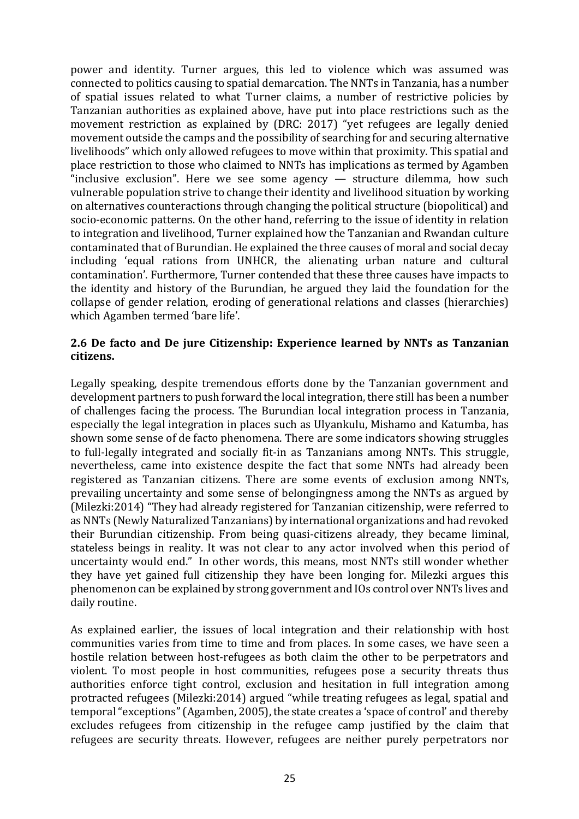power and identity. Turner argues, this led to violence which was assumed was connected to politics causing to spatial demarcation. The NNTs in Tanzania, has a number of spatial issues related to what Turner claims, a number of restrictive policies by Tanzanian authorities as explained above, have put into place restrictions such as the movement restriction as explained by (DRC: 2017) "yet refugees are legally denied movement outside the camps and the possibility of searching for and securing alternative livelihoods" which only allowed refugees to move within that proximity. This spatial and place restriction to those who claimed to NNTs has implications as termed by Agamben "inclusive exclusion". Here we see some agency  $-$  structure dilemma, how such vulnerable population strive to change their identity and livelihood situation by working on alternatives counteractions through changing the political structure (biopolitical) and socio-economic patterns. On the other hand, referring to the issue of identity in relation to integration and livelihood, Turner explained how the Tanzanian and Rwandan culture contaminated that of Burundian. He explained the three causes of moral and social decay including 'equal rations from UNHCR, the alienating urban nature and cultural contamination'. Furthermore, Turner contended that these three causes have impacts to the identity and history of the Burundian, he argued they laid the foundation for the collapse of gender relation, eroding of generational relations and classes (hierarchies) which Agamben termed 'bare life'.

# **2.6** De facto and De jure Citizenship: Experience learned by NNTs as Tanzanian **citizens.**

Legally speaking, despite tremendous efforts done by the Tanzanian government and development partners to push forward the local integration, there still has been a number of challenges facing the process. The Burundian local integration process in Tanzania, especially the legal integration in places such as Ulyankulu, Mishamo and Katumba, has shown some sense of de facto phenomena. There are some indicators showing struggles to full-legally integrated and socially fit-in as Tanzanians among NNTs. This struggle, nevertheless, came into existence despite the fact that some NNTs had already been registered as Tanzanian citizens. There are some events of exclusion among NNTs, prevailing uncertainty and some sense of belongingness among the NNTs as argued by (Milezki:2014) "They had already registered for Tanzanian citizenship, were referred to as NNTs (Newly Naturalized Tanzanians) by international organizations and had revoked their Burundian citizenship. From being quasi-citizens already, they became liminal, stateless beings in reality. It was not clear to any actor involved when this period of uncertainty would end." In other words, this means, most NNTs still wonder whether they have yet gained full citizenship they have been longing for. Milezki argues this phenomenon can be explained by strong government and IOs control over NNTs lives and daily routine.

As explained earlier, the issues of local integration and their relationship with host communities varies from time to time and from places. In some cases, we have seen a hostile relation between host-refugees as both claim the other to be perpetrators and violent. To most people in host communities, refugees pose a security threats thus authorities enforce tight control, exclusion and hesitation in full integration among protracted refugees (Milezki:2014) argued "while treating refugees as legal, spatial and temporal "exceptions" (Agamben, 2005), the state creates a 'space of control' and thereby excludes refugees from citizenship in the refugee camp justified by the claim that refugees are security threats. However, refugees are neither purely perpetrators nor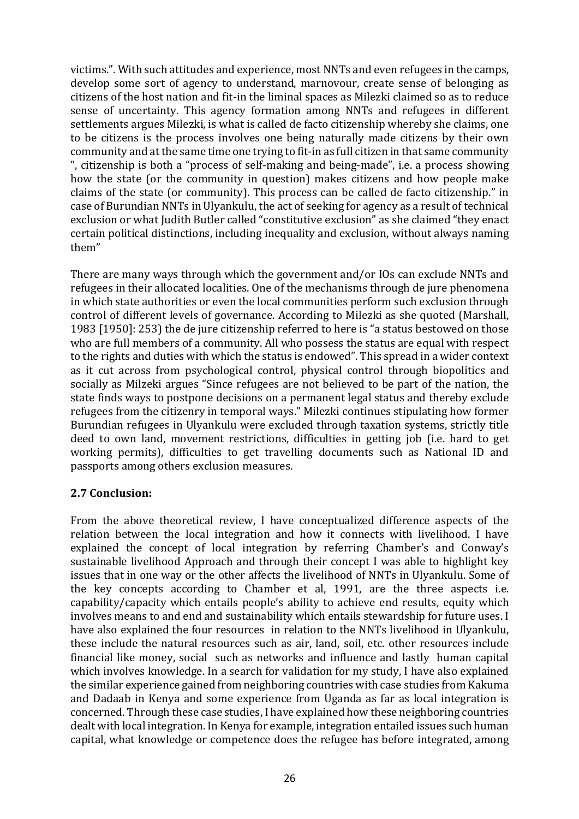victims.". With such attitudes and experience, most NNTs and even refugees in the camps, develop some sort of agency to understand, marnovour, create sense of belonging as citizens of the host nation and fit-in the liminal spaces as Milezki claimed so as to reduce sense of uncertainty. This agency formation among NNTs and refugees in different settlements argues Milezki, is what is called de facto citizenship whereby she claims, one to be citizens is the process involves one being naturally made citizens by their own community and at the same time one trying to fit-in as full citizen in that same community ", citizenship is both a "process of self-making and being-made", i.e. a process showing how the state (or the community in question) makes citizens and how people make claims of the state (or community). This process can be called de facto citizenship." in case of Burundian NNTs in Ulyankulu, the act of seeking for agency as a result of technical exclusion or what Judith Butler called "constitutive exclusion" as she claimed "they enact certain political distinctions, including inequality and exclusion, without always naming them" 

There are many ways through which the government and/or IOs can exclude NNTs and refugees in their allocated localities. One of the mechanisms through de jure phenomena in which state authorities or even the local communities perform such exclusion through control of different levels of governance. According to Milezki as she quoted (Marshall, 1983 [1950]: 253) the de jure citizenship referred to here is "a status bestowed on those who are full members of a community. All who possess the status are equal with respect to the rights and duties with which the status is endowed". This spread in a wider context as it cut across from psychological control, physical control through biopolitics and socially as Milzeki argues "Since refugees are not believed to be part of the nation, the state finds ways to postpone decisions on a permanent legal status and thereby exclude refugees from the citizenry in temporal ways." Milezki continues stipulating how former Burundian refugees in Ulyankulu were excluded through taxation systems, strictly title deed to own land, movement restrictions, difficulties in getting job (i.e. hard to get working permits), difficulties to get travelling documents such as National ID and passports among others exclusion measures.

# **2.7 Conclusion:**

From the above theoretical review, I have conceptualized difference aspects of the relation between the local integration and how it connects with livelihood. I have explained the concept of local integration by referring Chamber's and Conway's sustainable livelihood Approach and through their concept I was able to highlight key issues that in one way or the other affects the livelihood of NNTs in Ulyankulu. Some of the key concepts according to Chamber et al,  $1991$ , are the three aspects i.e. capability/capacity which entails people's ability to achieve end results, equity which involves means to and end and sustainability which entails stewardship for future uses. I have also explained the four resources in relation to the NNTs livelihood in Ulyankulu, these include the natural resources such as air, land, soil, etc. other resources include financial like money, social such as networks and influence and lastly human capital which involves knowledge. In a search for validation for my study, I have also explained the similar experience gained from neighboring countries with case studies from Kakuma and Dadaab in Kenya and some experience from Uganda as far as local integration is concerned. Through these case studies, I have explained how these neighboring countries dealt with local integration. In Kenya for example, integration entailed issues such human capital, what knowledge or competence does the refugee has before integrated, among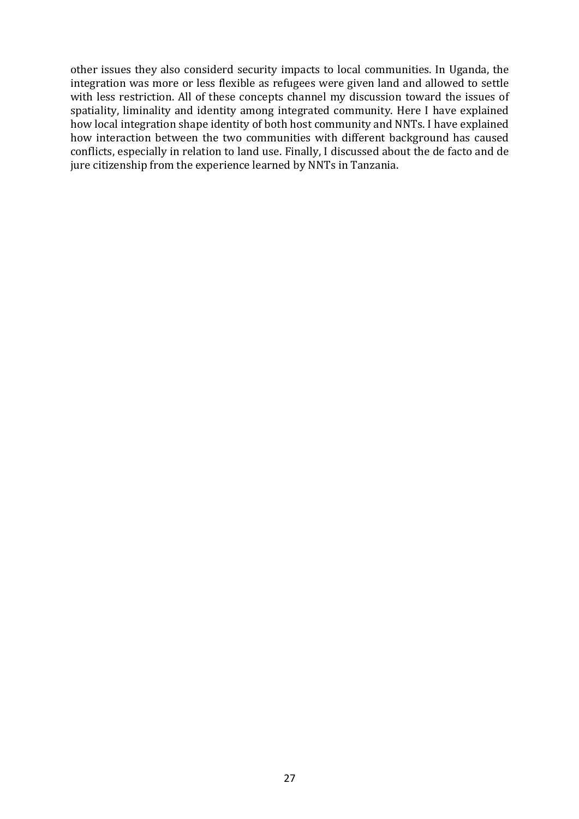other issues they also considerd security impacts to local communities. In Uganda, the integration was more or less flexible as refugees were given land and allowed to settle with less restriction. All of these concepts channel my discussion toward the issues of spatiality, liminality and identity among integrated community. Here I have explained how local integration shape identity of both host community and NNTs. I have explained how interaction between the two communities with different background has caused conflicts, especially in relation to land use. Finally, I discussed about the de facto and de jure citizenship from the experience learned by NNTs in Tanzania.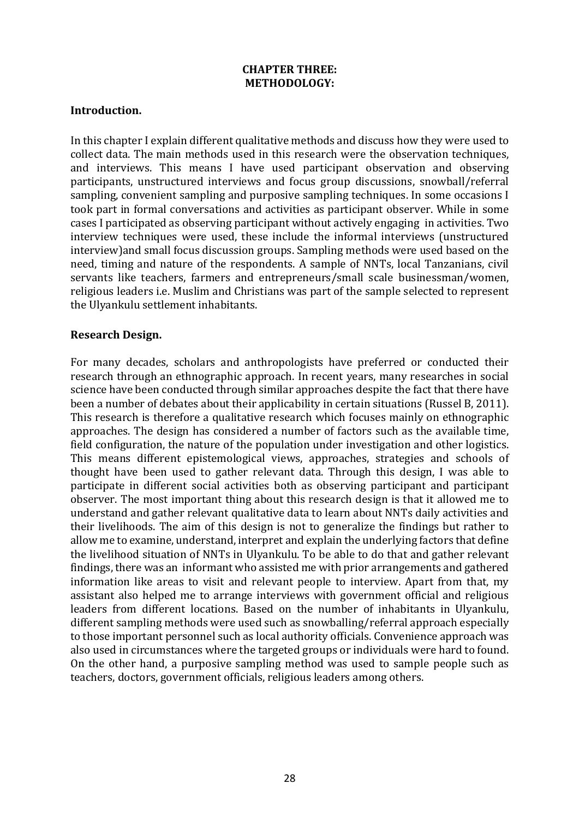#### **CHAPTER THREE: METHODOLOGY:**

#### **Introduction.**

In this chapter I explain different qualitative methods and discuss how they were used to collect data. The main methods used in this research were the observation techniques, and interviews. This means I have used participant observation and observing participants, unstructured interviews and focus group discussions, snowball/referral sampling, convenient sampling and purposive sampling techniques. In some occasions I took part in formal conversations and activities as participant observer. While in some cases I participated as observing participant without actively engaging in activities. Two interview techniques were used, these include the informal interviews (unstructured interview) and small focus discussion groups. Sampling methods were used based on the need, timing and nature of the respondents. A sample of NNTs, local Tanzanians, civil servants like teachers, farmers and entrepreneurs/small scale businessman/women, religious leaders i.e. Muslim and Christians was part of the sample selected to represent the Ulyankulu settlement inhabitants.

#### **Research Design.**

For many decades, scholars and anthropologists have preferred or conducted their research through an ethnographic approach. In recent years, many researches in social science have been conducted through similar approaches despite the fact that there have been a number of debates about their applicability in certain situations (Russel B, 2011). This research is therefore a qualitative research which focuses mainly on ethnographic approaches. The design has considered a number of factors such as the available time, field configuration, the nature of the population under investigation and other logistics. This means different epistemological views, approaches, strategies and schools of thought have been used to gather relevant data. Through this design, I was able to participate in different social activities both as observing participant and participant observer. The most important thing about this research design is that it allowed me to understand and gather relevant qualitative data to learn about NNTs daily activities and their livelihoods. The aim of this design is not to generalize the findings but rather to allow me to examine, understand, interpret and explain the underlying factors that define the livelihood situation of NNTs in Ulyankulu. To be able to do that and gather relevant findings, there was an informant who assisted me with prior arrangements and gathered information like areas to visit and relevant people to interview. Apart from that, my assistant also helped me to arrange interviews with government official and religious leaders from different locations. Based on the number of inhabitants in Ulyankulu, different sampling methods were used such as snowballing/referral approach especially to those important personnel such as local authority officials. Convenience approach was also used in circumstances where the targeted groups or individuals were hard to found. On the other hand, a purposive sampling method was used to sample people such as teachers, doctors, government officials, religious leaders among others.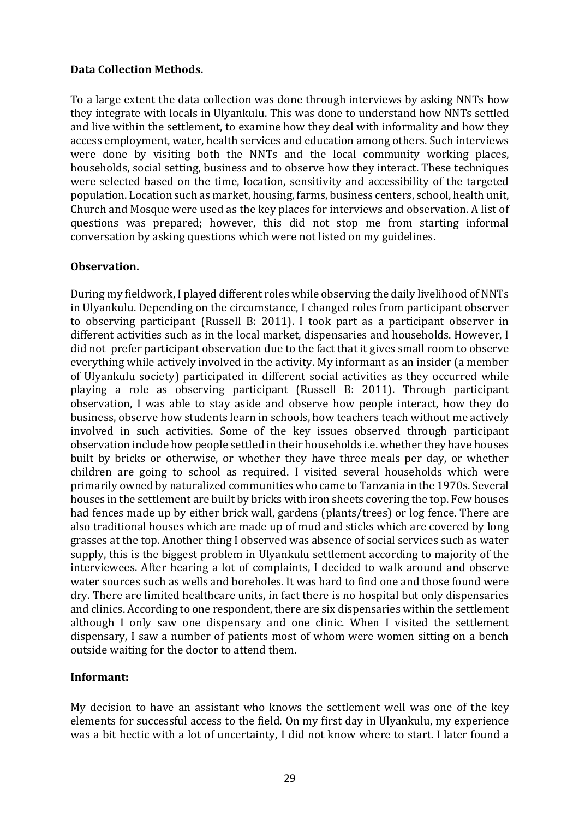## **Data Collection Methods.**

To a large extent the data collection was done through interviews by asking NNTs how they integrate with locals in Ulyankulu. This was done to understand how NNTs settled and live within the settlement, to examine how they deal with informality and how they access employment, water, health services and education among others. Such interviews were done by visiting both the NNTs and the local community working places, households, social setting, business and to observe how they interact. These techniques were selected based on the time, location, sensitivity and accessibility of the targeted population. Location such as market, housing, farms, business centers, school, health unit, Church and Mosque were used as the key places for interviews and observation. A list of questions was prepared; however, this did not stop me from starting informal conversation by asking questions which were not listed on my guidelines.

#### **Observation.**

During my fieldwork, I played different roles while observing the daily livelihood of NNTs in Ulyankulu. Depending on the circumstance, I changed roles from participant observer to observing participant (Russell B: 2011). I took part as a participant observer in different activities such as in the local market, dispensaries and households. However, I did not prefer participant observation due to the fact that it gives small room to observe everything while actively involved in the activity. My informant as an insider (a member of Ulyankulu society) participated in different social activities as they occurred while playing a role as observing participant (Russell B: 2011). Through participant observation, I was able to stay aside and observe how people interact, how they do business, observe how students learn in schools, how teachers teach without me actively involved in such activities. Some of the key issues observed through participant observation include how people settled in their households i.e. whether they have houses built by bricks or otherwise, or whether they have three meals per day, or whether children are going to school as required. I visited several households which were primarily owned by naturalized communities who came to Tanzania in the 1970s. Several houses in the settlement are built by bricks with iron sheets covering the top. Few houses had fences made up by either brick wall, gardens (plants/trees) or log fence. There are also traditional houses which are made up of mud and sticks which are covered by long grasses at the top. Another thing I observed was absence of social services such as water supply, this is the biggest problem in Ulyankulu settlement according to majority of the interviewees. After hearing a lot of complaints, I decided to walk around and observe water sources such as wells and boreholes. It was hard to find one and those found were dry. There are limited healthcare units, in fact there is no hospital but only dispensaries and clinics. According to one respondent, there are six dispensaries within the settlement although I only saw one dispensary and one clinic. When I visited the settlement dispensary, I saw a number of patients most of whom were women sitting on a bench outside waiting for the doctor to attend them.

# **Informant:**

My decision to have an assistant who knows the settlement well was one of the key elements for successful access to the field. On my first day in Ulyankulu, my experience was a bit hectic with a lot of uncertainty, I did not know where to start. I later found a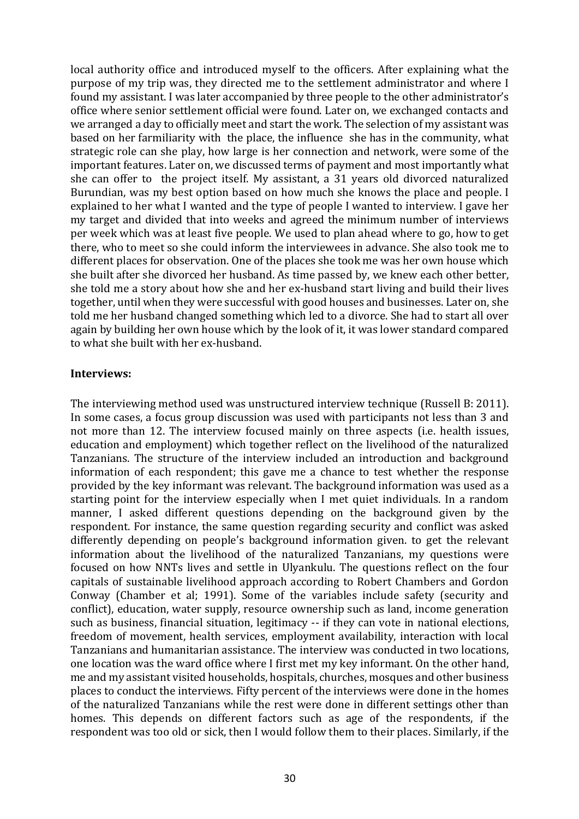local authority office and introduced myself to the officers. After explaining what the purpose of my trip was, they directed me to the settlement administrator and where I found my assistant. I was later accompanied by three people to the other administrator's office where senior settlement official were found. Later on, we exchanged contacts and we arranged a day to officially meet and start the work. The selection of my assistant was based on her farmiliarity with the place, the influence she has in the community, what strategic role can she play, how large is her connection and network, were some of the important features. Later on, we discussed terms of payment and most importantly what she can offer to the project itself. My assistant, a 31 years old divorced naturalized Burundian, was my best option based on how much she knows the place and people. I explained to her what I wanted and the type of people I wanted to interview. I gave her my target and divided that into weeks and agreed the minimum number of interviews per week which was at least five people. We used to plan ahead where to go, how to get there, who to meet so she could inform the interviewees in advance. She also took me to different places for observation. One of the places she took me was her own house which she built after she divorced her husband. As time passed by, we knew each other better, she told me a story about how she and her ex-husband start living and build their lives together, until when they were successful with good houses and businesses. Later on, she told me her husband changed something which led to a divorce. She had to start all over again by building her own house which by the look of it, it was lower standard compared to what she built with her ex-husband.

#### **Interviews:**

The interviewing method used was unstructured interview technique (Russell B: 2011). In some cases, a focus group discussion was used with participants not less than 3 and not more than 12. The interview focused mainly on three aspects (i.e. health issues, education and employment) which together reflect on the livelihood of the naturalized Tanzanians. The structure of the interview included an introduction and background information of each respondent; this gave me a chance to test whether the response provided by the key informant was relevant. The background information was used as a starting point for the interview especially when I met quiet individuals. In a random manner, I asked different questions depending on the background given by the respondent. For instance, the same question regarding security and conflict was asked differently depending on people's background information given, to get the relevant information about the livelihood of the naturalized Tanzanians, my questions were focused on how NNTs lives and settle in Ulyankulu. The questions reflect on the four capitals of sustainable livelihood approach according to Robert Chambers and Gordon Conway (Chamber et al; 1991). Some of the variables include safety (security and conflict), education, water supply, resource ownership such as land, income generation such as business, financial situation, legitimacy -- if they can vote in national elections, freedom of movement, health services, employment availability, interaction with local Tanzanians and humanitarian assistance. The interview was conducted in two locations, one location was the ward office where I first met my key informant. On the other hand, me and my assistant visited households, hospitals, churches, mosques and other business places to conduct the interviews. Fifty percent of the interviews were done in the homes of the naturalized Tanzanians while the rest were done in different settings other than homes. This depends on different factors such as age of the respondents, if the respondent was too old or sick, then I would follow them to their places. Similarly, if the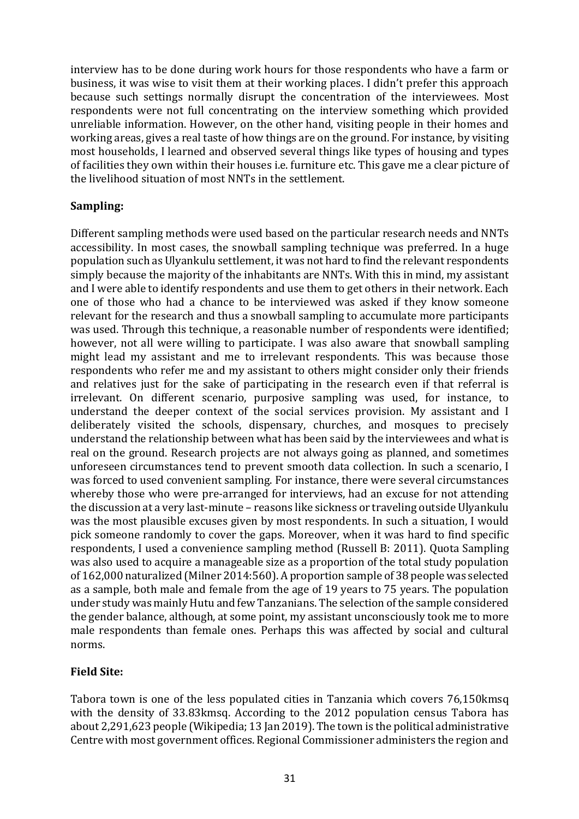interview has to be done during work hours for those respondents who have a farm or business, it was wise to visit them at their working places. I didn't prefer this approach because such settings normally disrupt the concentration of the interviewees. Most respondents were not full concentrating on the interview something which provided unreliable information. However, on the other hand, visiting people in their homes and working areas, gives a real taste of how things are on the ground. For instance, by visiting most households, I learned and observed several things like types of housing and types of facilities they own within their houses *i.e.* furniture etc. This gave me a clear picture of the livelihood situation of most NNTs in the settlement.

#### **Sampling:**

Different sampling methods were used based on the particular research needs and NNTs accessibility. In most cases, the snowball sampling technique was preferred. In a huge population such as Ulyankulu settlement, it was not hard to find the relevant respondents simply because the majority of the inhabitants are NNTs. With this in mind, my assistant and I were able to identify respondents and use them to get others in their network. Each one of those who had a chance to be interviewed was asked if they know someone relevant for the research and thus a snowball sampling to accumulate more participants was used. Through this technique, a reasonable number of respondents were identified; however, not all were willing to participate. I was also aware that snowball sampling might lead my assistant and me to irrelevant respondents. This was because those respondents who refer me and my assistant to others might consider only their friends and relatives just for the sake of participating in the research even if that referral is irrelevant. On different scenario, purposive sampling was used, for instance, to understand the deeper context of the social services provision. My assistant and I deliberately visited the schools, dispensary, churches, and mosques to precisely understand the relationship between what has been said by the interviewees and what is real on the ground. Research projects are not always going as planned, and sometimes unforeseen circumstances tend to prevent smooth data collection. In such a scenario, I was forced to used convenient sampling. For instance, there were several circumstances whereby those who were pre-arranged for interviews, had an excuse for not attending the discussion at a very last-minute – reasons like sickness or traveling outside Ulyankulu was the most plausible excuses given by most respondents. In such a situation, I would pick someone randomly to cover the gaps. Moreover, when it was hard to find specific respondents, I used a convenience sampling method (Russell B: 2011). Quota Sampling was also used to acquire a manageable size as a proportion of the total study population of 162,000 naturalized (Milner 2014:560). A proportion sample of 38 people was selected as a sample, both male and female from the age of 19 years to 75 years. The population under study was mainly Hutu and few Tanzanians. The selection of the sample considered the gender balance, although, at some point, my assistant unconsciously took me to more male respondents than female ones. Perhaps this was affected by social and cultural norms.

# **Field Site:**

Tabora town is one of the less populated cities in Tanzania which covers 76,150kmsq with the density of 33.83kmsq. According to the 2012 population census Tabora has about 2,291,623 people (Wikipedia; 13 Jan 2019). The town is the political administrative Centre with most government offices. Regional Commissioner administers the region and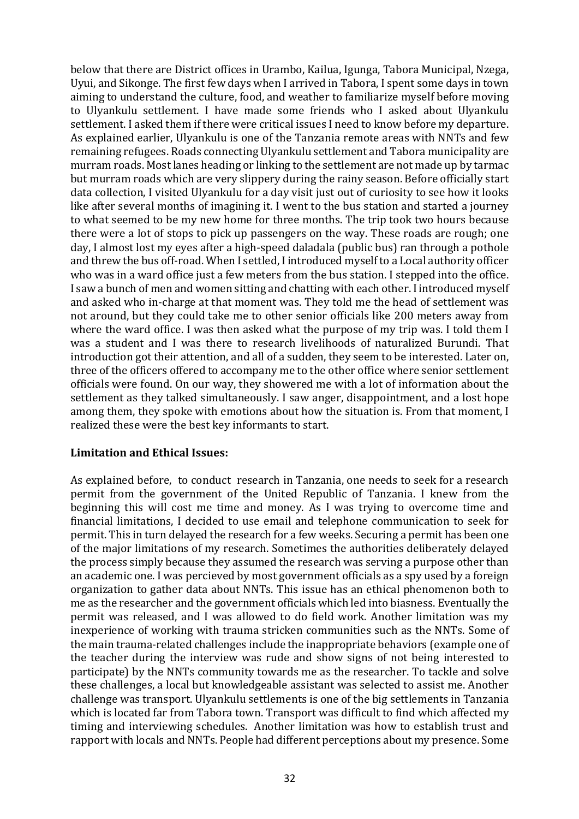below that there are District offices in Urambo, Kailua, Igunga, Tabora Municipal, Nzega, Uyui, and Sikonge. The first few days when I arrived in Tabora, I spent some days in town aiming to understand the culture, food, and weather to familiarize myself before moving to Ulyankulu settlement. I have made some friends who I asked about Ulyankulu settlement. I asked them if there were critical issues I need to know before my departure. As explained earlier, Ulyankulu is one of the Tanzania remote areas with NNTs and few remaining refugees. Roads connecting Ulyankulu settlement and Tabora municipality are murram roads. Most lanes heading or linking to the settlement are not made up by tarmac but murram roads which are very slippery during the rainy season. Before officially start data collection, I visited Ulyankulu for a day visit just out of curiosity to see how it looks like after several months of imagining it. I went to the bus station and started a journey to what seemed to be my new home for three months. The trip took two hours because there were a lot of stops to pick up passengers on the way. These roads are rough; one day, I almost lost my eyes after a high-speed daladala (public bus) ran through a pothole and threw the bus off-road. When I settled, I introduced myself to a Local authority officer who was in a ward office just a few meters from the bus station. I stepped into the office. I saw a bunch of men and women sitting and chatting with each other. I introduced myself and asked who in-charge at that moment was. They told me the head of settlement was not around, but they could take me to other senior officials like 200 meters away from where the ward office. I was then asked what the purpose of my trip was. I told them I was a student and I was there to research livelihoods of naturalized Burundi. That introduction got their attention, and all of a sudden, they seem to be interested. Later on, three of the officers offered to accompany me to the other office where senior settlement officials were found. On our way, they showered me with a lot of information about the settlement as they talked simultaneously. I saw anger, disappointment, and a lost hope among them, they spoke with emotions about how the situation is. From that moment, I realized these were the best key informants to start.

#### **Limitation and Ethical Issues:**

As explained before, to conduct research in Tanzania, one needs to seek for a research permit from the government of the United Republic of Tanzania. I knew from the beginning this will cost me time and money. As I was trying to overcome time and financial limitations, I decided to use email and telephone communication to seek for permit. This in turn delayed the research for a few weeks. Securing a permit has been one of the major limitations of my research. Sometimes the authorities deliberately delayed the process simply because they assumed the research was serving a purpose other than an academic one. I was percieved by most government officials as a spy used by a foreign organization to gather data about NNTs. This issue has an ethical phenomenon both to me as the researcher and the government officials which led into biasness. Eventually the permit was released, and I was allowed to do field work. Another limitation was my inexperience of working with trauma stricken communities such as the NNTs. Some of the main trauma-related challenges include the inappropriate behaviors (example one of the teacher during the interview was rude and show signs of not being interested to participate) by the NNTs community towards me as the researcher. To tackle and solve these challenges, a local but knowledgeable assistant was selected to assist me. Another challenge was transport. Ulyankulu settlements is one of the big settlements in Tanzania which is located far from Tabora town. Transport was difficult to find which affected my timing and interviewing schedules. Another limitation was how to establish trust and rapport with locals and NNTs. People had different perceptions about my presence. Some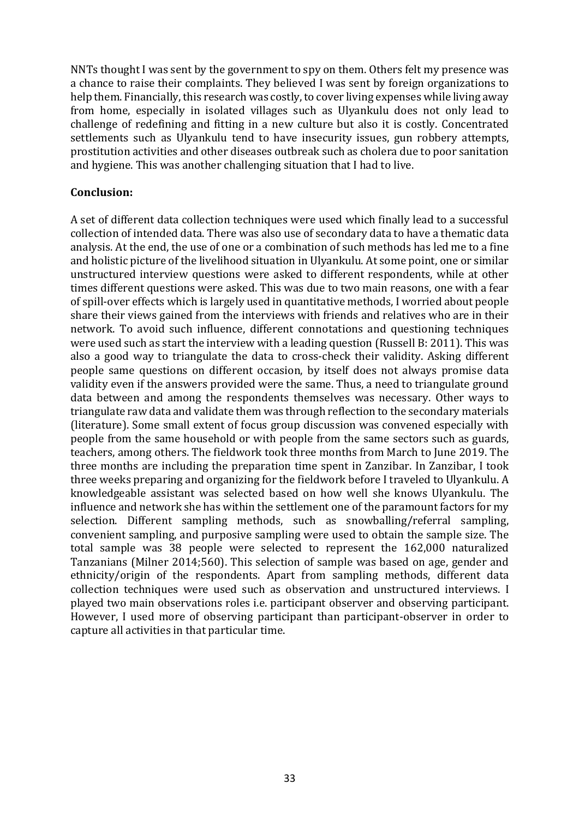NNTs thought I was sent by the government to spy on them. Others felt my presence was a chance to raise their complaints. They believed I was sent by foreign organizations to help them. Financially, this research was costly, to cover living expenses while living away from home, especially in isolated villages such as Ulyankulu does not only lead to challenge of redefining and fitting in a new culture but also it is costly. Concentrated settlements such as Ulyankulu tend to have insecurity issues, gun robbery attempts, prostitution activities and other diseases outbreak such as cholera due to poor sanitation and hygiene. This was another challenging situation that I had to live.

#### **Conclusion:**

A set of different data collection techniques were used which finally lead to a successful collection of intended data. There was also use of secondary data to have a thematic data analysis. At the end, the use of one or a combination of such methods has led me to a fine and holistic picture of the livelihood situation in Ulyankulu. At some point, one or similar unstructured interview questions were asked to different respondents, while at other times different questions were asked. This was due to two main reasons, one with a fear of spill-over effects which is largely used in quantitative methods, I worried about people share their views gained from the interviews with friends and relatives who are in their network. To avoid such influence, different connotations and questioning techniques were used such as start the interview with a leading question (Russell B: 2011). This was also a good way to triangulate the data to cross-check their validity. Asking different people same questions on different occasion, by itself does not always promise data validity even if the answers provided were the same. Thus, a need to triangulate ground data between and among the respondents themselves was necessary. Other ways to triangulate raw data and validate them was through reflection to the secondary materials (literature). Some small extent of focus group discussion was convened especially with people from the same household or with people from the same sectors such as guards, teachers, among others. The fieldwork took three months from March to June 2019. The three months are including the preparation time spent in Zanzibar. In Zanzibar, I took three weeks preparing and organizing for the fieldwork before I traveled to Ulyankulu. A knowledgeable assistant was selected based on how well she knows Ulyankulu. The influence and network she has within the settlement one of the paramount factors for my selection. Different sampling methods, such as snowballing/referral sampling, convenient sampling, and purposive sampling were used to obtain the sample size. The total sample was 38 people were selected to represent the 162,000 naturalized Tanzanians (Milner 2014;560). This selection of sample was based on age, gender and ethnicity/origin of the respondents. Apart from sampling methods, different data collection techniques were used such as observation and unstructured interviews. I played two main observations roles i.e. participant observer and observing participant. However, I used more of observing participant than participant-observer in order to capture all activities in that particular time.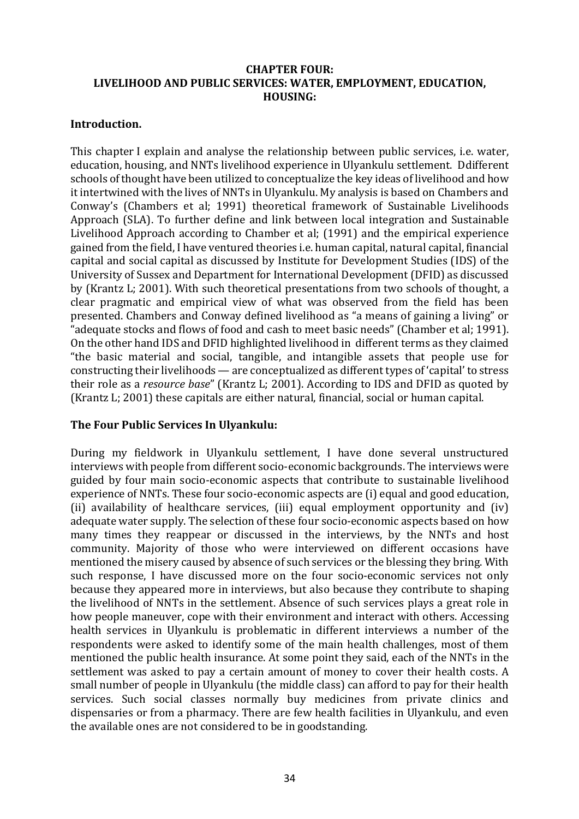## **CHAPTER FOUR:** LIVELIHOOD AND PUBLIC SERVICES: WATER, EMPLOYMENT, EDUCATION, **HOUSING:**

#### **Introduction.**

This chapter I explain and analyse the relationship between public services, i.e. water, education, housing, and NNTs livelihood experience in Ulyankulu settlement. Ddifferent schools of thought have been utilized to conceptualize the key ideas of livelihood and how it intertwined with the lives of NNTs in Ulyankulu. My analysis is based on Chambers and Conway's (Chambers et al; 1991) theoretical framework of Sustainable Livelihoods Approach (SLA). To further define and link between local integration and Sustainable Livelihood Approach according to Chamber et al; (1991) and the empirical experience gained from the field, I have ventured theories i.e. human capital, natural capital, financial capital and social capital as discussed by Institute for Development Studies (IDS) of the University of Sussex and Department for International Development (DFID) as discussed by (Krantz L; 2001). With such theoretical presentations from two schools of thought, a clear pragmatic and empirical view of what was observed from the field has been presented. Chambers and Conway defined livelihood as "a means of gaining a living" or "adequate stocks and flows of food and cash to meet basic needs" (Chamber et al; 1991). On the other hand IDS and DFID highlighted livelihood in different terms as they claimed "the basic material and social, tangible, and intangible assets that people use for constructing their livelihoods — are conceptualized as different types of 'capital' to stress their role as a *resource base*" (Krantz L; 2001). According to IDS and DFID as quoted by (Krantz L; 2001) these capitals are either natural, financial, social or human capital.

# **The Four Public Services In Ulvankulu:**

During my fieldwork in Ulyankulu settlement, I have done several unstructured interviews with people from different socio-economic backgrounds. The interviews were guided by four main socio-economic aspects that contribute to sustainable livelihood  $\overline{e}$  experience of NNTs. These four socio-economic aspects are (i) equal and good education, (ii) availability of healthcare services, (iii) equal employment opportunity and  $(iv)$ adequate water supply. The selection of these four socio-economic aspects based on how many times they reappear or discussed in the interviews, by the NNTs and host community. Majority of those who were interviewed on different occasions have mentioned the misery caused by absence of such services or the blessing they bring. With such response, I have discussed more on the four socio-economic services not only because they appeared more in interviews, but also because they contribute to shaping the livelihood of NNTs in the settlement. Absence of such services plays a great role in how people maneuver, cope with their environment and interact with others. Accessing health services in Ulyankulu is problematic in different interviews a number of the respondents were asked to identify some of the main health challenges, most of them mentioned the public health insurance. At some point they said, each of the NNTs in the settlement was asked to pay a certain amount of money to cover their health costs. A small number of people in Ulyankulu (the middle class) can afford to pay for their health services. Such social classes normally buy medicines from private clinics and dispensaries or from a pharmacy. There are few health facilities in Ulyankulu, and even the available ones are not considered to be in goodstanding.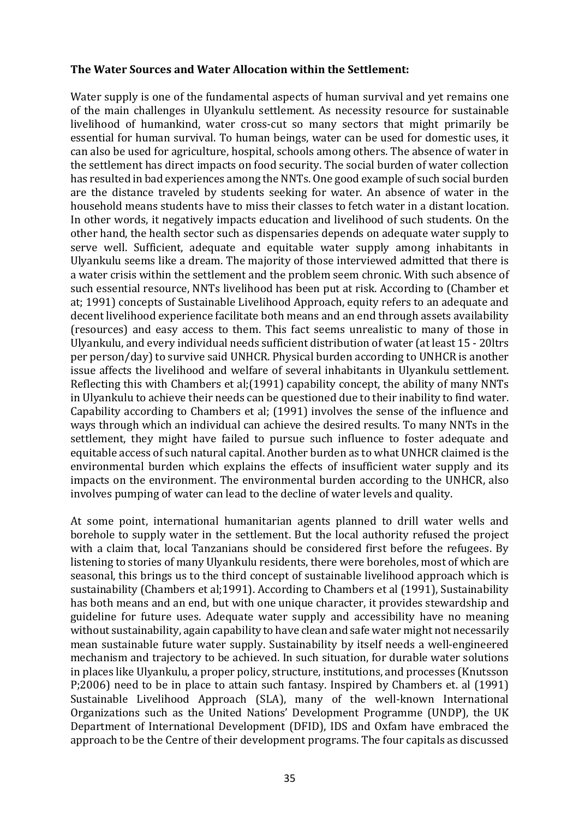#### The Water Sources and Water Allocation within the Settlement:

Water supply is one of the fundamental aspects of human survival and yet remains one of the main challenges in Ulyankulu settlement. As necessity resource for sustainable livelihood of humankind, water cross-cut so many sectors that might primarily be essential for human survival. To human beings, water can be used for domestic uses, it can also be used for agriculture, hospital, schools among others. The absence of water in the settlement has direct impacts on food security. The social burden of water collection has resulted in bad experiences among the NNTs. One good example of such social burden are the distance traveled by students seeking for water. An absence of water in the household means students have to miss their classes to fetch water in a distant location. In other words, it negatively impacts education and livelihood of such students. On the other hand, the health sector such as dispensaries depends on adequate water supply to serve well. Sufficient, adequate and equitable water supply among inhabitants in Ulyankulu seems like a dream. The majority of those interviewed admitted that there is a water crisis within the settlement and the problem seem chronic. With such absence of such essential resource, NNTs livelihood has been put at risk. According to (Chamber et at; 1991) concepts of Sustainable Livelihood Approach, equity refers to an adequate and decent livelihood experience facilitate both means and an end through assets availability (resources) and easy access to them. This fact seems unrealistic to many of those in Ulyankulu, and every individual needs sufficient distribution of water (at least 15 - 20ltrs per person/day) to survive said UNHCR. Physical burden according to UNHCR is another issue affects the livelihood and welfare of several inhabitants in Ulyankulu settlement. Reflecting this with Chambers et al;(1991) capability concept, the ability of many NNTs in Ulyankulu to achieve their needs can be questioned due to their inability to find water. Capability according to Chambers et al; (1991) involves the sense of the influence and ways through which an individual can achieve the desired results. To many NNTs in the settlement, they might have failed to pursue such influence to foster adequate and equitable access of such natural capital. Another burden as to what UNHCR claimed is the environmental burden which explains the effects of insufficient water supply and its impacts on the environment. The environmental burden according to the UNHCR, also involves pumping of water can lead to the decline of water levels and quality.

At some point, international humanitarian agents planned to drill water wells and borehole to supply water in the settlement. But the local authority refused the project with a claim that, local Tanzanians should be considered first before the refugees. By listening to stories of many Ulyankulu residents, there were boreholes, most of which are seasonal, this brings us to the third concept of sustainable livelihood approach which is sustainability (Chambers et al;1991). According to Chambers et al (1991), Sustainability has both means and an end, but with one unique character, it provides stewardship and guideline for future uses. Adequate water supply and accessibility have no meaning without sustainability, again capability to have clean and safe water might not necessarily mean sustainable future water supply. Sustainability by itself needs a well-engineered mechanism and trajectory to be achieved. In such situation, for durable water solutions in places like Ulyankulu, a proper policy, structure, institutions, and processes (Knutsson P;2006) need to be in place to attain such fantasy. Inspired by Chambers et. al (1991) Sustainable Livelihood Approach (SLA), many of the well-known International Organizations such as the United Nations' Development Programme (UNDP), the UK Department of International Development (DFID), IDS and Oxfam have embraced the approach to be the Centre of their development programs. The four capitals as discussed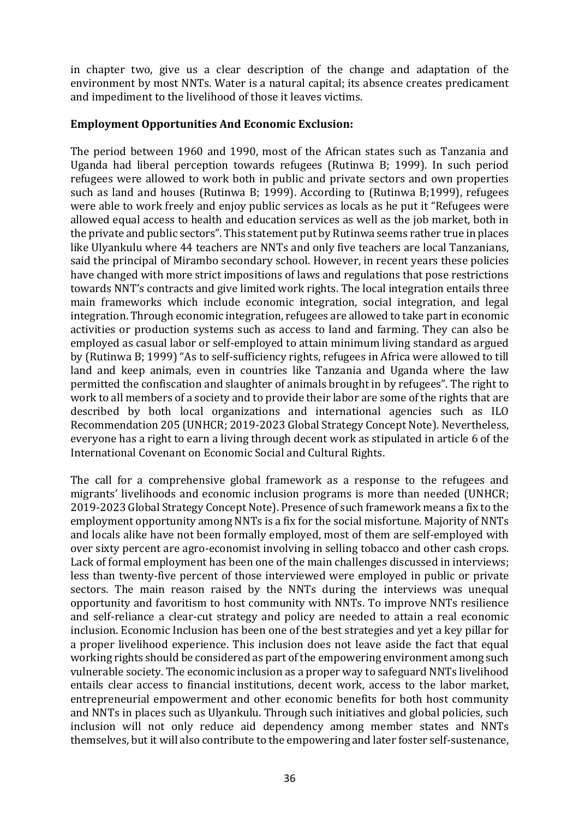in chapter two, give us a clear description of the change and adaptation of the environment by most NNTs. Water is a natural capital; its absence creates predicament and impediment to the livelihood of those it leaves victims.

#### **Employment Opportunities And Economic Exclusion:**

The period between 1960 and 1990, most of the African states such as Tanzania and Uganda had liberal perception towards refugees (Rutinwa B; 1999). In such period refugees were allowed to work both in public and private sectors and own properties such as land and houses (Rutinwa B; 1999). According to (Rutinwa B;1999), refugees were able to work freely and enjoy public services as locals as he put it "Refugees were allowed equal access to health and education services as well as the job market, both in the private and public sectors". This statement put by Rutinwa seems rather true in places like Ulyankulu where 44 teachers are NNTs and only five teachers are local Tanzanians, said the principal of Mirambo secondary school. However, in recent years these policies have changed with more strict impositions of laws and regulations that pose restrictions towards NNT's contracts and give limited work rights. The local integration entails three main frameworks which include economic integration, social integration, and legal integration. Through economic integration, refugees are allowed to take part in economic activities or production systems such as access to land and farming. They can also be employed as casual labor or self-employed to attain minimum living standard as argued by (Rutinwa B: 1999) "As to self-sufficiency rights, refugees in Africa were allowed to till land and keep animals, even in countries like Tanzania and Uganda where the law permitted the confiscation and slaughter of animals brought in by refugees". The right to work to all members of a society and to provide their labor are some of the rights that are described by both local organizations and international agencies such as ILO Recommendation 205 (UNHCR; 2019-2023 Global Strategy Concept Note). Nevertheless, everyone has a right to earn a living through decent work as stipulated in article 6 of the International Covenant on Economic Social and Cultural Rights.

The call for a comprehensive global framework as a response to the refugees and migrants' livelihoods and economic inclusion programs is more than needed (UNHCR; 2019-2023 Global Strategy Concept Note). Presence of such framework means a fix to the employment opportunity among NNTs is a fix for the social misfortune. Majority of NNTs and locals alike have not been formally employed, most of them are self-employed with over sixty percent are agro-economist involving in selling tobacco and other cash crops. Lack of formal employment has been one of the main challenges discussed in interviews; less than twenty-five percent of those interviewed were employed in public or private sectors. The main reason raised by the NNTs during the interviews was unequal opportunity and favoritism to host community with NNTs. To improve NNTs resilience and self-reliance a clear-cut strategy and policy are needed to attain a real economic inclusion. Economic Inclusion has been one of the best strategies and yet a key pillar for a proper livelihood experience. This inclusion does not leave aside the fact that equal working rights should be considered as part of the empowering environment among such vulnerable society. The economic inclusion as a proper way to safeguard NNTs livelihood entails clear access to financial institutions, decent work, access to the labor market, entrepreneurial empowerment and other economic benefits for both host community and NNTs in places such as Ulyankulu. Through such initiatives and global policies, such inclusion will not only reduce aid dependency among member states and NNTs themselves, but it will also contribute to the empowering and later foster self-sustenance,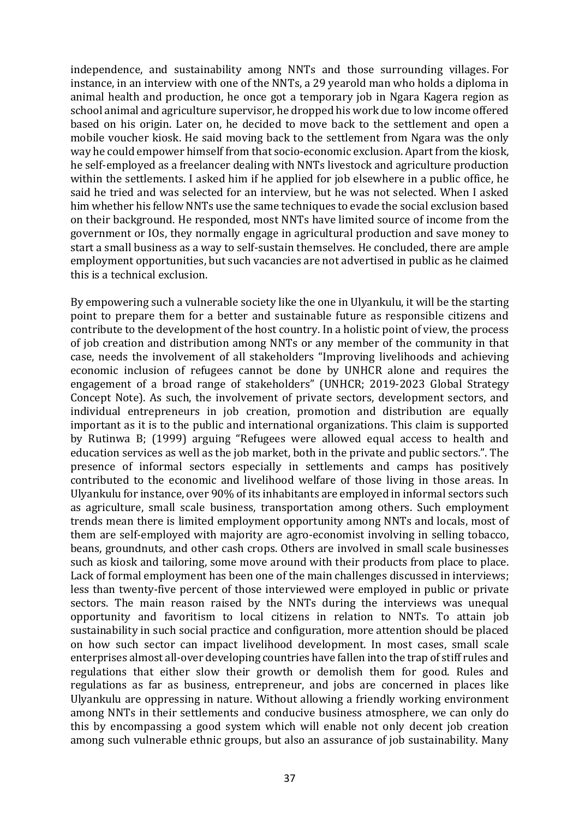independence, and sustainability among NNTs and those surrounding villages. For instance, in an interview with one of the NNTs, a 29 yearold man who holds a diploma in animal health and production, he once got a temporary job in Ngara Kagera region as school animal and agriculture supervisor, he dropped his work due to low income offered based on his origin. Later on, he decided to move back to the settlement and open a mobile voucher kiosk. He said moving back to the settlement from Ngara was the only way he could empower himself from that socio-economic exclusion. Apart from the kiosk, he self-employed as a freelancer dealing with NNTs livestock and agriculture production within the settlements. I asked him if he applied for job elsewhere in a public office, he said he tried and was selected for an interview, but he was not selected. When I asked him whether his fellow NNTs use the same techniques to evade the social exclusion based on their background. He responded, most NNTs have limited source of income from the government or IOs, they normally engage in agricultural production and save money to start a small business as a way to self-sustain themselves. He concluded, there are ample employment opportunities, but such vacancies are not advertised in public as he claimed this is a technical exclusion.

By empowering such a vulnerable society like the one in Ulyankulu, it will be the starting point to prepare them for a better and sustainable future as responsible citizens and contribute to the development of the host country. In a holistic point of view, the process of job creation and distribution among NNTs or any member of the community in that case, needs the involvement of all stakeholders "Improving livelihoods and achieving economic inclusion of refugees cannot be done by UNHCR alone and requires the engagement of a broad range of stakeholders" (UNHCR; 2019-2023 Global Strategy Concept Note). As such, the involvement of private sectors, development sectors, and individual entrepreneurs in job creation, promotion and distribution are equally important as it is to the public and international organizations. This claim is supported by Rutinwa B; (1999) arguing "Refugees were allowed equal access to health and education services as well as the job market, both in the private and public sectors.". The presence of informal sectors especially in settlements and camps has positively contributed to the economic and livelihood welfare of those living in those areas. In Ulyankulu for instance, over 90% of its inhabitants are employed in informal sectors such as agriculture, small scale business, transportation among others. Such employment trends mean there is limited employment opportunity among NNTs and locals, most of them are self-employed with majority are agro-economist involving in selling tobacco, beans, groundnuts, and other cash crops. Others are involved in small scale businesses such as kiosk and tailoring, some move around with their products from place to place. Lack of formal employment has been one of the main challenges discussed in interviews; less than twenty-five percent of those interviewed were employed in public or private sectors. The main reason raised by the NNTs during the interviews was unequal opportunity and favoritism to local citizens in relation to NNTs. To attain job sustainability in such social practice and configuration, more attention should be placed on how such sector can impact livelihood development. In most cases, small scale enterprises almost all-over developing countries have fallen into the trap of stiff rules and regulations that either slow their growth or demolish them for good. Rules and regulations as far as business, entrepreneur, and jobs are concerned in places like Ulyankulu are oppressing in nature. Without allowing a friendly working environment among NNTs in their settlements and conducive business atmosphere, we can only do this by encompassing a good system which will enable not only decent job creation among such vulnerable ethnic groups, but also an assurance of job sustainability. Many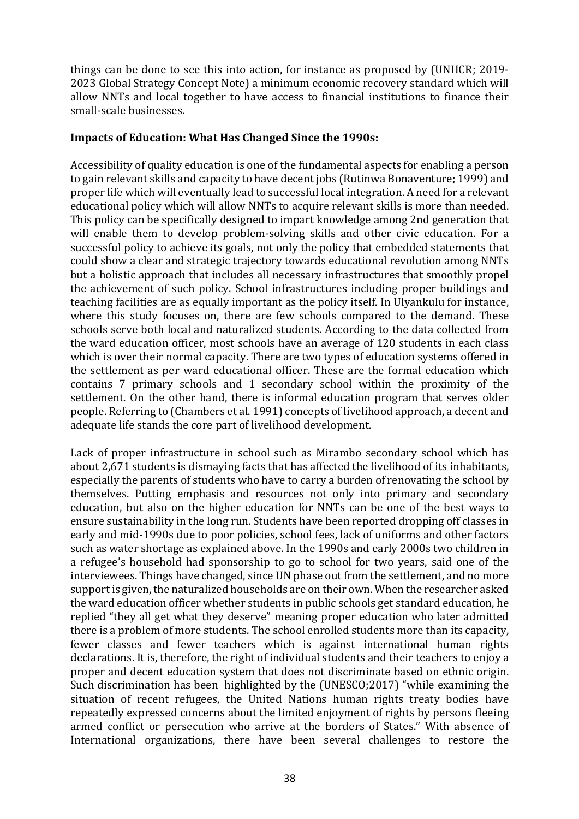things can be done to see this into action, for instance as proposed by (UNHCR; 2019-2023 Global Strategy Concept Note) a minimum economic recovery standard which will allow NNTs and local together to have access to financial institutions to finance their small-scale businesses.

### Impacts of Education: What Has Changed Since the 1990s:

Accessibility of quality education is one of the fundamental aspects for enabling a person to gain relevant skills and capacity to have decent jobs (Rutinwa Bonaventure; 1999) and proper life which will eventually lead to successful local integration. A need for a relevant educational policy which will allow NNTs to acquire relevant skills is more than needed. This policy can be specifically designed to impart knowledge among 2nd generation that will enable them to develop problem-solving skills and other civic education. For a successful policy to achieve its goals, not only the policy that embedded statements that could show a clear and strategic trajectory towards educational revolution among NNTs but a holistic approach that includes all necessary infrastructures that smoothly propel the achievement of such policy. School infrastructures including proper buildings and teaching facilities are as equally important as the policy itself. In Ulyankulu for instance, where this study focuses on, there are few schools compared to the demand. These schools serve both local and naturalized students. According to the data collected from the ward education officer, most schools have an average of 120 students in each class which is over their normal capacity. There are two types of education systems offered in the settlement as per ward educational officer. These are the formal education which contains 7 primary schools and 1 secondary school within the proximity of the settlement. On the other hand, there is informal education program that serves older people. Referring to (Chambers et al. 1991) concepts of livelihood approach, a decent and adequate life stands the core part of livelihood development.

Lack of proper infrastructure in school such as Mirambo secondary school which has about 2,671 students is dismaying facts that has affected the livelihood of its inhabitants, especially the parents of students who have to carry a burden of renovating the school by themselves. Putting emphasis and resources not only into primary and secondary education, but also on the higher education for NNTs can be one of the best ways to ensure sustainability in the long run. Students have been reported dropping off classes in early and mid-1990s due to poor policies, school fees, lack of uniforms and other factors such as water shortage as explained above. In the 1990s and early 2000s two children in a refugee's household had sponsorship to go to school for two years, said one of the interviewees. Things have changed, since UN phase out from the settlement, and no more support is given, the naturalized households are on their own. When the researcher asked the ward education officer whether students in public schools get standard education, he replied "they all get what they deserve" meaning proper education who later admitted there is a problem of more students. The school enrolled students more than its capacity, fewer classes and fewer teachers which is against international human rights declarations. It is, therefore, the right of individual students and their teachers to enjoy a proper and decent education system that does not discriminate based on ethnic origin. Such discrimination has been highlighted by the (UNESCO;2017) "while examining the situation of recent refugees, the United Nations human rights treaty bodies have repeatedly expressed concerns about the limited enjoyment of rights by persons fleeing armed conflict or persecution who arrive at the borders of States." With absence of International organizations, there have been several challenges to restore the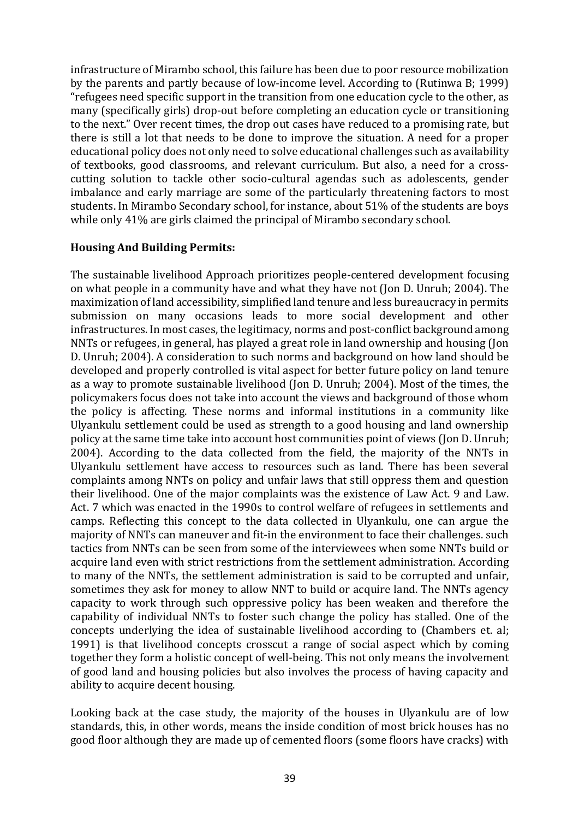infrastructure of Mirambo school, this failure has been due to poor resource mobilization by the parents and partly because of low-income level. According to (Rutinwa B; 1999) "refugees need specific support in the transition from one education cycle to the other, as many (specifically girls) drop-out before completing an education cycle or transitioning to the next." Over recent times, the drop out cases have reduced to a promising rate, but there is still a lot that needs to be done to improve the situation. A need for a proper educational policy does not only need to solve educational challenges such as availability of textbooks, good classrooms, and relevant curriculum. But also, a need for a crosscutting solution to tackle other socio-cultural agendas such as adolescents, gender imbalance and early marriage are some of the particularly threatening factors to most students. In Mirambo Secondary school, for instance, about 51% of the students are boys while only 41% are girls claimed the principal of Mirambo secondary school.

### **Housing And Building Permits:**

The sustainable livelihood Approach prioritizes people-centered development focusing on what people in a community have and what they have not (Jon D. Unruh; 2004). The maximization of land accessibility, simplified land tenure and less bureaucracy in permits submission on many occasions leads to more social development and other infrastructures. In most cases, the legitimacy, norms and post-conflict background among NNTs or refugees, in general, has played a great role in land ownership and housing (Jon D. Unruh: 2004). A consideration to such norms and background on how land should be developed and properly controlled is vital aspect for better future policy on land tenure as a way to promote sustainable livelihood (Jon D. Unruh; 2004). Most of the times, the policymakers focus does not take into account the views and background of those whom the policy is affecting. These norms and informal institutions in a community like Ulyankulu settlement could be used as strength to a good housing and land ownership policy at the same time take into account host communities point of views (Jon D. Unruh; 2004). According to the data collected from the field, the majority of the NNTs in Ulyankulu settlement have access to resources such as land. There has been several complaints among NNTs on policy and unfair laws that still oppress them and question their livelihood. One of the major complaints was the existence of Law Act. 9 and Law. Act. 7 which was enacted in the 1990s to control welfare of refugees in settlements and camps. Reflecting this concept to the data collected in Ulyankulu, one can argue the majority of NNTs can maneuver and fit-in the environment to face their challenges, such tactics from NNTs can be seen from some of the interviewees when some NNTs build or acquire land even with strict restrictions from the settlement administration. According to many of the NNTs, the settlement administration is said to be corrupted and unfair, sometimes they ask for money to allow NNT to build or acquire land. The NNTs agency capacity to work through such oppressive policy has been weaken and therefore the capability of individual NNTs to foster such change the policy has stalled. One of the concepts underlying the idea of sustainable livelihood according to (Chambers et. al; 1991) is that livelihood concepts crosscut a range of social aspect which by coming together they form a holistic concept of well-being. This not only means the involvement of good land and housing policies but also involves the process of having capacity and ability to acquire decent housing.

Looking back at the case study, the majority of the houses in Ulyankulu are of low standards, this, in other words, means the inside condition of most brick houses has no good floor although they are made up of cemented floors (some floors have cracks) with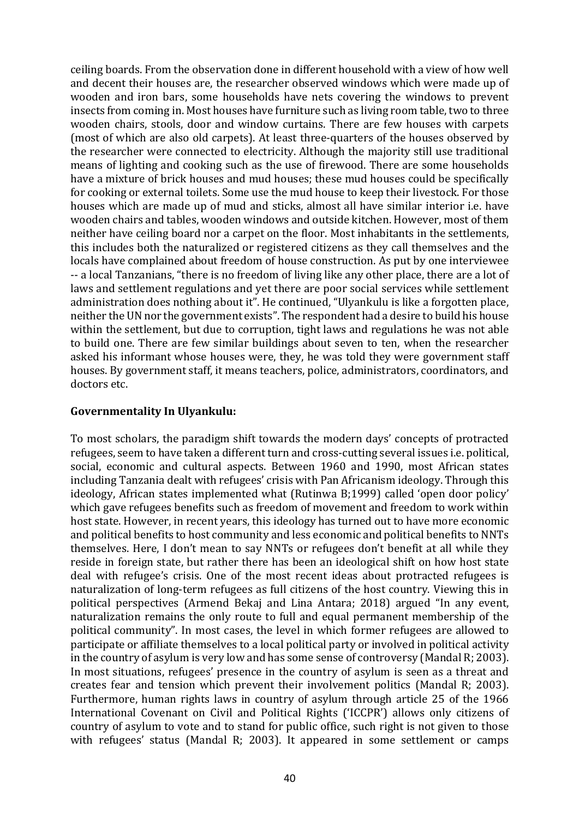ceiling boards. From the observation done in different household with a view of how well and decent their houses are, the researcher observed windows which were made up of wooden and iron bars, some households have nets covering the windows to prevent insects from coming in. Most houses have furniture such as living room table, two to three wooden chairs, stools, door and window curtains. There are few houses with carpets (most of which are also old carpets). At least three-quarters of the houses observed by the researcher were connected to electricity. Although the majority still use traditional means of lighting and cooking such as the use of firewood. There are some households have a mixture of brick houses and mud houses; these mud houses could be specifically for cooking or external toilets. Some use the mud house to keep their livestock. For those houses which are made up of mud and sticks, almost all have similar interior i.e. have wooden chairs and tables, wooden windows and outside kitchen. However, most of them neither have ceiling board nor a carpet on the floor. Most inhabitants in the settlements, this includes both the naturalized or registered citizens as they call themselves and the locals have complained about freedom of house construction. As put by one interviewee -- a local Tanzanians, "there is no freedom of living like any other place, there are a lot of laws and settlement regulations and yet there are poor social services while settlement administration does nothing about it". He continued, "Ulyankulu is like a forgotten place, neither the UN nor the government exists". The respondent had a desire to build his house within the settlement, but due to corruption, tight laws and regulations he was not able to build one. There are few similar buildings about seven to ten, when the researcher asked his informant whose houses were, they, he was told they were government staff houses. By government staff, it means teachers, police, administrators, coordinators, and doctors etc.

### **Governmentality In Ulyankulu:**

To most scholars, the paradigm shift towards the modern days' concepts of protracted refugees, seem to have taken a different turn and cross-cutting several issues *i.e.* political, social, economic and cultural aspects. Between 1960 and 1990, most African states including Tanzania dealt with refugees' crisis with Pan Africanism ideology. Through this ideology, African states implemented what (Rutinwa B;1999) called 'open door policy' which gave refugees benefits such as freedom of movement and freedom to work within host state. However, in recent years, this ideology has turned out to have more economic and political benefits to host community and less economic and political benefits to NNTs themselves. Here, I don't mean to say NNTs or refugees don't benefit at all while they reside in foreign state, but rather there has been an ideological shift on how host state deal with refugee's crisis. One of the most recent ideas about protracted refugees is naturalization of long-term refugees as full citizens of the host country. Viewing this in political perspectives (Armend Bekaj and Lina Antara; 2018) argued "In any event, naturalization remains the only route to full and equal permanent membership of the political community". In most cases, the level in which former refugees are allowed to participate or affiliate themselves to a local political party or involved in political activity in the country of asylum is very low and has some sense of controversy (Mandal R; 2003). In most situations, refugees' presence in the country of asylum is seen as a threat and creates fear and tension which prevent their involvement politics (Mandal R; 2003). Furthermore, human rights laws in country of asylum through article 25 of the 1966 International Covenant on Civil and Political Rights ('ICCPR') allows only citizens of country of asylum to vote and to stand for public office, such right is not given to those with refugees' status (Mandal R; 2003). It appeared in some settlement or camps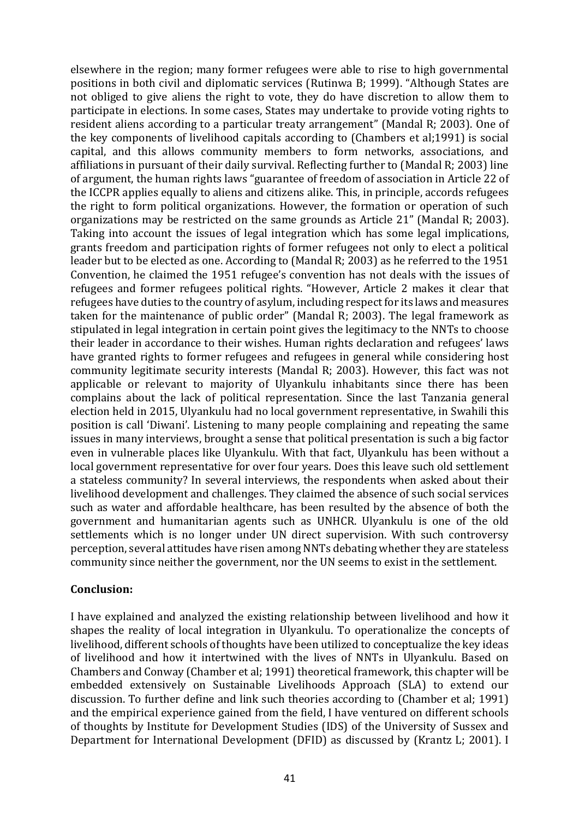elsewhere in the region; many former refugees were able to rise to high governmental positions in both civil and diplomatic services (Rutinwa B; 1999). "Although States are not obliged to give aliens the right to vote, they do have discretion to allow them to participate in elections. In some cases, States may undertake to provide voting rights to resident aliens according to a particular treaty arrangement" (Mandal R: 2003). One of the key components of livelihood capitals according to (Chambers et al;1991) is social capital, and this allows community members to form networks, associations, and affiliations in pursuant of their daily survival. Reflecting further to (Mandal R; 2003) line of argument, the human rights laws "guarantee of freedom of association in Article 22 of the ICCPR applies equally to aliens and citizens alike. This, in principle, accords refugees the right to form political organizations. However, the formation or operation of such organizations may be restricted on the same grounds as Article 21" (Mandal R; 2003). Taking into account the issues of legal integration which has some legal implications, grants freedom and participation rights of former refugees not only to elect a political leader but to be elected as one. According to (Mandal R; 2003) as he referred to the 1951 Convention, he claimed the 1951 refugee's convention has not deals with the issues of refugees and former refugees political rights. "However, Article 2 makes it clear that refugees have duties to the country of asylum, including respect for its laws and measures taken for the maintenance of public order" (Mandal R: 2003). The legal framework as stipulated in legal integration in certain point gives the legitimacy to the NNTs to choose their leader in accordance to their wishes. Human rights declaration and refugees' laws have granted rights to former refugees and refugees in general while considering host community legitimate security interests (Mandal R; 2003). However, this fact was not applicable or relevant to majority of Ulyankulu inhabitants since there has been complains about the lack of political representation. Since the last Tanzania general election held in 2015, Ulyankulu had no local government representative, in Swahili this position is call 'Diwani'. Listening to many people complaining and repeating the same issues in many interviews, brought a sense that political presentation is such a big factor even in vulnerable places like Ulyankulu. With that fact, Ulyankulu has been without a local government representative for over four vears. Does this leave such old settlement a stateless community? In several interviews, the respondents when asked about their livelihood development and challenges. They claimed the absence of such social services such as water and affordable healthcare, has been resulted by the absence of both the government and humanitarian agents such as UNHCR. Ulyankulu is one of the old settlements which is no longer under UN direct supervision. With such controversy perception, several attitudes have risen among NNTs debating whether they are stateless community since neither the government, nor the UN seems to exist in the settlement.

#### **Conclusion:**

I have explained and analyzed the existing relationship between livelihood and how it shapes the reality of local integration in Ulyankulu. To operationalize the concepts of livelihood, different schools of thoughts have been utilized to conceptualize the key ideas of livelihood and how it intertwined with the lives of NNTs in Ulyankulu. Based on Chambers and Conway (Chamber et al; 1991) theoretical framework, this chapter will be embedded extensively on Sustainable Livelihoods Approach (SLA) to extend our discussion. To further define and link such theories according to (Chamber et al: 1991) and the empirical experience gained from the field, I have ventured on different schools of thoughts by Institute for Development Studies (IDS) of the University of Sussex and Department for International Development (DFID) as discussed by (Krantz L; 2001). I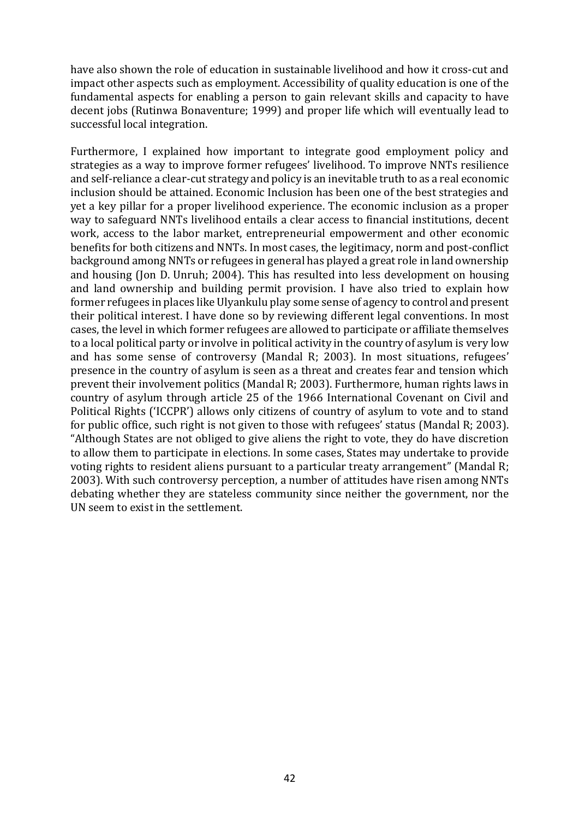have also shown the role of education in sustainable livelihood and how it cross-cut and impact other aspects such as employment. Accessibility of quality education is one of the fundamental aspects for enabling a person to gain relevant skills and capacity to have decent jobs (Rutinwa Bonaventure; 1999) and proper life which will eventually lead to successful local integration.

Furthermore, I explained how important to integrate good employment policy and strategies as a way to improve former refugees' livelihood. To improve NNTs resilience and self-reliance a clear-cut strategy and policy is an inevitable truth to as a real economic inclusion should be attained. Economic Inclusion has been one of the best strategies and yet a key pillar for a proper livelihood experience. The economic inclusion as a proper way to safeguard NNTs livelihood entails a clear access to financial institutions, decent work, access to the labor market, entrepreneurial empowerment and other economic benefits for both citizens and NNTs. In most cases, the legitimacy, norm and post-conflict background among NNTs or refugees in general has played a great role in land ownership and housing (Jon D. Unruh; 2004). This has resulted into less development on housing and land ownership and building permit provision. I have also tried to explain how former refugees in places like Ulyankulu play some sense of agency to control and present their political interest. I have done so by reviewing different legal conventions. In most cases, the level in which former refugees are allowed to participate or affiliate themselves to a local political party or involve in political activity in the country of asylum is very low and has some sense of controversy (Mandal R; 2003). In most situations, refugees' presence in the country of asylum is seen as a threat and creates fear and tension which prevent their involvement politics (Mandal R; 2003). Furthermore, human rights laws in country of asylum through article 25 of the 1966 International Covenant on Civil and Political Rights ('ICCPR') allows only citizens of country of asylum to vote and to stand for public office, such right is not given to those with refugees' status (Mandal R: 2003). "Although States are not obliged to give aliens the right to vote, they do have discretion to allow them to participate in elections. In some cases, States may undertake to provide voting rights to resident aliens pursuant to a particular treaty arrangement" (Mandal R; 2003). With such controversy perception, a number of attitudes have risen among NNTs debating whether they are stateless community since neither the government, nor the UN seem to exist in the settlement.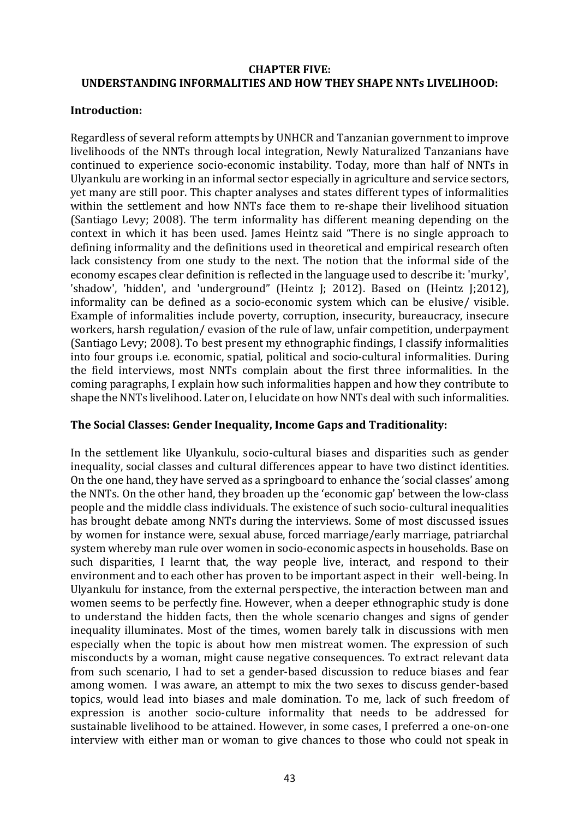### **CHAPTER FIVE: UNDERSTANDING INFORMALITIES AND HOW THEY SHAPE NNTs LIVELIHOOD:**

### **Introduction:**

Regardless of several reform attempts by UNHCR and Tanzanian government to improve livelihoods of the NNTs through local integration, Newly Naturalized Tanzanians have continued to experience socio-economic instability. Today, more than half of NNTs in Ulyankulu are working in an informal sector especially in agriculture and service sectors, yet many are still poor. This chapter analyses and states different types of informalities within the settlement and how NNTs face them to re-shape their livelihood situation (Santiago Levy; 2008). The term informality has different meaning depending on the context in which it has been used. James Heintz said "There is no single approach to defining informality and the definitions used in theoretical and empirical research often lack consistency from one study to the next. The notion that the informal side of the economy escapes clear definition is reflected in the language used to describe it: 'murky', 'shadow', 'hidden', and 'underground" (Heintz J; 2012). Based on (Heintz J;2012), informality can be defined as a socio-economic system which can be elusive/ visible. Example of informalities include poverty, corruption, insecurity, bureaucracy, insecure workers, harsh regulation/ evasion of the rule of law, unfair competition, underpayment (Santiago Levy; 2008). To best present my ethnographic findings, I classify informalities into four groups *i.e.* economic, spatial, political and socio-cultural informalities. During the field interviews, most NNTs complain about the first three informalities. In the coming paragraphs, I explain how such informalities happen and how they contribute to shape the NNTs livelihood. Later on, I elucidate on how NNTs deal with such informalities.

## **The Social Classes: Gender Inequality, Income Gaps and Traditionality:**

In the settlement like Ulyankulu, socio-cultural biases and disparities such as gender inequality, social classes and cultural differences appear to have two distinct identities. On the one hand, they have served as a springboard to enhance the 'social classes' among the NNTs. On the other hand, they broaden up the 'economic gap' between the low-class people and the middle class individuals. The existence of such socio-cultural inequalities has brought debate among NNTs during the interviews. Some of most discussed issues by women for instance were, sexual abuse, forced marriage/early marriage, patriarchal system whereby man rule over women in socio-economic aspects in households. Base on such disparities, I learnt that, the way people live, interact, and respond to their environment and to each other has proven to be important aspect in their well-being. In Ulyankulu for instance, from the external perspective, the interaction between man and women seems to be perfectly fine. However, when a deeper ethnographic study is done to understand the hidden facts, then the whole scenario changes and signs of gender inequality illuminates. Most of the times, women barely talk in discussions with men especially when the topic is about how men mistreat women. The expression of such misconducts by a woman, might cause negative consequences. To extract relevant data from such scenario, I had to set a gender-based discussion to reduce biases and fear among women. I was aware, an attempt to mix the two sexes to discuss gender-based topics, would lead into biases and male domination. To me, lack of such freedom of expression is another socio-culture informality that needs to be addressed for sustainable livelihood to be attained. However, in some cases, I preferred a one-on-one interview with either man or woman to give chances to those who could not speak in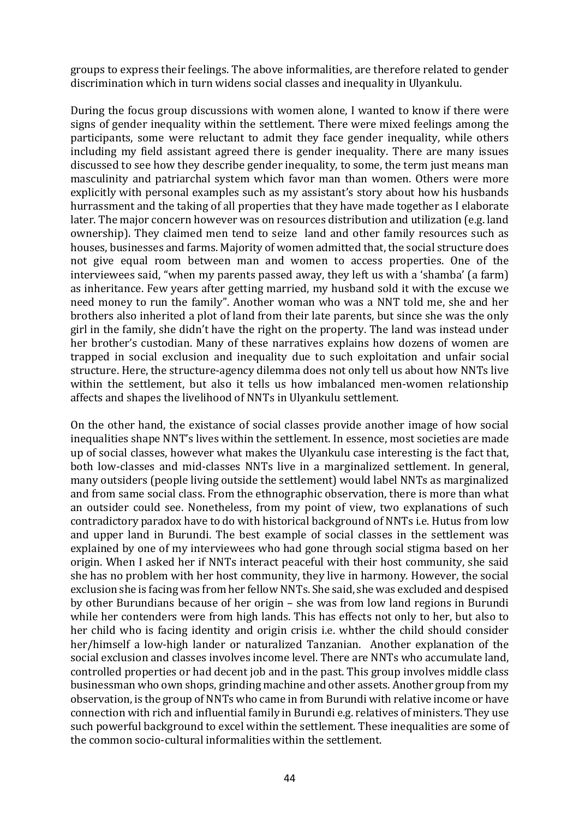groups to express their feelings. The above informalities, are therefore related to gender discrimination which in turn widens social classes and inequality in Ulyankulu.

During the focus group discussions with women alone, I wanted to know if there were signs of gender inequality within the settlement. There were mixed feelings among the participants, some were reluctant to admit they face gender inequality, while others including my field assistant agreed there is gender inequality. There are many issues discussed to see how they describe gender inequality, to some, the term just means man masculinity and patriarchal system which favor man than women. Others were more explicitly with personal examples such as my assistant's story about how his husbands hurrassment and the taking of all properties that they have made together as I elaborate later. The major concern however was on resources distribution and utilization (e.g. land ownership). They claimed men tend to seize land and other family resources such as houses, businesses and farms. Majority of women admitted that, the social structure does not give equal room between man and women to access properties. One of the interviewees said, "when my parents passed away, they left us with a 'shamba' (a farm) as inheritance. Few years after getting married, my husband sold it with the excuse we need money to run the family". Another woman who was a NNT told me, she and her brothers also inherited a plot of land from their late parents, but since she was the only girl in the family, she didn't have the right on the property. The land was instead under her brother's custodian. Many of these narratives explains how dozens of women are trapped in social exclusion and inequality due to such exploitation and unfair social structure. Here, the structure-agency dilemma does not only tell us about how NNTs live within the settlement, but also it tells us how imbalanced men-women relationship affects and shapes the livelihood of NNTs in Ulyankulu settlement.

On the other hand, the existance of social classes provide another image of how social inequalities shape NNT's lives within the settlement. In essence, most societies are made up of social classes, however what makes the Ulyankulu case interesting is the fact that, both low-classes and mid-classes NNTs live in a marginalized settlement. In general, many outsiders (people living outside the settlement) would label NNTs as marginalized and from same social class. From the ethnographic observation, there is more than what an outsider could see. Nonetheless, from my point of view, two explanations of such contradictory paradox have to do with historical background of NNTs i.e. Hutus from low and upper land in Burundi. The best example of social classes in the settlement was explained by one of my interviewees who had gone through social stigma based on her origin. When I asked her if NNTs interact peaceful with their host community, she said she has no problem with her host community, they live in harmony. However, the social exclusion she is facing was from her fellow NNTs. She said, she was excluded and despised by other Burundians because of her origin – she was from low land regions in Burundi while her contenders were from high lands. This has effects not only to her, but also to her child who is facing identity and origin crisis i.e. whther the child should consider her/himself a low-high lander or naturalized Tanzanian. Another explanation of the social exclusion and classes involves income level. There are NNTs who accumulate land, controlled properties or had decent job and in the past. This group involves middle class businessman who own shops, grinding machine and other assets. Another group from my observation, is the group of NNTs who came in from Burundi with relative income or have connection with rich and influential family in Burundi e.g. relatives of ministers. They use such powerful background to excel within the settlement. These inequalities are some of the common socio-cultural informalities within the settlement.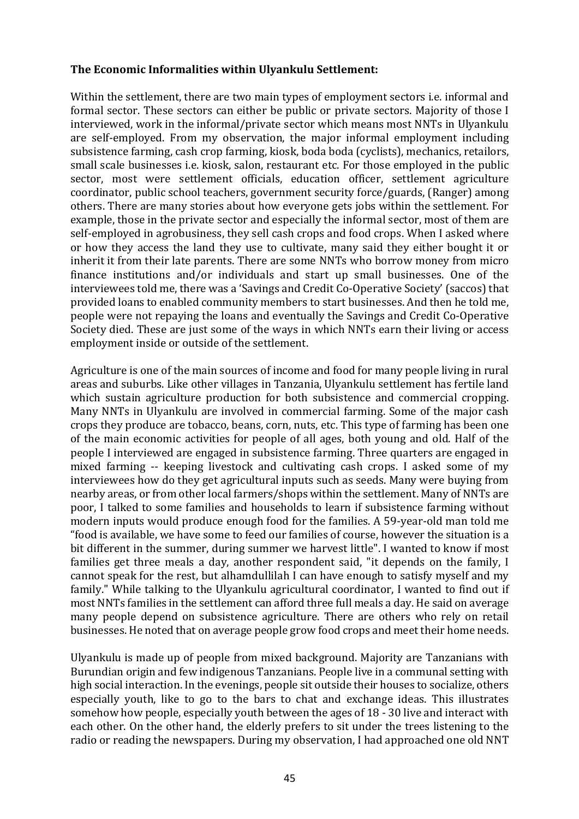### The Economic Informalities within Ulyankulu Settlement:

Within the settlement, there are two main types of employment sectors *i.e.* informal and formal sector. These sectors can either be public or private sectors. Majority of those I interviewed, work in the informal/private sector which means most NNTs in Ulyankulu are self-employed. From my observation, the major informal employment including subsistence farming, cash crop farming, kiosk, boda boda (cyclists), mechanics, retailors, small scale businesses i.e. kiosk, salon, restaurant etc. For those employed in the public sector, most were settlement officials, education officer, settlement agriculture coordinator, public school teachers, government security force/guards, (Ranger) among others. There are many stories about how everyone gets jobs within the settlement. For example, those in the private sector and especially the informal sector, most of them are self-employed in agrobusiness, they sell cash crops and food crops. When I asked where or how they access the land they use to cultivate, many said they either bought it or inherit it from their late parents. There are some NNTs who borrow money from micro finance institutions and/or individuals and start up small businesses. One of the interviewees told me, there was a 'Savings and Credit Co-Operative Society' (saccos) that provided loans to enabled community members to start businesses. And then he told me, people were not repaying the loans and eventually the Savings and Credit Co-Operative Society died. These are just some of the ways in which NNTs earn their living or access employment inside or outside of the settlement.

Agriculture is one of the main sources of income and food for many people living in rural areas and suburbs. Like other villages in Tanzania, Ulyankulu settlement has fertile land which sustain agriculture production for both subsistence and commercial cropping. Many NNTs in Ulyankulu are involved in commercial farming. Some of the major cash crops they produce are tobacco, beans, corn, nuts, etc. This type of farming has been one of the main economic activities for people of all ages, both young and old. Half of the people I interviewed are engaged in subsistence farming. Three quarters are engaged in mixed farming -- keeping livestock and cultivating cash crops. I asked some of my interviewees how do they get agricultural inputs such as seeds. Many were buying from nearby areas, or from other local farmers/shops within the settlement. Many of NNTs are poor. I talked to some families and households to learn if subsistence farming without modern inputs would produce enough food for the families. A 59-year-old man told me "food is available, we have some to feed our families of course, however the situation is a bit different in the summer, during summer we harvest little". I wanted to know if most families get three meals a day, another respondent said, "it depends on the family, I cannot speak for the rest, but alhamdullilah I can have enough to satisfy myself and my family." While talking to the Ulyankulu agricultural coordinator, I wanted to find out if most NNTs families in the settlement can afford three full meals a day. He said on average many people depend on subsistence agriculture. There are others who rely on retail businesses. He noted that on average people grow food crops and meet their home needs.

Ulyankulu is made up of people from mixed background. Majority are Tanzanians with Burundian origin and few indigenous Tanzanians. People live in a communal setting with high social interaction. In the evenings, people sit outside their houses to socialize, others especially youth, like to go to the bars to chat and exchange ideas. This illustrates somehow how people, especially youth between the ages of 18 - 30 live and interact with each other. On the other hand, the elderly prefers to sit under the trees listening to the radio or reading the newspapers. During my observation, I had approached one old NNT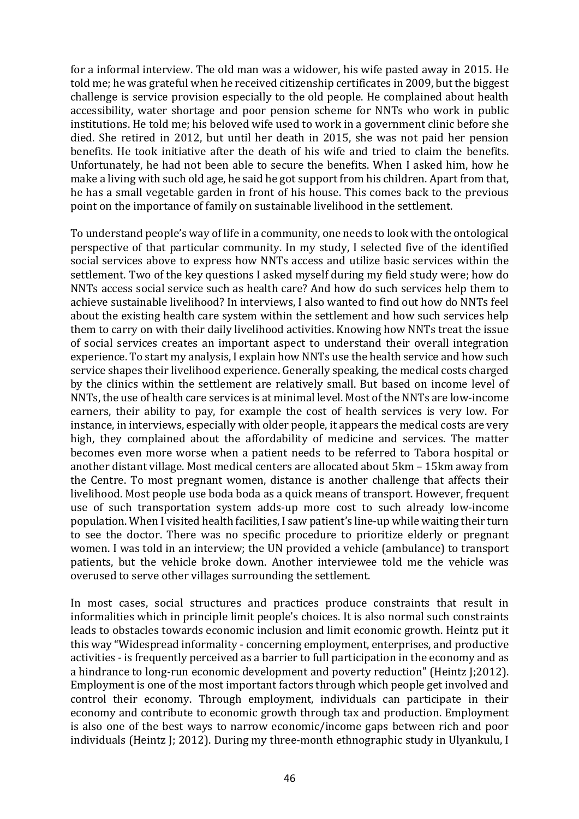for a informal interview. The old man was a widower, his wife pasted away in 2015. He told me; he was grateful when he received citizenship certificates in 2009, but the biggest challenge is service provision especially to the old people. He complained about health accessibility, water shortage and poor pension scheme for NNTs who work in public institutions. He told me; his beloved wife used to work in a government clinic before she died. She retired in 2012, but until her death in 2015, she was not paid her pension benefits. He took initiative after the death of his wife and tried to claim the benefits. Unfortunately, he had not been able to secure the benefits. When I asked him, how he make a living with such old age, he said he got support from his children. Apart from that, he has a small vegetable garden in front of his house. This comes back to the previous point on the importance of family on sustainable livelihood in the settlement.

To understand people's way of life in a community, one needs to look with the ontological perspective of that particular community. In my study, I selected five of the identified social services above to express how NNTs access and utilize basic services within the settlement. Two of the key questions I asked myself during my field study were; how do NNTs access social service such as health care? And how do such services help them to achieve sustainable livelihood? In interviews, I also wanted to find out how do NNTs feel about the existing health care system within the settlement and how such services help them to carry on with their daily livelihood activities. Knowing how NNTs treat the issue of social services creates an important aspect to understand their overall integration experience. To start my analysis, I explain how NNTs use the health service and how such service shapes their livelihood experience. Generally speaking, the medical costs charged by the clinics within the settlement are relatively small. But based on income level of NNTs, the use of health care services is at minimal level. Most of the NNTs are low-income earners, their ability to pay, for example the cost of health services is very low. For instance, in interviews, especially with older people, it appears the medical costs are very high, they complained about the affordability of medicine and services. The matter becomes even more worse when a patient needs to be referred to Tabora hospital or another distant village. Most medical centers are allocated about 5km - 15km away from the Centre. To most pregnant women, distance is another challenge that affects their livelihood. Most people use boda boda as a quick means of transport. However, frequent use of such transportation system adds-up more cost to such already low-income population. When I visited health facilities, I saw patient's line-up while waiting their turn to see the doctor. There was no specific procedure to prioritize elderly or pregnant women. I was told in an interview; the UN provided a vehicle (ambulance) to transport patients, but the vehicle broke down. Another interviewee told me the vehicle was overused to serve other villages surrounding the settlement.

In most cases, social structures and practices produce constraints that result in informalities which in principle limit people's choices. It is also normal such constraints leads to obstacles towards economic inclusion and limit economic growth. Heintz put it this way "Widespread informality - concerning employment, enterprises, and productive activities - is frequently perceived as a barrier to full participation in the economy and as a hindrance to long-run economic development and poverty reduction" (Heintz J;2012). Employment is one of the most important factors through which people get involved and control their economy. Through employment, individuals can participate in their economy and contribute to economic growth through tax and production. Employment is also one of the best ways to narrow economic/income gaps between rich and poor individuals (Heintz J; 2012). During my three-month ethnographic study in Ulyankulu, I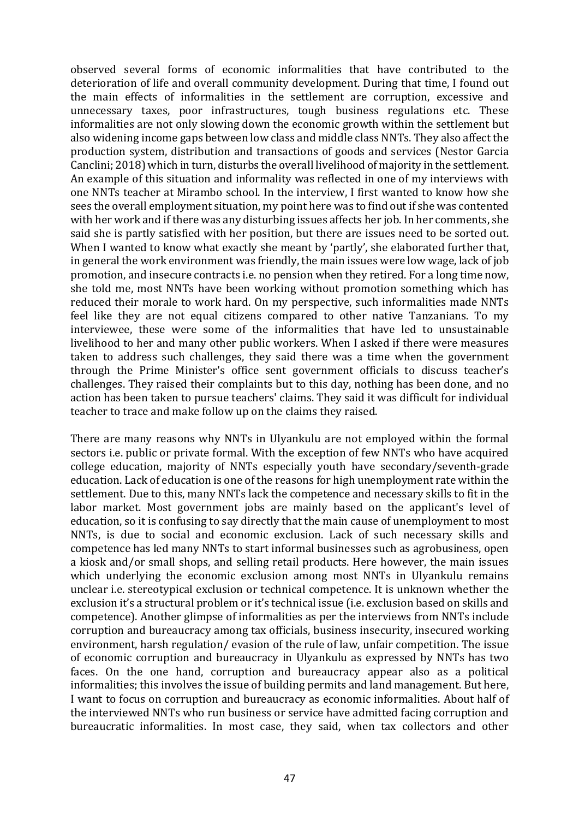observed several forms of economic informalities that have contributed to the deterioration of life and overall community development. During that time, I found out the main effects of informalities in the settlement are corruption, excessive and unnecessary taxes, poor infrastructures, tough business regulations etc. These informalities are not only slowing down the economic growth within the settlement but also widening income gaps between low class and middle class NNTs. They also affect the production system, distribution and transactions of goods and services (Nestor Garcia Canclini; 2018) which in turn, disturbs the overall livelihood of majority in the settlement. An example of this situation and informality was reflected in one of my interviews with one NNTs teacher at Mirambo school. In the interview, I first wanted to know how she sees the overall employment situation, my point here was to find out if she was contented with her work and if there was any disturbing issues affects her job. In her comments, she said she is partly satisfied with her position, but there are issues need to be sorted out. When I wanted to know what exactly she meant by 'partly', she elaborated further that, in general the work environment was friendly, the main issues were low wage, lack of job promotion, and insecure contracts i.e. no pension when they retired. For a long time now, she told me, most NNTs have been working without promotion something which has reduced their morale to work hard. On my perspective, such informalities made NNTs feel like they are not equal citizens compared to other native Tanzanians. To my interviewee, these were some of the informalities that have led to unsustainable livelihood to her and many other public workers. When I asked if there were measures taken to address such challenges, they said there was a time when the government through the Prime Minister's office sent government officials to discuss teacher's challenges. They raised their complaints but to this day, nothing has been done, and no action has been taken to pursue teachers' claims. They said it was difficult for individual teacher to trace and make follow up on the claims they raised.

There are many reasons why NNTs in Ulyankulu are not employed within the formal sectors *i.e.* public or private formal. With the exception of few NNTs who have acquired college education, majority of NNTs especially youth have secondary/seventh-grade education. Lack of education is one of the reasons for high unemployment rate within the settlement. Due to this, many NNTs lack the competence and necessary skills to fit in the labor market. Most government jobs are mainly based on the applicant's level of education, so it is confusing to say directly that the main cause of unemployment to most NNTs, is due to social and economic exclusion. Lack of such necessary skills and competence has led many NNTs to start informal businesses such as agrobusiness, open a kiosk and/or small shops, and selling retail products. Here however, the main issues which underlying the economic exclusion among most NNTs in Ulyankulu remains unclear i.e. stereotypical exclusion or technical competence. It is unknown whether the exclusion it's a structural problem or it's technical issue (i.e. exclusion based on skills and competence). Another glimpse of informalities as per the interviews from NNTs include corruption and bureaucracy among tax officials, business insecurity, insecured working environment, harsh regulation/ evasion of the rule of law, unfair competition. The issue of economic corruption and bureaucracy in Ulyankulu as expressed by NNTs has two faces. On the one hand, corruption and bureaucracy appear also as a political informalities; this involves the issue of building permits and land management. But here, I want to focus on corruption and bureaucracy as economic informalities. About half of the interviewed NNTs who run business or service have admitted facing corruption and bureaucratic informalities. In most case, they said, when tax collectors and other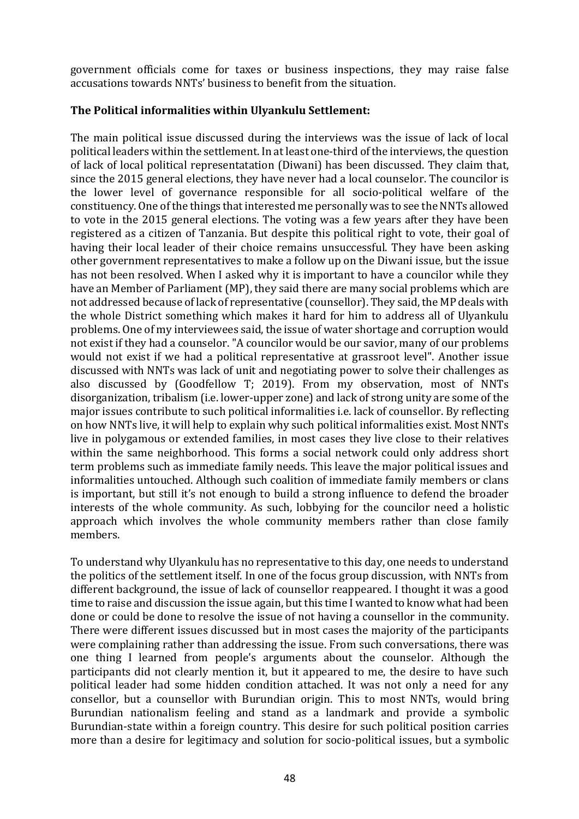government officials come for taxes or business inspections, they may raise false accusations towards NNTs' business to benefit from the situation.

#### The Political informalities within Ulyankulu Settlement:

The main political issue discussed during the interviews was the issue of lack of local political leaders within the settlement. In at least one-third of the interviews, the question of lack of local political representatation (Diwani) has been discussed. They claim that, since the 2015 general elections, they have never had a local counselor. The councilor is the lower level of governance responsible for all socio-political welfare of the constituency. One of the things that interested me personally was to see the NNTs allowed to vote in the 2015 general elections. The voting was a few years after they have been registered as a citizen of Tanzania. But despite this political right to vote, their goal of having their local leader of their choice remains unsuccessful. They have been asking other government representatives to make a follow up on the Diwani issue, but the issue has not been resolved. When I asked why it is important to have a councilor while they have an Member of Parliament (MP), they said there are many social problems which are not addressed because of lack of representative (counsellor). They said, the MP deals with the whole District something which makes it hard for him to address all of Ulyankulu problems. One of my interviewees said, the issue of water shortage and corruption would not exist if they had a counselor. "A councilor would be our savior, many of our problems would not exist if we had a political representative at grassroot level". Another issue discussed with NNTs was lack of unit and negotiating power to solve their challenges as also discussed by (Goodfellow T; 2019). From my observation, most of NNTs disorganization, tribalism (i.e. lower-upper zone) and lack of strong unity are some of the major issues contribute to such political informalities i.e. lack of counsellor. By reflecting on how NNTs live, it will help to explain why such political informalities exist. Most NNTs live in polygamous or extended families, in most cases they live close to their relatives within the same neighborhood. This forms a social network could only address short term problems such as immediate family needs. This leave the major political issues and informalities untouched. Although such coalition of immediate family members or clans is important, but still it's not enough to build a strong influence to defend the broader interests of the whole community. As such, lobbying for the councilor need a holistic approach which involves the whole community members rather than close family members. 

To understand why Ulyankulu has no representative to this day, one needs to understand the politics of the settlement itself. In one of the focus group discussion, with NNTs from different background, the issue of lack of counsellor reappeared. I thought it was a good time to raise and discussion the issue again, but this time I wanted to know what had been done or could be done to resolve the issue of not having a counsellor in the community. There were different issues discussed but in most cases the majority of the participants were complaining rather than addressing the issue. From such conversations, there was one thing I learned from people's arguments about the counselor. Although the participants did not clearly mention it, but it appeared to me, the desire to have such political leader had some hidden condition attached. It was not only a need for any consellor, but a counsellor with Burundian origin. This to most NNTs, would bring Burundian nationalism feeling and stand as a landmark and provide a symbolic Burundian-state within a foreign country. This desire for such political position carries more than a desire for legitimacy and solution for socio-political issues, but a symbolic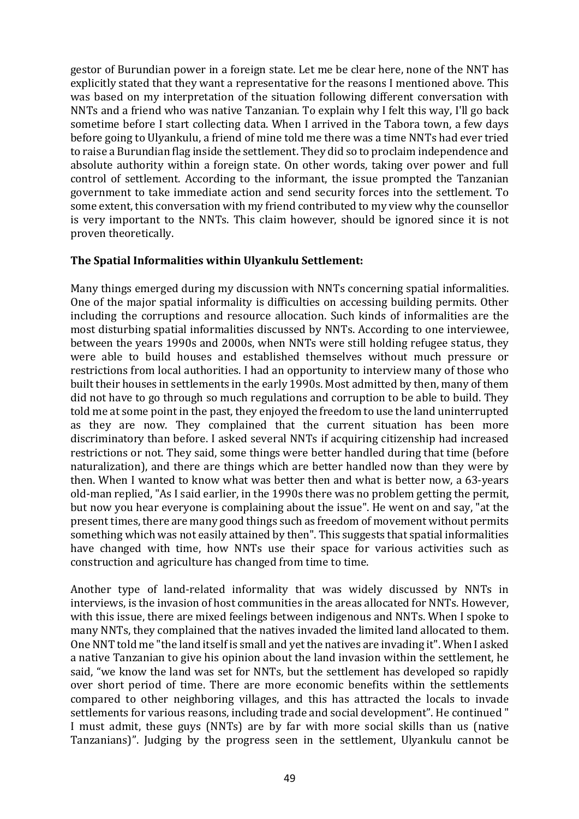gestor of Burundian power in a foreign state. Let me be clear here, none of the NNT has explicitly stated that they want a representative for the reasons I mentioned above. This was based on my interpretation of the situation following different conversation with NNTs and a friend who was native Tanzanian. To explain why I felt this way, I'll go back sometime before I start collecting data. When I arrived in the Tabora town, a few days before going to Ulyankulu, a friend of mine told me there was a time NNTs had ever tried to raise a Burundian flag inside the settlement. They did so to proclaim independence and absolute authority within a foreign state. On other words, taking over power and full control of settlement. According to the informant, the issue prompted the Tanzanian government to take immediate action and send security forces into the settlement. To some extent, this conversation with my friend contributed to my view why the counsellor is very important to the NNTs. This claim however, should be ignored since it is not proven theoretically.

### **The Spatial Informalities within Ulyankulu Settlement:**

Many things emerged during my discussion with NNTs concerning spatial informalities. One of the major spatial informality is difficulties on accessing building permits. Other including the corruptions and resource allocation. Such kinds of informalities are the most disturbing spatial informalities discussed by NNTs. According to one interviewee, between the years 1990s and 2000s, when NNTs were still holding refugee status, they were able to build houses and established themselves without much pressure or restrictions from local authorities. I had an opportunity to interview many of those who built their houses in settlements in the early 1990s. Most admitted by then, many of them did not have to go through so much regulations and corruption to be able to build. They told me at some point in the past, they enjoyed the freedom to use the land uninterrupted as they are now. They complained that the current situation has been more discriminatory than before. I asked several NNTs if acquiring citizenship had increased restrictions or not. They said, some things were better handled during that time (before naturalization), and there are things which are better handled now than they were by then. When I wanted to know what was better then and what is better now, a 63-years old-man replied, "As I said earlier, in the 1990s there was no problem getting the permit, but now you hear everyone is complaining about the issue". He went on and say, "at the present times, there are many good things such as freedom of movement without permits something which was not easily attained by then". This suggests that spatial informalities have changed with time, how NNTs use their space for various activities such as construction and agriculture has changed from time to time.

Another type of land-related informality that was widely discussed by NNTs in interviews, is the invasion of host communities in the areas allocated for NNTs. However, with this issue, there are mixed feelings between indigenous and NNTs. When I spoke to many NNTs, they complained that the natives invaded the limited land allocated to them. One NNT told me "the land itself is small and yet the natives are invading it". When I asked a native Tanzanian to give his opinion about the land invasion within the settlement, he said, "we know the land was set for NNTs, but the settlement has developed so rapidly over short period of time. There are more economic benefits within the settlements compared to other neighboring villages, and this has attracted the locals to invade settlements for various reasons, including trade and social development". He continued " I must admit, these guys (NNTs) are by far with more social skills than us (native Tanzanians)". Judging by the progress seen in the settlement, Ulyankulu cannot be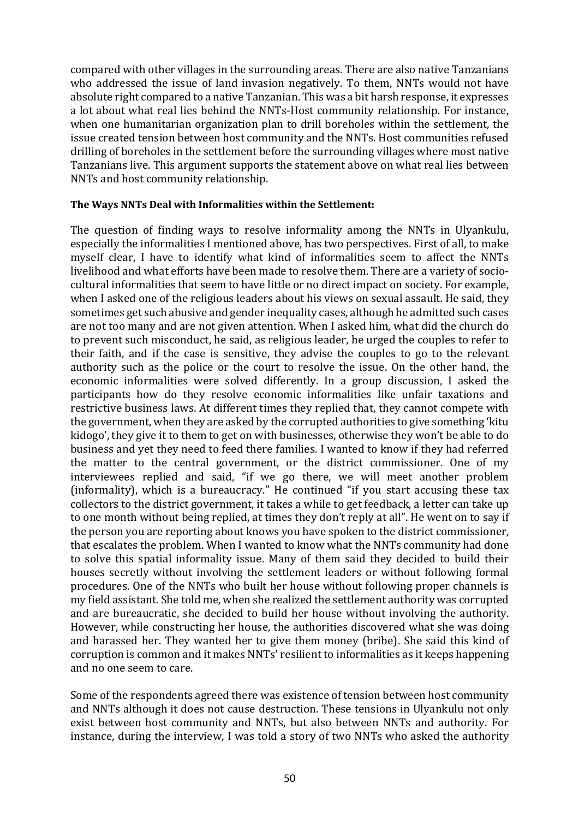compared with other villages in the surrounding areas. There are also native Tanzanians who addressed the issue of land invasion negatively. To them, NNTs would not have absolute right compared to a native Tanzanian. This was a bit harsh response, it expresses a lot about what real lies behind the NNTs-Host community relationship. For instance, when one humanitarian organization plan to drill boreholes within the settlement, the issue created tension between host community and the NNTs. Host communities refused drilling of boreholes in the settlement before the surrounding villages where most native Tanzanians live. This argument supports the statement above on what real lies between NNTs and host community relationship.

#### **The Ways NNTs Deal with Informalities within the Settlement:**

The question of finding ways to resolve informality among the NNTs in Ulyankulu, especially the informalities I mentioned above, has two perspectives. First of all, to make myself clear, I have to identify what kind of informalities seem to affect the NNTs livelihood and what efforts have been made to resolve them. There are a variety of sociocultural informalities that seem to have little or no direct impact on society. For example, when I asked one of the religious leaders about his views on sexual assault. He said, they sometimes get such abusive and gender inequality cases, although he admitted such cases are not too many and are not given attention. When I asked him, what did the church do to prevent such misconduct, he said, as religious leader, he urged the couples to refer to their faith, and if the case is sensitive, they advise the couples to go to the relevant authority such as the police or the court to resolve the issue. On the other hand, the economic informalities were solved differently. In a group discussion, I asked the participants how do they resolve economic informalities like unfair taxations and restrictive business laws. At different times they replied that, they cannot compete with the government, when they are asked by the corrupted authorities to give something 'kitu kidogo', they give it to them to get on with businesses, otherwise they won't be able to do business and yet they need to feed there families. I wanted to know if they had referred the matter to the central government, or the district commissioner. One of my interviewees replied and said, "if we go there, we will meet another problem (informality), which is a bureaucracy." He continued "if you start accusing these tax collectors to the district government, it takes a while to get feedback, a letter can take up to one month without being replied, at times they don't reply at all". He went on to say if the person you are reporting about knows you have spoken to the district commissioner, that escalates the problem. When I wanted to know what the NNTs community had done to solve this spatial informality issue. Many of them said they decided to build their houses secretly without involving the settlement leaders or without following formal procedures. One of the NNTs who built her house without following proper channels is my field assistant. She told me, when she realized the settlement authority was corrupted and are bureaucratic, she decided to build her house without involving the authority. However, while constructing her house, the authorities discovered what she was doing and harassed her. They wanted her to give them money (bribe). She said this kind of corruption is common and it makes NNTs' resilient to informalities as it keeps happening and no one seem to care.

Some of the respondents agreed there was existence of tension between host community and NNTs although it does not cause destruction. These tensions in Ulyankulu not only exist between host community and NNTs, but also between NNTs and authority. For instance, during the interview, I was told a story of two NNTs who asked the authority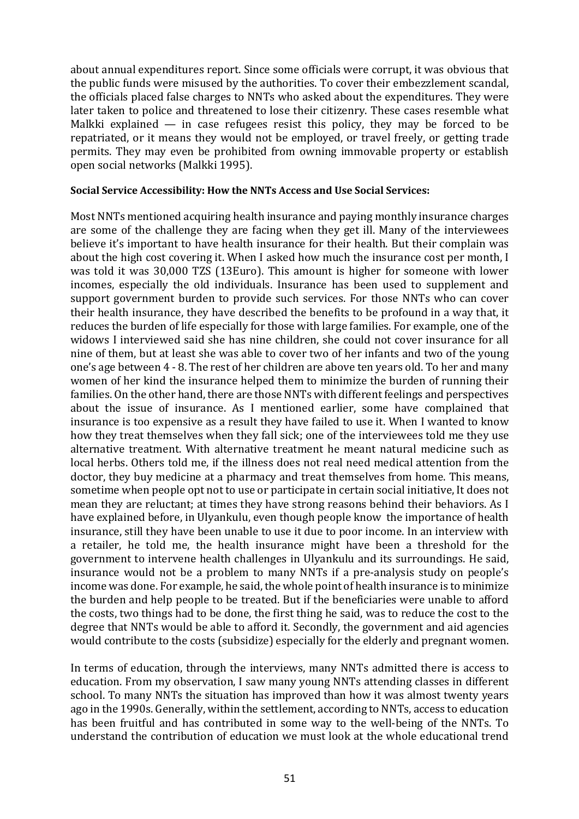about annual expenditures report. Since some officials were corrupt, it was obvious that the public funds were misused by the authorities. To cover their embezzlement scandal, the officials placed false charges to NNTs who asked about the expenditures. They were later taken to police and threatened to lose their citizenry. These cases resemble what Malkki explained  $-$  in case refugees resist this policy, they may be forced to be repatriated, or it means they would not be employed, or travel freely, or getting trade permits. They may even be prohibited from owning immovable property or establish open social networks (Malkki 1995).

#### **Social Service Accessibility: How the NNTs Access and Use Social Services:**

Most NNTs mentioned acquiring health insurance and paying monthly insurance charges are some of the challenge they are facing when they get ill. Many of the interviewees believe it's important to have health insurance for their health. But their complain was about the high cost covering it. When I asked how much the insurance cost per month, I was told it was 30,000 TZS (13Euro). This amount is higher for someone with lower incomes, especially the old individuals. Insurance has been used to supplement and support government burden to provide such services. For those NNTs who can cover their health insurance, they have described the benefits to be profound in a way that, it reduces the burden of life especially for those with large families. For example, one of the widows I interviewed said she has nine children, she could not cover insurance for all nine of them, but at least she was able to cover two of her infants and two of the young one's age between 4 - 8. The rest of her children are above ten years old. To her and many women of her kind the insurance helped them to minimize the burden of running their families. On the other hand, there are those NNTs with different feelings and perspectives about the issue of insurance. As I mentioned earlier, some have complained that insurance is too expensive as a result they have failed to use it. When I wanted to know how they treat themselves when they fall sick; one of the interviewees told me they use alternative treatment. With alternative treatment he meant natural medicine such as local herbs. Others told me, if the illness does not real need medical attention from the doctor, they buy medicine at a pharmacy and treat themselves from home. This means, sometime when people opt not to use or participate in certain social initiative, It does not mean they are reluctant; at times they have strong reasons behind their behaviors. As I have explained before, in Ulyankulu, even though people know the importance of health insurance, still they have been unable to use it due to poor income. In an interview with a retailer, he told me, the health insurance might have been a threshold for the government to intervene health challenges in Ulyankulu and its surroundings. He said, insurance would not be a problem to many NNTs if a pre-analysis study on people's income was done. For example, he said, the whole point of health insurance is to minimize the burden and help people to be treated. But if the beneficiaries were unable to afford the costs, two things had to be done, the first thing he said, was to reduce the cost to the degree that NNTs would be able to afford it. Secondly, the government and aid agencies would contribute to the costs (subsidize) especially for the elderly and pregnant women.

In terms of education, through the interviews, many NNTs admitted there is access to education. From my observation, I saw many young NNTs attending classes in different school. To many NNTs the situation has improved than how it was almost twenty years ago in the 1990s. Generally, within the settlement, according to NNTs, access to education has been fruitful and has contributed in some way to the well-being of the NNTs. To understand the contribution of education we must look at the whole educational trend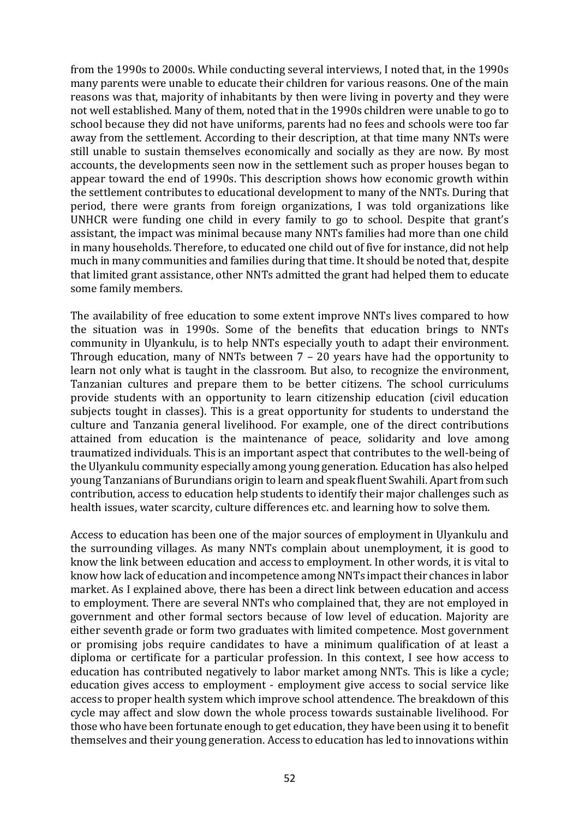from the 1990s to 2000s. While conducting several interviews, I noted that, in the 1990s many parents were unable to educate their children for various reasons. One of the main reasons was that, majority of inhabitants by then were living in poverty and they were not well established. Many of them, noted that in the 1990s children were unable to go to school because they did not have uniforms, parents had no fees and schools were too far away from the settlement. According to their description, at that time many NNTs were still unable to sustain themselves economically and socially as they are now. By most accounts, the developments seen now in the settlement such as proper houses began to appear toward the end of 1990s. This description shows how economic growth within the settlement contributes to educational development to many of the NNTs. During that period, there were grants from foreign organizations, I was told organizations like UNHCR were funding one child in every family to go to school. Despite that grant's assistant, the impact was minimal because many NNTs families had more than one child in many households. Therefore, to educated one child out of five for instance, did not help much in many communities and families during that time. It should be noted that, despite that limited grant assistance, other NNTs admitted the grant had helped them to educate some family members.

The availability of free education to some extent improve NNTs lives compared to how the situation was in 1990s. Some of the benefits that education brings to NNTs community in Ulyankulu, is to help NNTs especially youth to adapt their environment. Through education, many of NNTs between  $7 - 20$  years have had the opportunity to learn not only what is taught in the classroom. But also, to recognize the environment, Tanzanian cultures and prepare them to be better citizens. The school curriculums provide students with an opportunity to learn citizenship education (civil education subjects tought in classes). This is a great opportunity for students to understand the culture and Tanzania general livelihood. For example, one of the direct contributions attained from education is the maintenance of peace, solidarity and love among traumatized individuals. This is an important aspect that contributes to the well-being of the Ulyankulu community especially among young generation. Education has also helped young Tanzanians of Burundians origin to learn and speak fluent Swahili. Apart from such contribution, access to education help students to identify their major challenges such as health issues, water scarcity, culture differences etc. and learning how to solve them.

Access to education has been one of the major sources of employment in Ulyankulu and the surrounding villages. As many NNTs complain about unemployment, it is good to know the link between education and access to employment. In other words, it is vital to know how lack of education and incompetence among NNTs impact their chances in labor market. As I explained above, there has been a direct link between education and access to employment. There are several NNTs who complained that, they are not employed in government and other formal sectors because of low level of education. Majority are either seventh grade or form two graduates with limited competence. Most government or promising jobs require candidates to have a minimum qualification of at least a diploma or certificate for a particular profession. In this context, I see how access to education has contributed negatively to labor market among NNTs. This is like a cycle; education gives access to employment - employment give access to social service like access to proper health system which improve school attendence. The breakdown of this cycle may affect and slow down the whole process towards sustainable livelihood. For those who have been fortunate enough to get education, they have been using it to benefit themselves and their young generation. Access to education has led to innovations within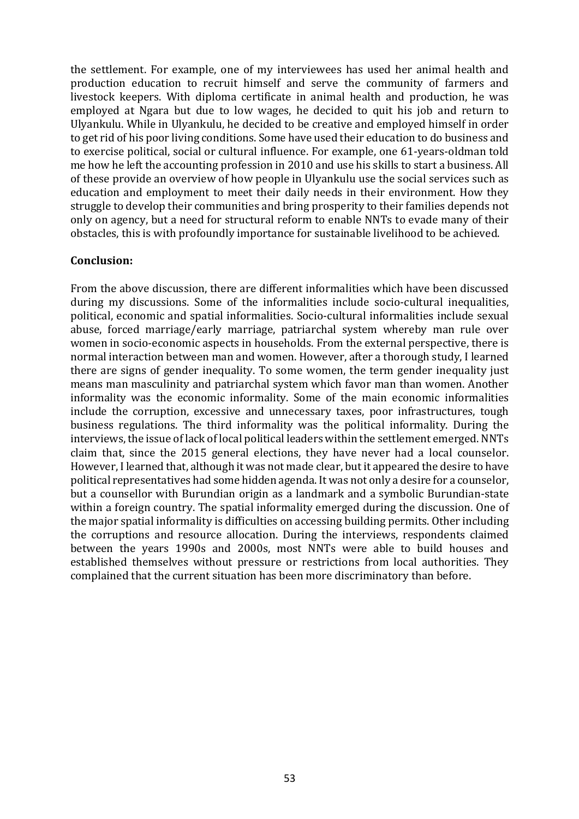the settlement. For example, one of my interviewees has used her animal health and production education to recruit himself and serve the community of farmers and livestock keepers. With diploma certificate in animal health and production, he was employed at Ngara but due to low wages, he decided to quit his job and return to Ulyankulu. While in Ulyankulu, he decided to be creative and employed himself in order to get rid of his poor living conditions. Some have used their education to do business and to exercise political, social or cultural influence. For example, one 61-years-oldman told me how he left the accounting profession in 2010 and use his skills to start a business. All of these provide an overview of how people in Ulyankulu use the social services such as education and employment to meet their daily needs in their environment. How they struggle to develop their communities and bring prosperity to their families depends not only on agency, but a need for structural reform to enable NNTs to evade many of their obstacles, this is with profoundly importance for sustainable livelihood to be achieved.

### **Conclusion:**

From the above discussion, there are different informalities which have been discussed during my discussions. Some of the informalities include socio-cultural inequalities, political, economic and spatial informalities. Socio-cultural informalities include sexual abuse, forced marriage/early marriage, patriarchal system whereby man rule over women in socio-economic aspects in households. From the external perspective, there is normal interaction between man and women. However, after a thorough study, I learned there are signs of gender inequality. To some women, the term gender inequality just means man masculinity and patriarchal system which favor man than women. Another informality was the economic informality. Some of the main economic informalities include the corruption, excessive and unnecessary taxes, poor infrastructures, tough business regulations. The third informality was the political informality. During the interviews, the issue of lack of local political leaders within the settlement emerged. NNTs claim that, since the 2015 general elections, they have never had a local counselor. However, I learned that, although it was not made clear, but it appeared the desire to have political representatives had some hidden agenda. It was not only a desire for a counselor, but a counsellor with Burundian origin as a landmark and a symbolic Burundian-state within a foreign country. The spatial informality emerged during the discussion. One of the major spatial informality is difficulties on accessing building permits. Other including the corruptions and resource allocation. During the interviews, respondents claimed between the years 1990s and 2000s, most NNTs were able to build houses and established themselves without pressure or restrictions from local authorities. They complained that the current situation has been more discriminatory than before.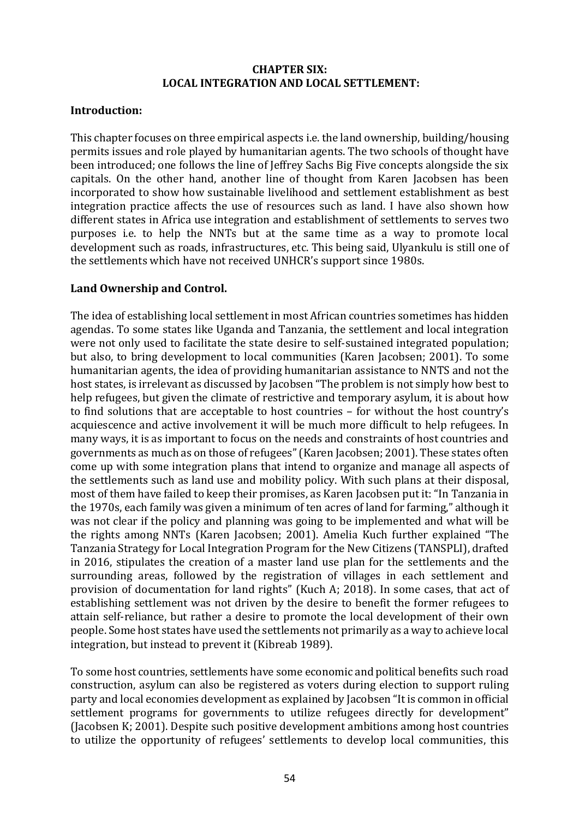### **CHAPTER SIX: LOCAL INTEGRATION AND LOCAL SETTLEMENT:**

### **Introduction:**

This chapter focuses on three empirical aspects i.e. the land ownership, building/housing permits issues and role played by humanitarian agents. The two schools of thought have been introduced; one follows the line of Jeffrey Sachs Big Five concepts alongside the six capitals. On the other hand, another line of thought from Karen Jacobsen has been incorporated to show how sustainable livelihood and settlement establishment as best integration practice affects the use of resources such as land. I have also shown how different states in Africa use integration and establishment of settlements to serves two purposes i.e. to help the NNTs but at the same time as a way to promote local development such as roads, infrastructures, etc. This being said, Ulyankulu is still one of the settlements which have not received UNHCR's support since 1980s.

## Land Ownership and Control.

The idea of establishing local settlement in most African countries sometimes has hidden agendas. To some states like Uganda and Tanzania, the settlement and local integration were not only used to facilitate the state desire to self-sustained integrated population; but also, to bring development to local communities (Karen Jacobsen: 2001). To some humanitarian agents, the idea of providing humanitarian assistance to NNTS and not the host states, is irrelevant as discussed by Jacobsen "The problem is not simply how best to help refugees, but given the climate of restrictive and temporary asylum, it is about how to find solutions that are acceptable to host countries – for without the host country's acquiescence and active involvement it will be much more difficult to help refugees. In many ways, it is as important to focus on the needs and constraints of host countries and governments as much as on those of refugees" (Karen Jacobsen; 2001). These states often come up with some integration plans that intend to organize and manage all aspects of the settlements such as land use and mobility policy. With such plans at their disposal, most of them have failed to keep their promises, as Karen Jacobsen put it: "In Tanzania in the 1970s, each family was given a minimum of ten acres of land for farming," although it was not clear if the policy and planning was going to be implemented and what will be the rights among NNTs (Karen Jacobsen: 2001). Amelia Kuch further explained "The Tanzania Strategy for Local Integration Program for the New Citizens (TANSPLI), drafted in 2016, stipulates the creation of a master land use plan for the settlements and the surrounding areas, followed by the registration of villages in each settlement and provision of documentation for land rights" (Kuch A; 2018). In some cases, that act of establishing settlement was not driven by the desire to benefit the former refugees to attain self-reliance, but rather a desire to promote the local development of their own people. Some host states have used the settlements not primarily as a way to achieve local integration, but instead to prevent it (Kibreab 1989).

To some host countries, settlements have some economic and political benefits such road construction, asylum can also be registered as voters during election to support ruling party and local economies development as explained by Jacobsen "It is common in official settlement programs for governments to utilize refugees directly for development" (Jacobsen K; 2001). Despite such positive development ambitions among host countries to utilize the opportunity of refugees' settlements to develop local communities, this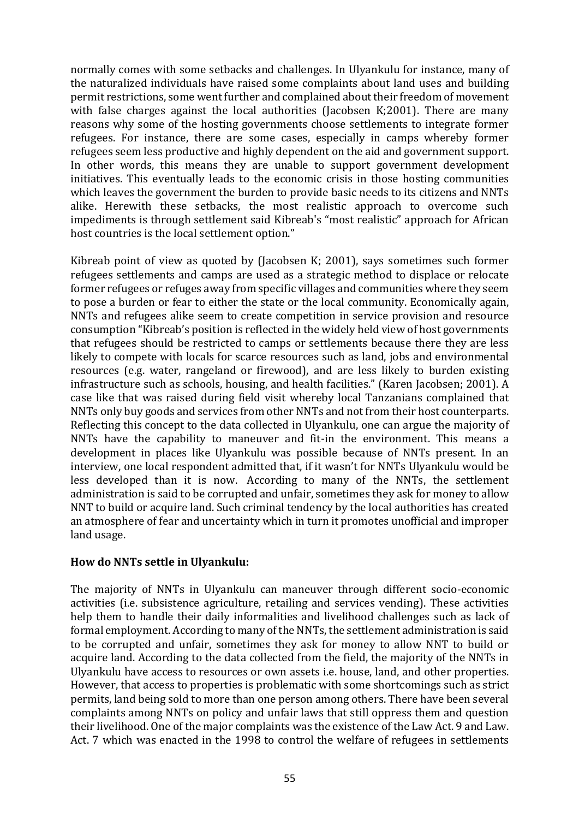normally comes with some setbacks and challenges. In Ulyankulu for instance, many of the naturalized individuals have raised some complaints about land uses and building permit restrictions, some went further and complained about their freedom of movement with false charges against the local authorities (Jacobsen K;2001). There are many reasons why some of the hosting governments choose settlements to integrate former refugees. For instance, there are some cases, especially in camps whereby former refugees seem less productive and highly dependent on the aid and government support. In other words, this means they are unable to support government development initiatives. This eventually leads to the economic crisis in those hosting communities which leaves the government the burden to provide basic needs to its citizens and NNTs alike. Herewith these setbacks, the most realistic approach to overcome such impediments is through settlement said Kibreab's "most realistic" approach for African host countries is the local settlement option."

Kibreab point of view as quoted by (Jacobsen K; 2001), says sometimes such former refugees settlements and camps are used as a strategic method to displace or relocate former refugees or refuges away from specific villages and communities where they seem to pose a burden or fear to either the state or the local community. Economically again, NNTs and refugees alike seem to create competition in service provision and resource consumption "Kibreab's position is reflected in the widely held view of host governments that refugees should be restricted to camps or settlements because there they are less likely to compete with locals for scarce resources such as land, jobs and environmental resources (e.g. water, rangeland or firewood), and are less likely to burden existing infrastructure such as schools, housing, and health facilities." (Karen Jacobsen; 2001). A case like that was raised during field visit whereby local Tanzanians complained that NNTs only buy goods and services from other NNTs and not from their host counterparts. Reflecting this concept to the data collected in Ulyankulu, one can argue the majority of NNTs have the capability to maneuver and fit-in the environment. This means a development in places like Ulyankulu was possible because of NNTs present. In an interview, one local respondent admitted that, if it wasn't for NNTs Ulyankulu would be less developed than it is now. According to many of the NNTs, the settlement administration is said to be corrupted and unfair, sometimes they ask for money to allow NNT to build or acquire land. Such criminal tendency by the local authorities has created an atmosphere of fear and uncertainty which in turn it promotes unofficial and improper land usage.

## **How do NNTs settle in Ulyankulu:**

The majority of NNTs in Ulyankulu can maneuver through different socio-economic activities (i.e. subsistence agriculture, retailing and services vending). These activities help them to handle their daily informalities and livelihood challenges such as lack of formal employment. According to many of the NNTs, the settlement administration is said to be corrupted and unfair, sometimes they ask for money to allow NNT to build or acquire land. According to the data collected from the field, the majority of the NNTs in Ulyankulu have access to resources or own assets *i.e.* house, land, and other properties. However, that access to properties is problematic with some shortcomings such as strict permits, land being sold to more than one person among others. There have been several complaints among NNTs on policy and unfair laws that still oppress them and question their livelihood. One of the major complaints was the existence of the Law Act. 9 and Law. Act. 7 which was enacted in the 1998 to control the welfare of refugees in settlements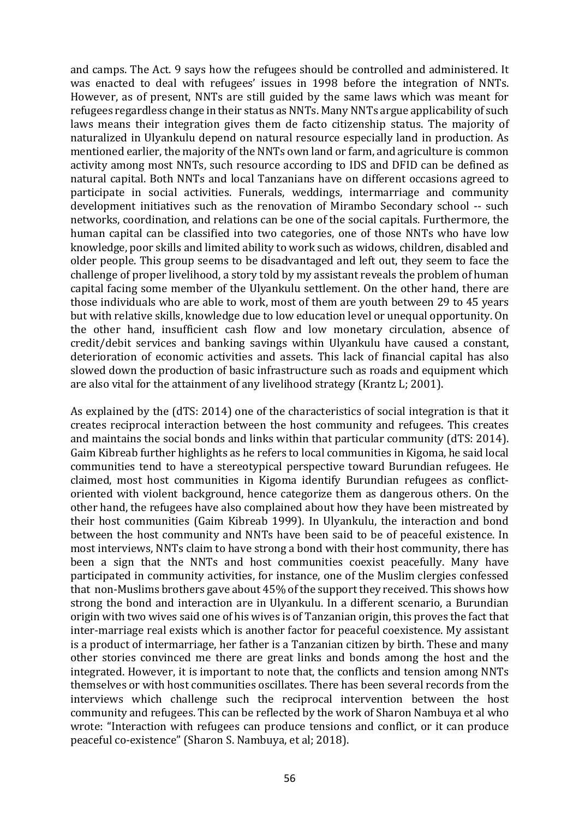and camps. The Act. 9 says how the refugees should be controlled and administered. It was enacted to deal with refugees' issues in 1998 before the integration of NNTs. However, as of present, NNTs are still guided by the same laws which was meant for refugees regardless change in their status as NNTs. Many NNTs argue applicability of such laws means their integration gives them de facto citizenship status. The majority of naturalized in Ulyankulu depend on natural resource especially land in production. As mentioned earlier, the majority of the NNTs own land or farm, and agriculture is common activity among most NNTs, such resource according to IDS and DFID can be defined as natural capital. Both NNTs and local Tanzanians have on different occasions agreed to participate in social activities. Funerals, weddings, intermarriage and community development initiatives such as the renovation of Mirambo Secondary school -- such networks, coordination, and relations can be one of the social capitals. Furthermore, the human capital can be classified into two categories, one of those NNTs who have low knowledge, poor skills and limited ability to work such as widows, children, disabled and older people. This group seems to be disadvantaged and left out, they seem to face the challenge of proper livelihood, a story told by my assistant reveals the problem of human capital facing some member of the Ulyankulu settlement. On the other hand, there are those individuals who are able to work, most of them are youth between 29 to 45 years but with relative skills, knowledge due to low education level or unequal opportunity. On the other hand, insufficient cash flow and low monetary circulation, absence of credit/debit services and banking savings within Ulyankulu have caused a constant, deterioration of economic activities and assets. This lack of financial capital has also slowed down the production of basic infrastructure such as roads and equipment which are also vital for the attainment of any livelihood strategy (Krantz L; 2001).

As explained by the (dTS: 2014) one of the characteristics of social integration is that it creates reciprocal interaction between the host community and refugees. This creates and maintains the social bonds and links within that particular community (dTS: 2014). Gaim Kibreab further highlights as he refers to local communities in Kigoma, he said local communities tend to have a stereotypical perspective toward Burundian refugees. He claimed, most host communities in Kigoma identify Burundian refugees as conflictoriented with violent background, hence categorize them as dangerous others. On the other hand, the refugees have also complained about how they have been mistreated by their host communities (Gaim Kibreab 1999). In Ulyankulu, the interaction and bond between the host community and NNTs have been said to be of peaceful existence. In most interviews, NNTs claim to have strong a bond with their host community, there has been a sign that the NNTs and host communities coexist peacefully. Many have participated in community activities, for instance, one of the Muslim clergies confessed that non-Muslims brothers gave about  $45%$  of the support they received. This shows how strong the bond and interaction are in Ulvankulu. In a different scenario, a Burundian origin with two wives said one of his wives is of Tanzanian origin, this proves the fact that inter-marriage real exists which is another factor for peaceful coexistence. My assistant is a product of intermarriage, her father is a Tanzanian citizen by birth. These and many other stories convinced me there are great links and bonds among the host and the integrated. However, it is important to note that, the conflicts and tension among NNTs themselves or with host communities oscillates. There has been several records from the interviews which challenge such the reciprocal intervention between the host community and refugees. This can be reflected by the work of Sharon Nambuya et al who wrote: "Interaction with refugees can produce tensions and conflict, or it can produce peaceful co-existence" (Sharon S. Nambuya, et al; 2018).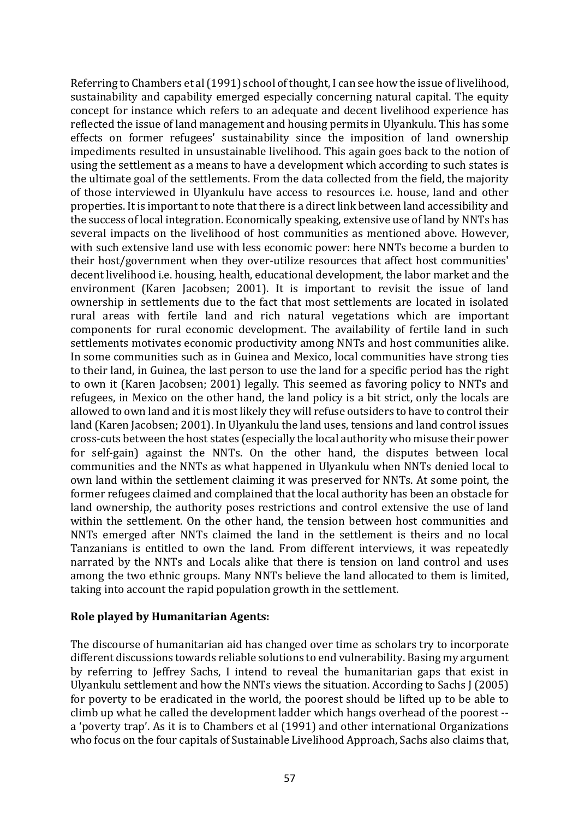Referring to Chambers et al (1991) school of thought, I can see how the issue of livelihood, sustainability and capability emerged especially concerning natural capital. The equity concept for instance which refers to an adequate and decent livelihood experience has reflected the issue of land management and housing permits in Ulyankulu. This has some effects on former refugees' sustainability since the imposition of land ownership impediments resulted in unsustainable livelihood. This again goes back to the notion of using the settlement as a means to have a development which according to such states is the ultimate goal of the settlements. From the data collected from the field, the majority of those interviewed in Ulyankulu have access to resources i.e. house, land and other properties. It is important to note that there is a direct link between land accessibility and the success of local integration. Economically speaking, extensive use of land by NNTs has several impacts on the livelihood of host communities as mentioned above. However, with such extensive land use with less economic power: here NNTs become a burden to their host/government when they over-utilize resources that affect host communities' decent livelihood i.e. housing, health, educational development, the labor market and the environment (Karen Jacobsen; 2001). It is important to revisit the issue of land ownership in settlements due to the fact that most settlements are located in isolated rural areas with fertile land and rich natural vegetations which are important components for rural economic development. The availability of fertile land in such settlements motivates economic productivity among NNTs and host communities alike. In some communities such as in Guinea and Mexico, local communities have strong ties to their land, in Guinea, the last person to use the land for a specific period has the right to own it (Karen Jacobsen; 2001) legally. This seemed as favoring policy to NNTs and refugees, in Mexico on the other hand, the land policy is a bit strict, only the locals are allowed to own land and it is most likely they will refuse outsiders to have to control their land (Karen Jacobsen: 2001). In Ulyankulu the land uses, tensions and land control issues cross-cuts between the host states (especially the local authority who misuse their power for self-gain) against the NNTs. On the other hand, the disputes between local communities and the NNTs as what happened in Ulyankulu when NNTs denied local to own land within the settlement claiming it was preserved for NNTs. At some point, the former refugees claimed and complained that the local authority has been an obstacle for land ownership, the authority poses restrictions and control extensive the use of land within the settlement. On the other hand, the tension between host communities and NNTs emerged after NNTs claimed the land in the settlement is theirs and no local Tanzanians is entitled to own the land. From different interviews, it was repeatedly narrated by the NNTs and Locals alike that there is tension on land control and uses among the two ethnic groups. Many NNTs believe the land allocated to them is limited, taking into account the rapid population growth in the settlement.

#### **Role played by Humanitarian Agents:**

The discourse of humanitarian aid has changed over time as scholars try to incorporate different discussions towards reliable solutions to end vulnerability. Basing my argument by referring to Jeffrey Sachs, I intend to reveal the humanitarian gaps that exist in Ulyankulu settlement and how the NNTs views the situation. According to Sachs J (2005) for poverty to be eradicated in the world, the poorest should be lifted up to be able to climb up what he called the development ladder which hangs overhead of the poorest -a 'poverty trap'. As it is to Chambers et al (1991) and other international Organizations who focus on the four capitals of Sustainable Livelihood Approach, Sachs also claims that,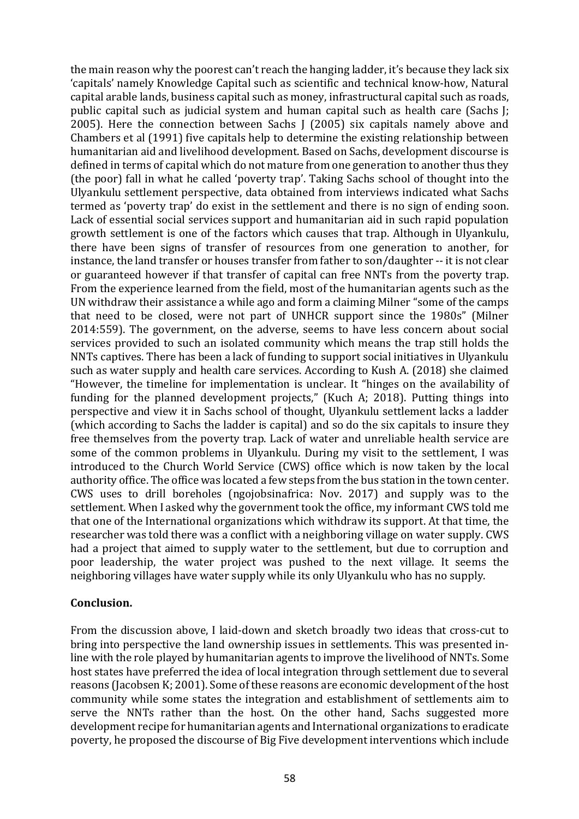the main reason why the poorest can't reach the hanging ladder, it's because they lack six 'capitals' namely Knowledge Capital such as scientific and technical know-how, Natural capital arable lands, business capital such as money, infrastructural capital such as roads, public capital such as judicial system and human capital such as health care (Sachs J; 2005). Here the connection between Sachs  $J(2005)$  six capitals namely above and Chambers et al (1991) five capitals help to determine the existing relationship between humanitarian aid and livelihood development. Based on Sachs, development discourse is defined in terms of capital which do not mature from one generation to another thus they (the poor) fall in what he called 'poverty trap'. Taking Sachs school of thought into the Ulyankulu settlement perspective, data obtained from interviews indicated what Sachs termed as 'poverty trap' do exist in the settlement and there is no sign of ending soon. Lack of essential social services support and humanitarian aid in such rapid population growth settlement is one of the factors which causes that trap. Although in Ulyankulu, there have been signs of transfer of resources from one generation to another, for instance, the land transfer or houses transfer from father to son/daughter -- it is not clear or guaranteed however if that transfer of capital can free NNTs from the poverty trap. From the experience learned from the field, most of the humanitarian agents such as the UN withdraw their assistance a while ago and form a claiming Milner "some of the camps that need to be closed, were not part of UNHCR support since the 1980s" (Milner 2014:559). The government, on the adverse, seems to have less concern about social services provided to such an isolated community which means the trap still holds the NNTs captives. There has been a lack of funding to support social initiatives in Ulyankulu such as water supply and health care services. According to Kush A. (2018) she claimed "However, the timeline for implementation is unclear. It "hinges on the availability of funding for the planned development projects," (Kuch A; 2018). Putting things into perspective and view it in Sachs school of thought, Ulyankulu settlement lacks a ladder (which according to Sachs the ladder is capital) and so do the six capitals to insure they free themselves from the poverty trap. Lack of water and unreliable health service are some of the common problems in Ulyankulu. During my visit to the settlement, I was introduced to the Church World Service (CWS) office which is now taken by the local authority office. The office was located a few steps from the bus station in the town center. CWS uses to drill boreholes (ngojobsinafrica: Nov. 2017) and supply was to the settlement. When I asked why the government took the office, my informant CWS told me that one of the International organizations which withdraw its support. At that time, the researcher was told there was a conflict with a neighboring village on water supply. CWS had a project that aimed to supply water to the settlement, but due to corruption and poor leadership, the water project was pushed to the next village. It seems the neighboring villages have water supply while its only Ulyankulu who has no supply.

## **Conclusion.**

From the discussion above, I laid-down and sketch broadly two ideas that cross-cut to bring into perspective the land ownership issues in settlements. This was presented inline with the role played by humanitarian agents to improve the livelihood of NNTs. Some host states have preferred the idea of local integration through settlement due to several reasons (Jacobsen K; 2001). Some of these reasons are economic development of the host community while some states the integration and establishment of settlements aim to serve the NNTs rather than the host. On the other hand, Sachs suggested more development recipe for humanitarian agents and International organizations to eradicate poverty, he proposed the discourse of Big Five development interventions which include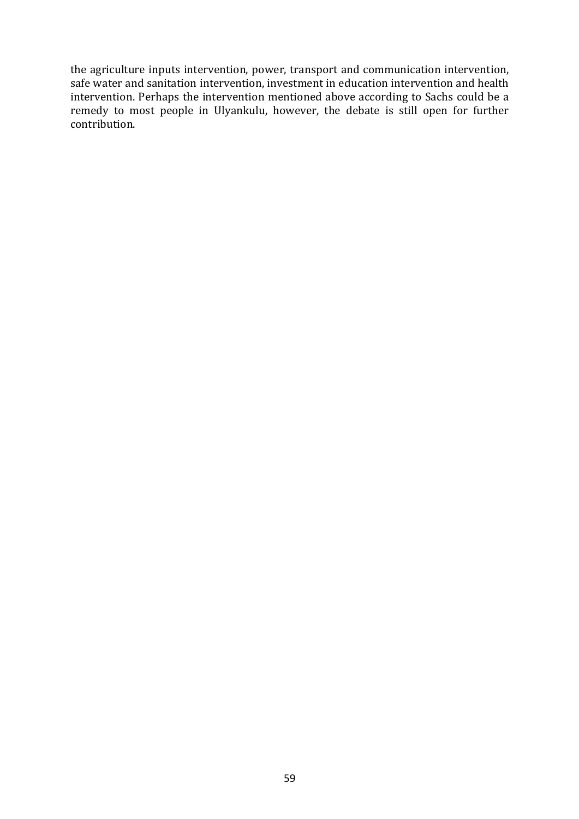the agriculture inputs intervention, power, transport and communication intervention, safe water and sanitation intervention, investment in education intervention and health intervention. Perhaps the intervention mentioned above according to Sachs could be a remedy to most people in Ulyankulu, however, the debate is still open for further contribution.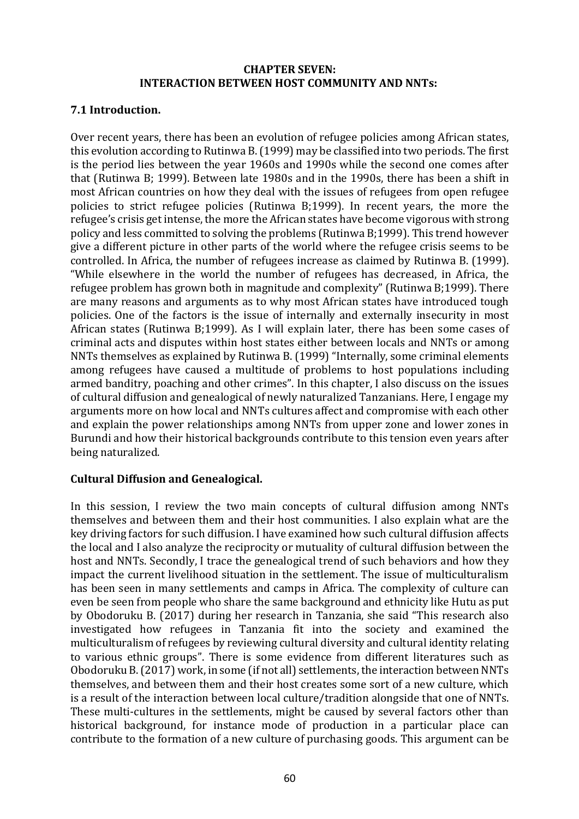### **CHAPTER SEVEN: INTERACTION BETWEEN HOST COMMUNITY AND NNTs:**

## **7.1 Introduction.**

Over recent years, there has been an evolution of refugee policies among African states, this evolution according to Rutinwa B. (1999) may be classified into two periods. The first is the period lies between the year 1960s and 1990s while the second one comes after that (Rutinwa B; 1999). Between late 1980s and in the 1990s, there has been a shift in most African countries on how they deal with the issues of refugees from open refugee policies to strict refugee policies (Rutinwa B;1999). In recent years, the more the refugee's crisis get intense, the more the African states have become vigorous with strong policy and less committed to solving the problems (Rutinwa B;1999). This trend however give a different picture in other parts of the world where the refugee crisis seems to be controlled. In Africa, the number of refugees increase as claimed by Rutinwa B. (1999). "While elsewhere in the world the number of refugees has decreased, in Africa, the refugee problem has grown both in magnitude and complexity" (Rutinwa B;1999). There are many reasons and arguments as to why most African states have introduced tough policies. One of the factors is the issue of internally and externally insecurity in most African states (Rutinwa B;1999). As I will explain later, there has been some cases of criminal acts and disputes within host states either between locals and NNTs or among NNTs themselves as explained by Rutinwa B. (1999) "Internally, some criminal elements among refugees have caused a multitude of problems to host populations including armed banditry, poaching and other crimes". In this chapter, I also discuss on the issues of cultural diffusion and genealogical of newly naturalized Tanzanians. Here, I engage my arguments more on how local and NNTs cultures affect and compromise with each other and explain the power relationships among NNTs from upper zone and lower zones in Burundi and how their historical backgrounds contribute to this tension even years after being naturalized.

## **Cultural Diffusion and Genealogical.**

In this session, I review the two main concepts of cultural diffusion among NNTs themselves and between them and their host communities. I also explain what are the key driving factors for such diffusion. I have examined how such cultural diffusion affects the local and I also analyze the reciprocity or mutuality of cultural diffusion between the host and NNTs. Secondly, I trace the genealogical trend of such behaviors and how they impact the current livelihood situation in the settlement. The issue of multiculturalism has been seen in many settlements and camps in Africa. The complexity of culture can even be seen from people who share the same background and ethnicity like Hutu as put by Obodoruku B. (2017) during her research in Tanzania, she said "This research also investigated how refugees in Tanzania fit into the society and examined the multiculturalism of refugees by reviewing cultural diversity and cultural identity relating to various ethnic groups". There is some evidence from different literatures such as Obodoruku B. (2017) work, in some (if not all) settlements, the interaction between NNTs themselves, and between them and their host creates some sort of a new culture, which is a result of the interaction between local culture/tradition alongside that one of NNTs. These multi-cultures in the settlements, might be caused by several factors other than historical background, for instance mode of production in a particular place can contribute to the formation of a new culture of purchasing goods. This argument can be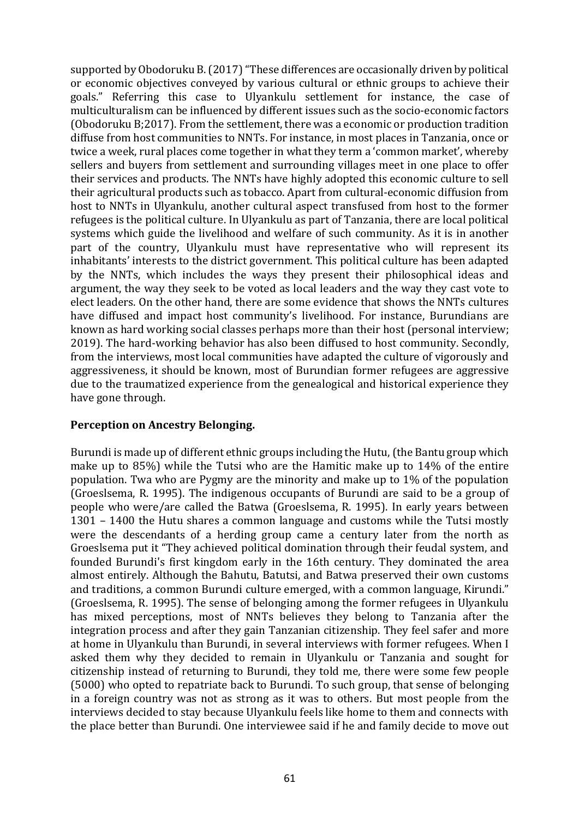supported by Obodoruku B. (2017) "These differences are occasionally driven by political or economic objectives conveyed by various cultural or ethnic groups to achieve their goals." Referring this case to Ulyankulu settlement for instance, the case of multiculturalism can be influenced by different issues such as the socio-economic factors (Obodoruku B;2017). From the settlement, there was a economic or production tradition diffuse from host communities to NNTs. For instance, in most places in Tanzania, once or twice a week, rural places come together in what they term a 'common market', whereby sellers and buyers from settlement and surrounding villages meet in one place to offer their services and products. The NNTs have highly adopted this economic culture to sell their agricultural products such as tobacco. Apart from cultural-economic diffusion from host to NNTs in Ulyankulu, another cultural aspect transfused from host to the former refugees is the political culture. In Ulyankulu as part of Tanzania, there are local political systems which guide the livelihood and welfare of such community. As it is in another part of the country, Ulyankulu must have representative who will represent its inhabitants' interests to the district government. This political culture has been adapted by the NNTs, which includes the ways they present their philosophical ideas and argument, the way they seek to be voted as local leaders and the way they cast vote to elect leaders. On the other hand, there are some evidence that shows the NNTs cultures have diffused and impact host community's livelihood. For instance, Burundians are known as hard working social classes perhaps more than their host (personal interview; 2019). The hard-working behavior has also been diffused to host community. Secondly, from the interviews, most local communities have adapted the culture of vigorously and aggressiveness, it should be known, most of Burundian former refugees are aggressive due to the traumatized experience from the genealogical and historical experience they have gone through.

## **Perception on Ancestry Belonging.**

Burundi is made up of different ethnic groups including the Hutu, (the Bantu group which make up to  $85\%$ ) while the Tutsi who are the Hamitic make up to  $14\%$  of the entire population. Twa who are Pygmy are the minority and make up to 1% of the population (Groeslsema, R. 1995). The indigenous occupants of Burundi are said to be a group of people who were/are called the Batwa (Groeslsema, R. 1995). In early years between 1301  $-$  1400 the Hutu shares a common language and customs while the Tutsi mostly were the descendants of a herding group came a century later from the north as Groeslsema put it "They achieved political domination through their feudal system, and founded Burundi's first kingdom early in the 16th century. They dominated the area almost entirely. Although the Bahutu, Batutsi, and Batwa preserved their own customs and traditions, a common Burundi culture emerged, with a common language, Kirundi." (Groeslsema, R. 1995). The sense of belonging among the former refugees in Ulyankulu has mixed perceptions, most of NNTs believes they belong to Tanzania after the integration process and after they gain Tanzanian citizenship. They feel safer and more at home in Ulyankulu than Burundi, in several interviews with former refugees. When I asked them why they decided to remain in Ulyankulu or Tanzania and sought for citizenship instead of returning to Burundi, they told me, there were some few people (5000) who opted to repatriate back to Burundi. To such group, that sense of belonging in a foreign country was not as strong as it was to others. But most people from the interviews decided to stay because Ulyankulu feels like home to them and connects with the place better than Burundi. One interviewee said if he and family decide to move out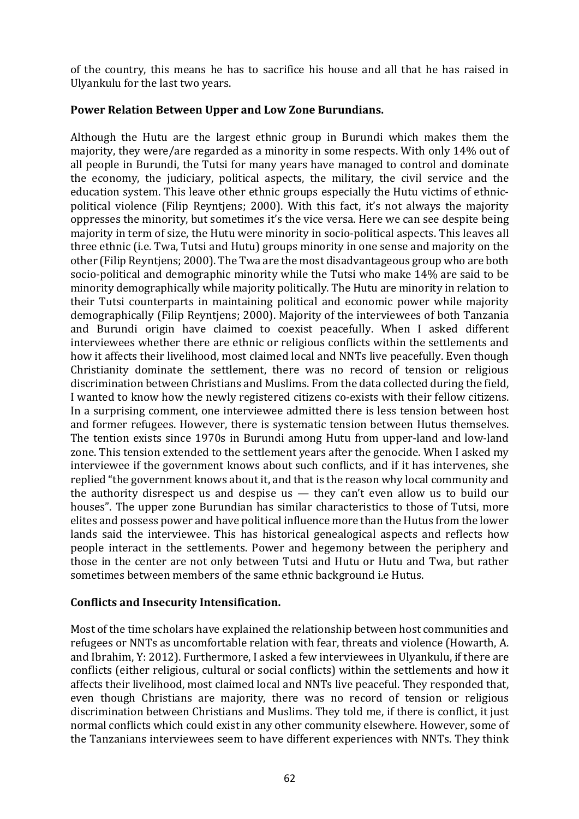of the country, this means he has to sacrifice his house and all that he has raised in Ulyankulu for the last two years.

# Power Relation Between Upper and Low Zone Burundians.

Although the Hutu are the largest ethnic group in Burundi which makes them the majority, they were/are regarded as a minority in some respects. With only 14% out of all people in Burundi, the Tutsi for many years have managed to control and dominate the economy, the judiciary, political aspects, the military, the civil service and the education system. This leave other ethnic groups especially the Hutu victims of ethnicpolitical violence (Filip Reyntjens; 2000). With this fact, it's not always the majority oppresses the minority, but sometimes it's the vice versa. Here we can see despite being majority in term of size, the Hutu were minority in socio-political aspects. This leaves all three ethnic (i.e. Twa, Tutsi and Hutu) groups minority in one sense and majority on the other (Filip Reyntjens; 2000). The Twa are the most disadvantageous group who are both socio-political and demographic minority while the Tutsi who make 14% are said to be minority demographically while majority politically. The Hutu are minority in relation to their Tutsi counterparts in maintaining political and economic power while majority demographically (Filip Reyntjens; 2000). Majority of the interviewees of both Tanzania and Burundi origin have claimed to coexist peacefully. When I asked different interviewees whether there are ethnic or religious conflicts within the settlements and how it affects their livelihood, most claimed local and NNTs live peacefully. Even though Christianity dominate the settlement, there was no record of tension or religious discrimination between Christians and Muslims. From the data collected during the field, I wanted to know how the newly registered citizens co-exists with their fellow citizens. In a surprising comment, one interviewee admitted there is less tension between host and former refugees. However, there is systematic tension between Hutus themselves. The tention exists since 1970s in Burundi among Hutu from upper-land and low-land zone. This tension extended to the settlement years after the genocide. When I asked my interviewee if the government knows about such conflicts, and if it has intervenes, she replied "the government knows about it, and that is the reason why local community and the authority disrespect us and despise us  $-$  they can't even allow us to build our houses". The upper zone Burundian has similar characteristics to those of Tutsi, more elites and possess power and have political influence more than the Hutus from the lower lands said the interviewee. This has historical genealogical aspects and reflects how people interact in the settlements. Power and hegemony between the periphery and those in the center are not only between Tutsi and Hutu or Hutu and Twa, but rather sometimes between members of the same ethnic background i.e Hutus.

## Conflicts and Insecurity Intensification.

Most of the time scholars have explained the relationship between host communities and refugees or NNTs as uncomfortable relation with fear, threats and violence (Howarth, A. and Ibrahim, Y: 2012). Furthermore, I asked a few interviewees in Ulyankulu, if there are conflicts (either religious, cultural or social conflicts) within the settlements and how it affects their livelihood, most claimed local and NNTs live peaceful. They responded that, even though Christians are majority, there was no record of tension or religious discrimination between Christians and Muslims. They told me, if there is conflict, it just normal conflicts which could exist in any other community elsewhere. However, some of the Tanzanians interviewees seem to have different experiences with NNTs. They think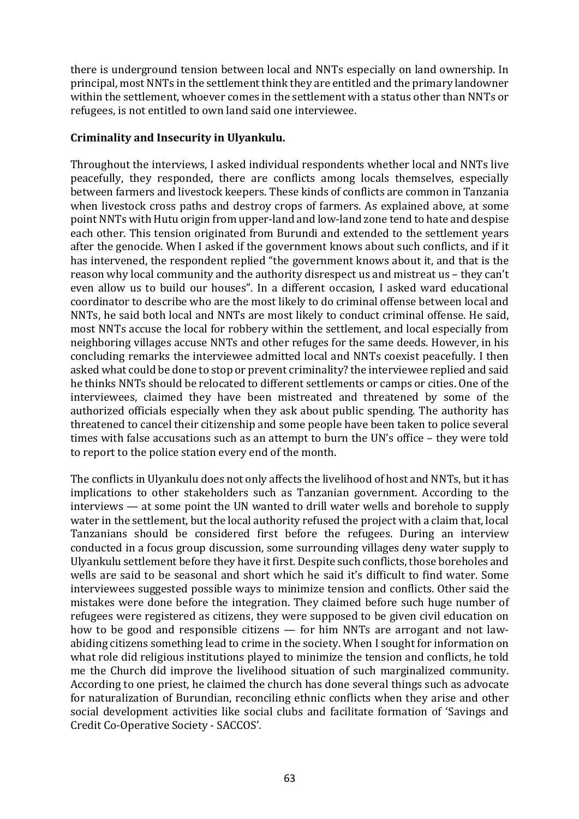there is underground tension between local and NNTs especially on land ownership. In principal, most NNTs in the settlement think they are entitled and the primary landowner within the settlement, whoever comes in the settlement with a status other than NNTs or refugees, is not entitled to own land said one interviewee.

# **Criminality and Insecurity in Ulyankulu.**

Throughout the interviews, I asked individual respondents whether local and NNTs live peacefully, they responded, there are conflicts among locals themselves, especially between farmers and livestock keepers. These kinds of conflicts are common in Tanzania when livestock cross paths and destroy crops of farmers. As explained above, at some point NNTs with Hutu origin from upper-land and low-land zone tend to hate and despise each other. This tension originated from Burundi and extended to the settlement years after the genocide. When I asked if the government knows about such conflicts, and if it has intervened, the respondent replied "the government knows about it, and that is the reason why local community and the authority disrespect us and mistreat us – they can't even allow us to build our houses". In a different occasion, I asked ward educational coordinator to describe who are the most likely to do criminal offense between local and NNTs, he said both local and NNTs are most likely to conduct criminal offense. He said, most NNTs accuse the local for robbery within the settlement, and local especially from neighboring villages accuse NNTs and other refuges for the same deeds. However, in his concluding remarks the interviewee admitted local and NNTs coexist peacefully. I then asked what could be done to stop or prevent criminality? the interviewee replied and said he thinks NNTs should be relocated to different settlements or camps or cities. One of the interviewees, claimed they have been mistreated and threatened by some of the authorized officials especially when they ask about public spending. The authority has threatened to cancel their citizenship and some people have been taken to police several times with false accusations such as an attempt to burn the UN's office - they were told to report to the police station every end of the month.

The conflicts in Ulyankulu does not only affects the livelihood of host and NNTs, but it has implications to other stakeholders such as Tanzanian government. According to the  $interviews - at some point the UN wanted to drill water wells and borehole to supply$ water in the settlement, but the local authority refused the project with a claim that, local Tanzanians should be considered first before the refugees. During an interview conducted in a focus group discussion, some surrounding villages deny water supply to Ulyankulu settlement before they have it first. Despite such conflicts, those boreholes and wells are said to be seasonal and short which he said it's difficult to find water. Some interviewees suggested possible ways to minimize tension and conflicts. Other said the mistakes were done before the integration. They claimed before such huge number of refugees were registered as citizens, they were supposed to be given civil education on how to be good and responsible citizens  $-$  for him NNTs are arrogant and not lawabiding citizens something lead to crime in the society. When I sought for information on what role did religious institutions played to minimize the tension and conflicts, he told me the Church did improve the livelihood situation of such marginalized community. According to one priest, he claimed the church has done several things such as advocate for naturalization of Burundian, reconciling ethnic conflicts when they arise and other social development activities like social clubs and facilitate formation of 'Savings and Credit Co-Operative Society - SACCOS'.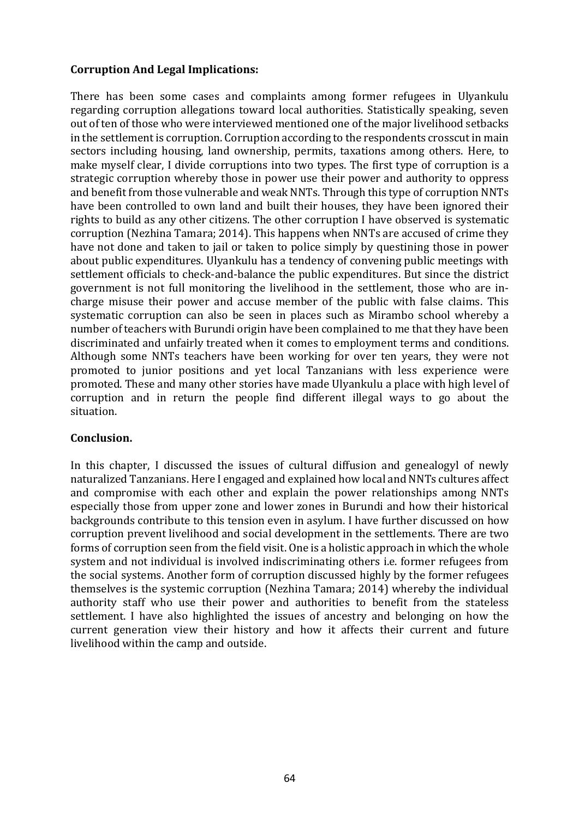## **Corruption And Legal Implications:**

There has been some cases and complaints among former refugees in Ulyankulu regarding corruption allegations toward local authorities. Statistically speaking, seven out of ten of those who were interviewed mentioned one of the major livelihood setbacks in the settlement is corruption. Corruption according to the respondents crosscut in main sectors including housing, land ownership, permits, taxations among others. Here, to make myself clear, I divide corruptions into two types. The first type of corruption is a strategic corruption whereby those in power use their power and authority to oppress and benefit from those vulnerable and weak NNTs. Through this type of corruption NNTs have been controlled to own land and built their houses, they have been ignored their rights to build as any other citizens. The other corruption I have observed is systematic corruption (Nezhina Tamara; 2014). This happens when NNTs are accused of crime they have not done and taken to jail or taken to police simply by questining those in power about public expenditures. Ulyankulu has a tendency of convening public meetings with settlement officials to check-and-balance the public expenditures. But since the district government is not full monitoring the livelihood in the settlement, those who are incharge misuse their power and accuse member of the public with false claims. This systematic corruption can also be seen in places such as Mirambo school whereby a number of teachers with Burundi origin have been complained to me that they have been discriminated and unfairly treated when it comes to employment terms and conditions. Although some NNTs teachers have been working for over ten years, they were not promoted to junior positions and yet local Tanzanians with less experience were promoted. These and many other stories have made Ulyankulu a place with high level of corruption and in return the people find different illegal ways to go about the situation. 

#### **Conclusion.**

In this chapter, I discussed the issues of cultural diffusion and genealogyl of newly naturalized Tanzanians. Here I engaged and explained how local and NNTs cultures affect and compromise with each other and explain the power relationships among NNTs especially those from upper zone and lower zones in Burundi and how their historical backgrounds contribute to this tension even in asylum. I have further discussed on how corruption prevent livelihood and social development in the settlements. There are two forms of corruption seen from the field visit. One is a holistic approach in which the whole system and not individual is involved indiscriminating others *i.e.* former refugees from the social systems. Another form of corruption discussed highly by the former refugees themselves is the systemic corruption (Nezhina Tamara; 2014) whereby the individual authority staff who use their power and authorities to benefit from the stateless settlement. I have also highlighted the issues of ancestry and belonging on how the current generation view their history and how it affects their current and future livelihood within the camp and outside.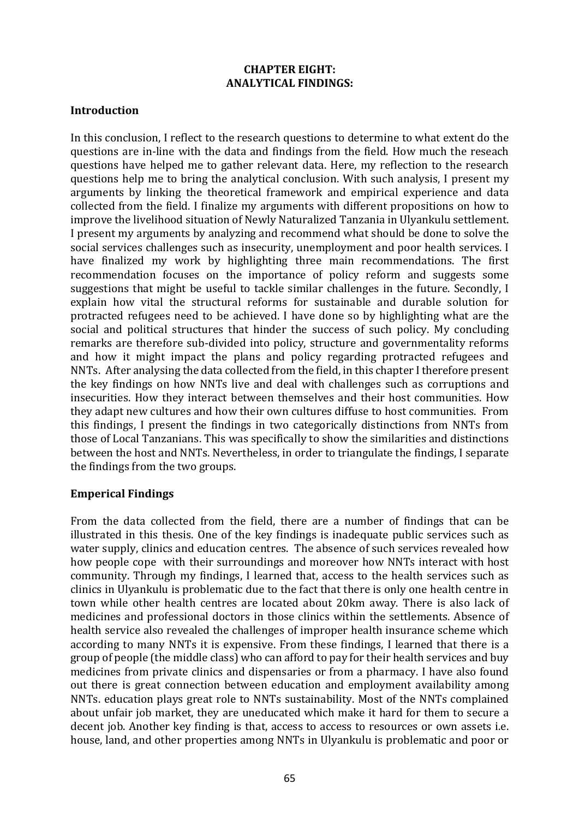#### **CHAPTER EIGHT: ANALYTICAL FINDINGS:**

### **Introduction**

In this conclusion, I reflect to the research questions to determine to what extent do the questions are in-line with the data and findings from the field. How much the reseach questions have helped me to gather relevant data. Here, my reflection to the research questions help me to bring the analytical conclusion. With such analysis, I present my arguments by linking the theoretical framework and empirical experience and data collected from the field. I finalize my arguments with different propositions on how to improve the livelihood situation of Newly Naturalized Tanzania in Ulyankulu settlement. I present my arguments by analyzing and recommend what should be done to solve the social services challenges such as insecurity, unemployment and poor health services. I have finalized my work by highlighting three main recommendations. The first recommendation focuses on the importance of policy reform and suggests some suggestions that might be useful to tackle similar challenges in the future. Secondly, I explain how vital the structural reforms for sustainable and durable solution for protracted refugees need to be achieved. I have done so by highlighting what are the social and political structures that hinder the success of such policy. My concluding remarks are therefore sub-divided into policy, structure and governmentality reforms and how it might impact the plans and policy regarding protracted refugees and NNTs. After analysing the data collected from the field, in this chapter I therefore present the key findings on how NNTs live and deal with challenges such as corruptions and insecurities. How they interact between themselves and their host communities. How they adapt new cultures and how their own cultures diffuse to host communities. From this findings. I present the findings in two categorically distinctions from NNTs from those of Local Tanzanians. This was specifically to show the similarities and distinctions between the host and NNTs. Nevertheless, in order to triangulate the findings, I separate the findings from the two groups.

## **Emperical Findings**

From the data collected from the field, there are a number of findings that can be illustrated in this thesis. One of the key findings is inadequate public services such as water supply, clinics and education centres. The absence of such services revealed how how people cope with their surroundings and moreover how NNTs interact with host community. Through my findings, I learned that, access to the health services such as clinics in Ulyankulu is problematic due to the fact that there is only one health centre in town while other health centres are located about 20km away. There is also lack of medicines and professional doctors in those clinics within the settlements. Absence of health service also revealed the challenges of improper health insurance scheme which according to many NNTs it is expensive. From these findings, I learned that there is a group of people (the middle class) who can afford to pay for their health services and buy medicines from private clinics and dispensaries or from a pharmacy. I have also found out there is great connection between education and employment availability among NNTs. education plays great role to NNTs sustainability. Most of the NNTs complained about unfair job market, they are uneducated which make it hard for them to secure a decent job. Another key finding is that, access to access to resources or own assets i.e. house, land, and other properties among NNTs in Ulyankulu is problematic and poor or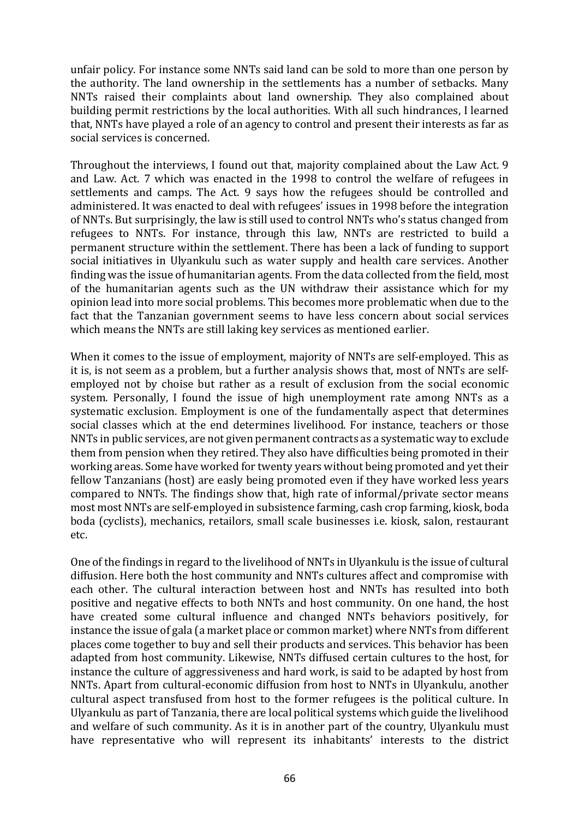unfair policy. For instance some NNTs said land can be sold to more than one person by the authority. The land ownership in the settlements has a number of setbacks. Many NNTs raised their complaints about land ownership. They also complained about building permit restrictions by the local authorities. With all such hindrances, I learned that, NNTs have played a role of an agency to control and present their interests as far as social services is concerned.

Throughout the interviews, I found out that, majority complained about the Law Act. 9 and Law. Act. 7 which was enacted in the 1998 to control the welfare of refugees in settlements and camps. The Act. 9 says how the refugees should be controlled and administered. It was enacted to deal with refugees' issues in 1998 before the integration of NNTs. But surprisingly, the law is still used to control NNTs who's status changed from refugees to NNTs. For instance, through this law, NNTs are restricted to build a permanent structure within the settlement. There has been a lack of funding to support social initiatives in Ulyankulu such as water supply and health care services. Another finding was the issue of humanitarian agents. From the data collected from the field, most of the humanitarian agents such as the UN withdraw their assistance which for my opinion lead into more social problems. This becomes more problematic when due to the fact that the Tanzanian government seems to have less concern about social services which means the NNTs are still laking key services as mentioned earlier.

When it comes to the issue of employment, majority of NNTs are self-employed. This as it is, is not seem as a problem, but a further analysis shows that, most of NNTs are selfemployed not by choise but rather as a result of exclusion from the social economic system. Personally, I found the issue of high unemployment rate among NNTs as a systematic exclusion. Employment is one of the fundamentally aspect that determines social classes which at the end determines livelihood. For instance, teachers or those NNTs in public services, are not given permanent contracts as a systematic way to exclude them from pension when they retired. They also have difficulties being promoted in their working areas. Some have worked for twenty years without being promoted and yet their fellow Tanzanians (host) are easly being promoted even if they have worked less years compared to NNTs. The findings show that, high rate of informal/private sector means most most NNTs are self-employed in subsistence farming, cash crop farming, kiosk, boda boda (cyclists), mechanics, retailors, small scale businesses i.e. kiosk, salon, restaurant etc.

One of the findings in regard to the livelihood of NNTs in Ulyankulu is the issue of cultural diffusion. Here both the host community and NNTs cultures affect and compromise with each other. The cultural interaction between host and NNTs has resulted into both positive and negative effects to both NNTs and host community. On one hand, the host have created some cultural influence and changed NNTs behaviors positively, for instance the issue of gala (a market place or common market) where NNTs from different places come together to buy and sell their products and services. This behavior has been adapted from host community. Likewise, NNTs diffused certain cultures to the host, for instance the culture of aggressiveness and hard work, is said to be adapted by host from NNTs. Apart from cultural-economic diffusion from host to NNTs in Ulyankulu, another cultural aspect transfused from host to the former refugees is the political culture. In Ulyankulu as part of Tanzania, there are local political systems which guide the livelihood and welfare of such community. As it is in another part of the country, Ulyankulu must have representative who will represent its inhabitants' interests to the district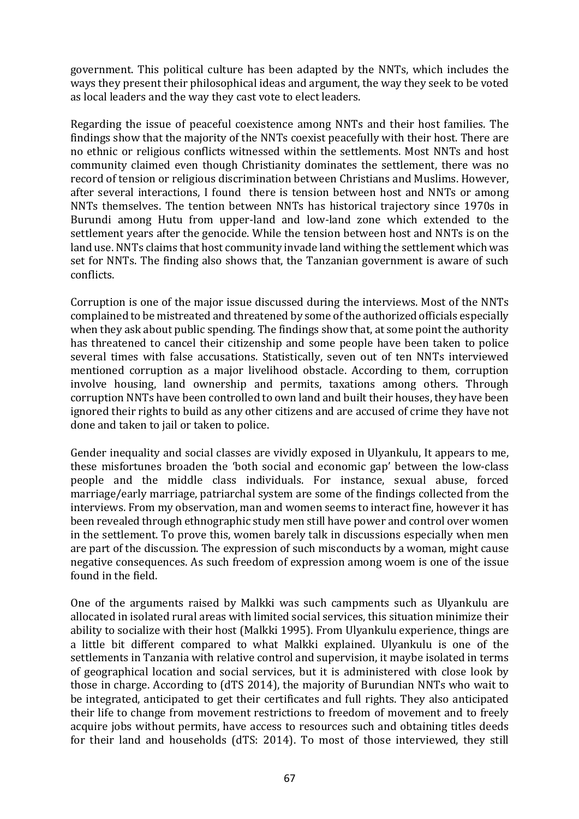government. This political culture has been adapted by the NNTs, which includes the ways they present their philosophical ideas and argument, the way they seek to be voted as local leaders and the way they cast vote to elect leaders.

Regarding the issue of peaceful coexistence among NNTs and their host families. The findings show that the majority of the NNTs coexist peacefully with their host. There are no ethnic or religious conflicts witnessed within the settlements. Most NNTs and host community claimed even though Christianity dominates the settlement, there was no record of tension or religious discrimination between Christians and Muslims. However, after several interactions. I found there is tension between host and NNTs or among NNTs themselves. The tention between NNTs has historical trajectory since 1970s in Burundi among Hutu from upper-land and low-land zone which extended to the settlement years after the genocide. While the tension between host and NNTs is on the land use. NNTs claims that host community invade land withing the settlement which was set for NNTs. The finding also shows that, the Tanzanian government is aware of such conflicts.

Corruption is one of the major issue discussed during the interviews. Most of the NNTs complained to be mistreated and threatened by some of the authorized officials especially when they ask about public spending. The findings show that, at some point the authority has threatened to cancel their citizenship and some people have been taken to police several times with false accusations. Statistically, seven out of ten NNTs interviewed mentioned corruption as a major livelihood obstacle. According to them, corruption involve housing, land ownership and permits, taxations among others. Through corruption NNTs have been controlled to own land and built their houses, they have been ignored their rights to build as any other citizens and are accused of crime they have not done and taken to jail or taken to police.

Gender inequality and social classes are vividly exposed in Ulyankulu, It appears to me, these misfortunes broaden the 'both social and economic gap' between the low-class people and the middle class individuals. For instance, sexual abuse, forced marriage/early marriage, patriarchal system are some of the findings collected from the interviews. From my observation, man and women seems to interact fine, however it has been revealed through ethnographic study men still have power and control over women in the settlement. To prove this, women barely talk in discussions especially when men are part of the discussion. The expression of such misconducts by a woman, might cause negative consequences. As such freedom of expression among woem is one of the issue found in the field.

One of the arguments raised by Malkki was such campments such as Ulyankulu are allocated in isolated rural areas with limited social services, this situation minimize their ability to socialize with their host (Malkki 1995). From Ulyankulu experience, things are a little bit different compared to what Malkki explained. Ulyankulu is one of the settlements in Tanzania with relative control and supervision, it maybe isolated in terms of geographical location and social services, but it is administered with close look by those in charge. According to (dTS 2014), the majority of Burundian NNTs who wait to be integrated, anticipated to get their certificates and full rights. They also anticipated their life to change from movement restrictions to freedom of movement and to freely acquire jobs without permits, have access to resources such and obtaining titles deeds for their land and households (dTS: 2014). To most of those interviewed, they still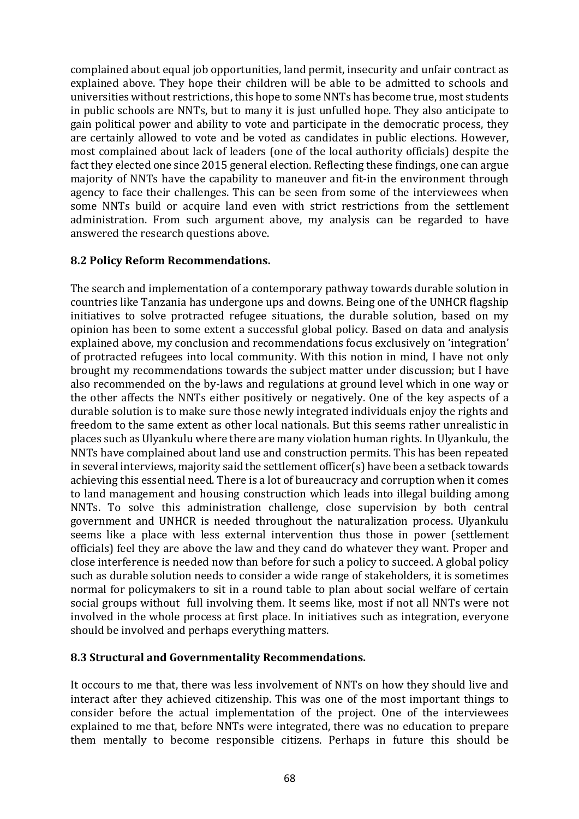complained about equal job opportunities, land permit, insecurity and unfair contract as explained above. They hope their children will be able to be admitted to schools and universities without restrictions, this hope to some NNTs has become true, most students in public schools are NNTs, but to many it is just unfulled hope. They also anticipate to gain political power and ability to vote and participate in the democratic process, they are certainly allowed to vote and be voted as candidates in public elections. However, most complained about lack of leaders (one of the local authority officials) despite the fact they elected one since 2015 general election. Reflecting these findings, one can argue majority of NNTs have the capability to maneuver and fit-in the environment through agency to face their challenges. This can be seen from some of the interviewees when some NNTs build or acquire land even with strict restrictions from the settlement administration. From such argument above, my analysis can be regarded to have answered the research questions above.

## **8.2 Policy Reform Recommendations.**

The search and implementation of a contemporary pathway towards durable solution in countries like Tanzania has undergone ups and downs. Being one of the UNHCR flagship initiatives to solve protracted refugee situations, the durable solution, based on my opinion has been to some extent a successful global policy. Based on data and analysis explained above, my conclusion and recommendations focus exclusively on 'integration' of protracted refugees into local community. With this notion in mind, I have not only brought my recommendations towards the subject matter under discussion; but I have also recommended on the by-laws and regulations at ground level which in one way or the other affects the NNTs either positively or negatively. One of the key aspects of a durable solution is to make sure those newly integrated individuals enjoy the rights and freedom to the same extent as other local nationals. But this seems rather unrealistic in places such as Ulyankulu where there are many violation human rights. In Ulyankulu, the NNTs have complained about land use and construction permits. This has been repeated in several interviews, majority said the settlement officer(s) have been a setback towards achieving this essential need. There is a lot of bureaucracy and corruption when it comes to land management and housing construction which leads into illegal building among NNTs. To solve this administration challenge, close supervision by both central government and UNHCR is needed throughout the naturalization process. Ulyankulu seems like a place with less external intervention thus those in power (settlement officials) feel they are above the law and they cand do whatever they want. Proper and close interference is needed now than before for such a policy to succeed. A global policy such as durable solution needs to consider a wide range of stakeholders, it is sometimes normal for policymakers to sit in a round table to plan about social welfare of certain social groups without full involving them. It seems like, most if not all NNTs were not involved in the whole process at first place. In initiatives such as integration, everyone should be involved and perhaps everything matters.

#### **8.3 Structural and Governmentality Recommendations.**

It occours to me that, there was less involvement of NNTs on how they should live and interact after they achieved citizenship. This was one of the most important things to consider before the actual implementation of the project. One of the interviewees explained to me that, before NNTs were integrated, there was no education to prepare them mentally to become responsible citizens. Perhaps in future this should be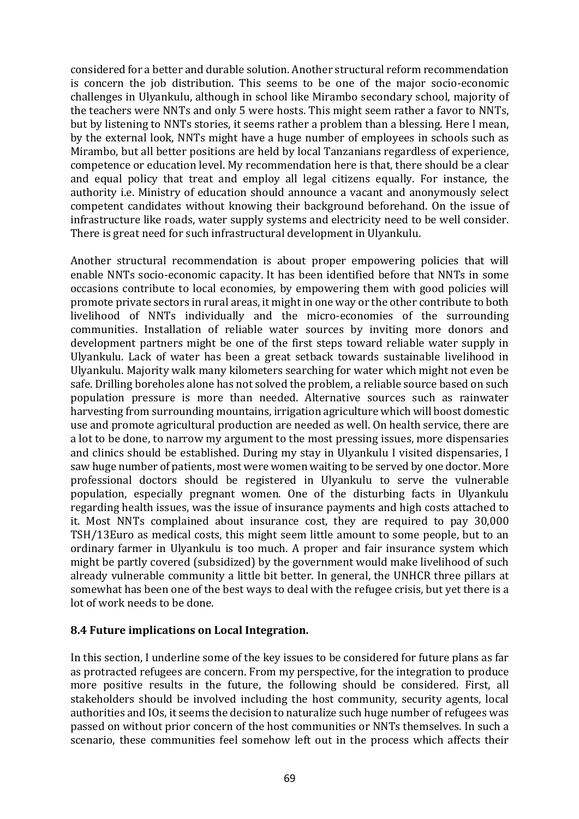considered for a better and durable solution. Another structural reform recommendation is concern the job distribution. This seems to be one of the major socio-economic challenges in Ulyankulu, although in school like Mirambo secondary school, majority of the teachers were NNTs and only 5 were hosts. This might seem rather a favor to NNTs, but by listening to NNTs stories, it seems rather a problem than a blessing. Here I mean, by the external look, NNTs might have a huge number of employees in schools such as Mirambo, but all better positions are held by local Tanzanians regardless of experience, competence or education level. My recommendation here is that, there should be a clear and equal policy that treat and employ all legal citizens equally. For instance, the authority i.e. Ministry of education should announce a vacant and anonymously select competent candidates without knowing their background beforehand. On the issue of infrastructure like roads, water supply systems and electricity need to be well consider. There is great need for such infrastructural development in Ulyankulu.

Another structural recommendation is about proper empowering policies that will enable NNTs socio-economic capacity. It has been identified before that NNTs in some occasions contribute to local economies, by empowering them with good policies will promote private sectors in rural areas, it might in one way or the other contribute to both livelihood of NNTs individually and the micro-economies of the surrounding communities. Installation of reliable water sources by inviting more donors and development partners might be one of the first steps toward reliable water supply in Ulyankulu. Lack of water has been a great setback towards sustainable livelihood in Ulyankulu. Majority walk many kilometers searching for water which might not even be safe. Drilling boreholes alone has not solved the problem, a reliable source based on such population pressure is more than needed. Alternative sources such as rainwater harvesting from surrounding mountains, irrigation agriculture which will boost domestic use and promote agricultural production are needed as well. On health service, there are a lot to be done, to narrow my argument to the most pressing issues, more dispensaries and clinics should be established. During my stay in Ulyankulu I visited dispensaries, I saw huge number of patients, most were women waiting to be served by one doctor. More professional doctors should be registered in Ulyankulu to serve the vulnerable population, especially pregnant women. One of the disturbing facts in Ulvankulu regarding health issues, was the issue of insurance payments and high costs attached to it. Most NNTs complained about insurance cost, they are required to pay 30,000 TSH/13Euro as medical costs, this might seem little amount to some people, but to an ordinary farmer in Ulyankulu is too much. A proper and fair insurance system which might be partly covered (subsidized) by the government would make livelihood of such already vulnerable community a little bit better. In general, the UNHCR three pillars at somewhat has been one of the best ways to deal with the refugee crisis, but yet there is a lot of work needs to be done.

## **8.4 Future implications on Local Integration.**

In this section, I underline some of the key issues to be considered for future plans as far as protracted refugees are concern. From my perspective, for the integration to produce more positive results in the future, the following should be considered. First, all stakeholders should be involved including the host community, security agents, local authorities and IOs, it seems the decision to naturalize such huge number of refugees was passed on without prior concern of the host communities or NNTs themselves. In such a scenario, these communities feel somehow left out in the process which affects their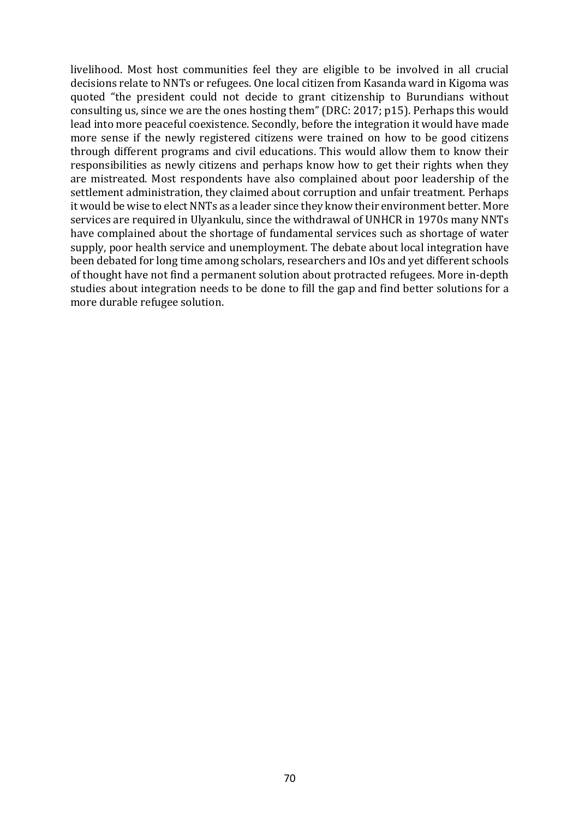livelihood. Most host communities feel they are eligible to be involved in all crucial decisions relate to NNTs or refugees. One local citizen from Kasanda ward in Kigoma was quoted "the president could not decide to grant citizenship to Burundians without consulting us, since we are the ones hosting them" (DRC: 2017; p15). Perhaps this would lead into more peaceful coexistence. Secondly, before the integration it would have made more sense if the newly registered citizens were trained on how to be good citizens through different programs and civil educations. This would allow them to know their responsibilities as newly citizens and perhaps know how to get their rights when they are mistreated. Most respondents have also complained about poor leadership of the settlement administration, they claimed about corruption and unfair treatment. Perhaps it would be wise to elect NNTs as a leader since they know their environment better. More services are required in Ulyankulu, since the withdrawal of UNHCR in 1970s many NNTs have complained about the shortage of fundamental services such as shortage of water supply, poor health service and unemployment. The debate about local integration have been debated for long time among scholars, researchers and IOs and yet different schools of thought have not find a permanent solution about protracted refugees. More in-depth studies about integration needs to be done to fill the gap and find better solutions for a more durable refugee solution.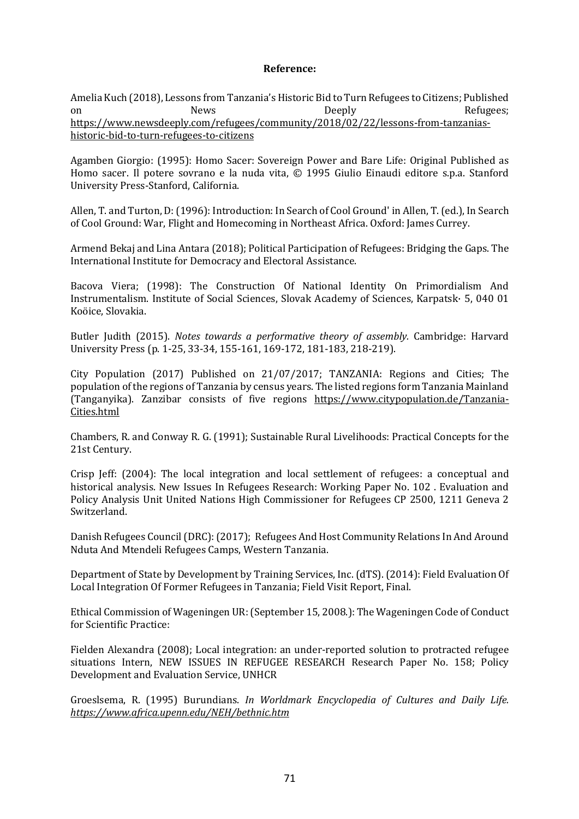#### **Reference:**

Amelia Kuch (2018), Lessons from Tanzania's Historic Bid to Turn Refugees to Citizens; Published on News News Deeply Deeply Refugees; https://www.newsdeeply.com/refugees/community/2018/02/22/lessons-from-tanzaniashistoric-bid-to-turn-refugees-to-citizens

Agamben Giorgio: (1995): Homo Sacer: Sovereign Power and Bare Life: Original Published as Homo sacer. Il potere sovrano e la nuda vita, © 1995 Giulio Einaudi editore s.p.a. Stanford University Press-Stanford, California.

Allen, T. and Turton, D: (1996): Introduction: In Search of Cool Ground' in Allen, T. (ed.), In Search of Cool Ground: War, Flight and Homecoming in Northeast Africa. Oxford: James Currey.

Armend Bekaj and Lina Antara (2018); Political Participation of Refugees: Bridging the Gaps. The International Institute for Democracy and Electoral Assistance.

Bacova Viera; (1998): The Construction Of National Identity On Primordialism And Instrumentalism. Institute of Social Sciences, Slovak Academy of Sciences, Karpatsk· 5, 040 01 Koöice, Slovakia.

Butler Judith (2015). *Notes towards a performative theory of assembly*. Cambridge: Harvard University Press (p. 1-25, 33-34, 155-161, 169-172, 181-183, 218-219).

City Population  $(2017)$  Published on  $21/07/2017$ ; TANZANIA: Regions and Cities; The population of the regions of Tanzania by census years. The listed regions form Tanzania Mainland (Tanganyika). Zanzibar consists of five regions https://www.citypopulation.de/Tanzania-Cities.html

Chambers, R. and Conway R. G. (1991); Sustainable Rural Livelihoods: Practical Concepts for the 21st Century.

Crisp Jeff:  $(2004)$ : The local integration and local settlement of refugees: a conceptual and historical analysis. New Issues In Refugees Research: Working Paper No. 102. Evaluation and Policy Analysis Unit United Nations High Commissioner for Refugees CP 2500, 1211 Geneva 2 Switzerland.

Danish Refugees Council (DRC): (2017); Refugees And Host Community Relations In And Around Nduta And Mtendeli Refugees Camps, Western Tanzania.

Department of State by Development by Training Services, Inc. (dTS). (2014): Field Evaluation Of Local Integration Of Former Refugees in Tanzania; Field Visit Report, Final.

Ethical Commission of Wageningen UR: (September 15, 2008.): The Wageningen Code of Conduct for Scientific Practice:

Fielden Alexandra (2008); Local integration: an under-reported solution to protracted refugee situations Intern, NEW ISSUES IN REFUGEE RESEARCH Research Paper No. 158; Policy Development and Evaluation Service, UNHCR

Groeslsema, R. (1995) Burundians. *In Worldmark Encyclopedia of Cultures and Daily Life. https://www.africa.upenn.edu/NEH/bethnic.htm*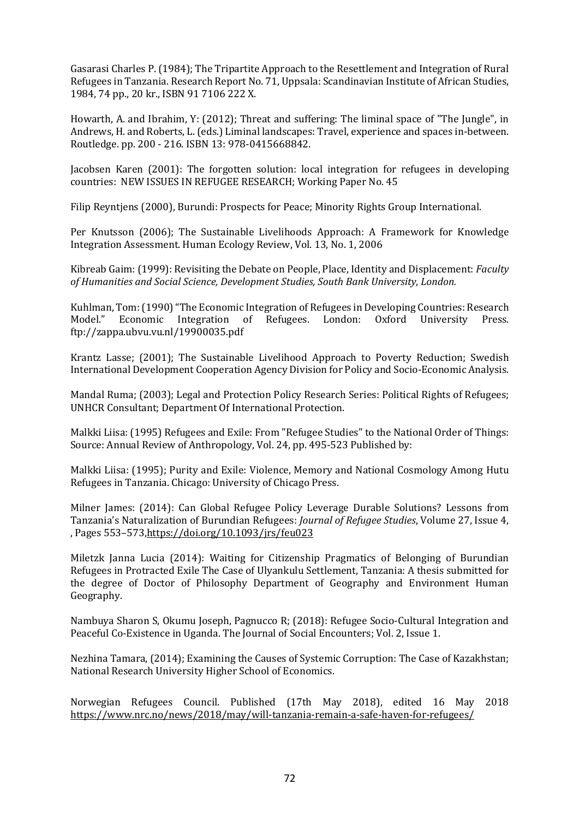Gasarasi Charles P. (1984); The Tripartite Approach to the Resettlement and Integration of Rural Refugees in Tanzania. Research Report No. 71, Uppsala: Scandinavian Institute of African Studies, 1984, 74 pp., 20 kr., ISBN 91 7106 222 X.

Howarth, A. and Ibrahim, Y: (2012); Threat and suffering: The liminal space of "The Jungle", in Andrews, H. and Roberts, L. (eds.) Liminal landscapes: Travel, experience and spaces in-between. Routledge. pp. 200 - 216. ISBN 13: 978-0415668842.

Jacobsen Karen (2001): The forgotten solution: local integration for refugees in developing countries: NEW ISSUES IN REFUGEE RESEARCH; Working Paper No. 45

Filip Reyntjens (2000), Burundi: Prospects for Peace; Minority Rights Group International.

Per Knutsson (2006); The Sustainable Livelihoods Approach: A Framework for Knowledge Integration Assessment. Human Ecology Review, Vol. 13, No. 1, 2006

Kibreab Gaim: (1999): Revisiting the Debate on People, Place, Identity and Displacement: *Faculty* of Humanities and Social Science, Development Studies, South Bank University, London.

Kuhlman, Tom: (1990) "The Economic Integration of Refugees in Developing Countries: Research Model." Economic Integration of Refugees. London: Oxford University Press. ftp://zappa.ubvu.vu.nl/19900035.pdf

Krantz Lasse: (2001): The Sustainable Livelihood Approach to Poverty Reduction: Swedish International Development Cooperation Agency Division for Policy and Socio-Economic Analysis.

Mandal Ruma; (2003); Legal and Protection Policy Research Series: Political Rights of Refugees; UNHCR Consultant; Department Of International Protection.

Malkki Liisa: (1995) Refugees and Exile: From "Refugee Studies" to the National Order of Things: Source: Annual Review of Anthropology, Vol. 24, pp. 495-523 Published by:

Malkki Liisa: (1995); Purity and Exile: Violence, Memory and National Cosmology Among Hutu Refugees in Tanzania. Chicago: University of Chicago Press.

Milner James: (2014): Can Global Refugee Policy Leverage Durable Solutions? Lessons from Tanzania's Naturalization of Burundian Refugees: *Journal of Refugee Studies*, Volume 27, Issue 4, , Pages 553–573, https://doi.org/10.1093/jrs/feu023

Miletzk Janna Lucia (2014): Waiting for Citizenship Pragmatics of Belonging of Burundian Refugees in Protracted Exile The Case of Ulyankulu Settlement, Tanzania: A thesis submitted for the degree of Doctor of Philosophy Department of Geography and Environment Human Geography.

Nambuya Sharon S, Okumu Joseph, Pagnucco R; (2018): Refugee Socio-Cultural Integration and Peaceful Co-Existence in Uganda. The Journal of Social Encounters; Vol. 2, Issue 1.

Nezhina Tamara, (2014); Examining the Causes of Systemic Corruption: The Case of Kazakhstan; National Research University Higher School of Economics.

Norwegian Refugees Council. Published (17th May 2018), edited 16 May 2018 https://www.nrc.no/news/2018/may/will-tanzania-remain-a-safe-haven-for-refugees/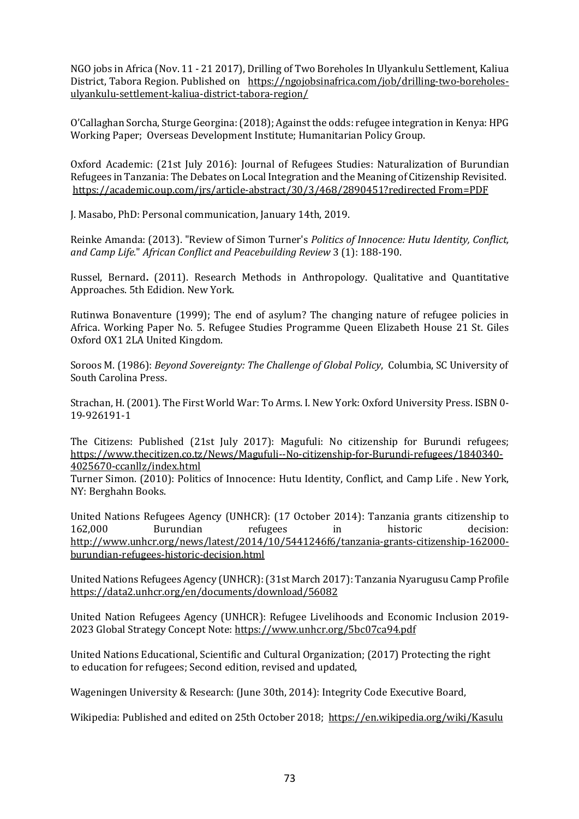NGO jobs in Africa (Nov. 11 - 21 2017), Drilling of Two Boreholes In Ulyankulu Settlement, Kaliua District, Tabora Region. Published on https://ngojobsinafrica.com/job/drilling-two-boreholesulyankulu-settlement-kaliua-district-tabora-region/

O'Callaghan Sorcha, Sturge Georgina: (2018); Against the odds: refugee integration in Kenya: HPG Working Paper; Overseas Development Institute; Humanitarian Policy Group.

Oxford Academic: (21st July 2016): Journal of Refugees Studies: Naturalization of Burundian Refugees in Tanzania: The Debates on Local Integration and the Meaning of Citizenship Revisited. https://academic.oup.com/jrs/article-abstract/30/3/468/2890451?redirected From=PDF

J. Masabo, PhD: Personal communication, January 14th, 2019.

Reinke Amanda: (2013). "Review of Simon Turner's *Politics of Innocence: Hutu Identity, Conflict, and Camp Life.*" *African Conflict and Peacebuilding Review* 3 (1): 188-190.

Russel, Bernard. (2011). Research Methods in Anthropology. Qualitative and Quantitative Approaches. 5th Edidion. New York.

Rutinwa Bonaventure (1999); The end of asylum? The changing nature of refugee policies in Africa. Working Paper No. 5. Refugee Studies Programme Oueen Elizabeth House 21 St. Giles Oxford OX1 2LA United Kingdom.

Soroos M. (1986): *Beyond Sovereignty: The Challenge of Global Policy*, Columbia, SC University of South Carolina Press.

Strachan, H. (2001). The First World War: To Arms. I. New York: Oxford University Press. ISBN 0-19-926191-1

The Citizens: Published (21st July 2017): Magufuli: No citizenship for Burundi refugees; https://www.thecitizen.co.tz/News/Magufuli--No-citizenship-for-Burundi-refugees/1840340- 4025670-ccanllz/index.html

Turner Simon. (2010): Politics of Innocence: Hutu Identity, Conflict, and Camp Life . New York, NY: Berghahn Books.

United Nations Refugees Agency (UNHCR): (17 October 2014): Tanzania grants citizenship to 162,000 Burundian refugees in historic decision: http://www.unhcr.org/news/latest/2014/10/5441246f6/tanzania-grants-citizenship-162000 burundian-refugees-historic-decision.html

United Nations Refugees Agency (UNHCR): (31st March 2017): Tanzania Nyarugusu Camp Profile https://data2.unhcr.org/en/documents/download/56082

United Nation Refugees Agency (UNHCR): Refugee Livelihoods and Economic Inclusion 2019-2023 Global Strategy Concept Note: https://www.unhcr.org/5bc07ca94.pdf

United Nations Educational, Scientific and Cultural Organization; (2017) Protecting the right to education for refugees; Second edition, revised and updated,

Wageningen University & Research: (June 30th, 2014): Integrity Code Executive Board,

Wikipedia: Published and edited on 25th October 2018; https://en.wikipedia.org/wiki/Kasulu